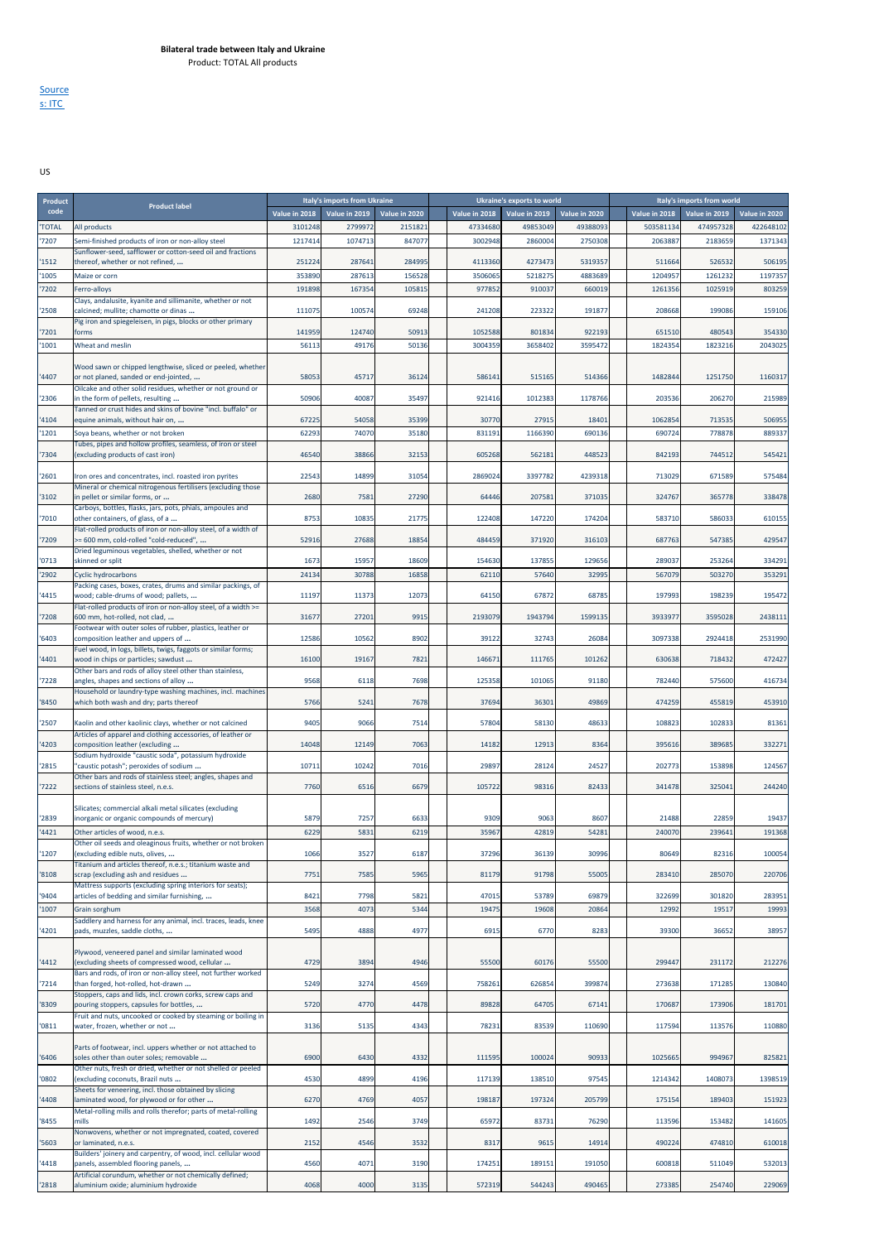**Source** s: ITC

US

| Product      | <b>Product label</b>                                                                                     |               | Italy's imports from Ukraine |               |               | Ukraine's exports to world |               |               | Italy's imports from world |               |
|--------------|----------------------------------------------------------------------------------------------------------|---------------|------------------------------|---------------|---------------|----------------------------|---------------|---------------|----------------------------|---------------|
| code         |                                                                                                          | Value in 2018 | Value in 2019                | Value in 2020 | Value in 2018 | Value in 2019              | Value in 2020 | Value in 2018 | Value in 2019              | Value in 2020 |
| <b>TOTAL</b> | All products                                                                                             | 3101248       | 2799972                      | 2151821       | 47334680      | 49853049                   | 49388093      | 503581134     | 474957328                  | 422648102     |
| 7207         | Semi-finished products of iron or non-alloy steel                                                        | 1217414       | 1074713                      | 847077        | 3002948       | 286000                     | 2750308       | 206388        | 2183659                    | 1371343       |
|              | Sunflower-seed, safflower or cotton-seed oil and fractions                                               |               |                              |               |               |                            |               |               |                            |               |
| 1512         | thereof, whether or not refined,                                                                         | 251224        | 287641                       | 284995        | 4113360       | 4273473                    | 5319357       | 511664        | 526532                     | 506195        |
| 1005         | Maize or corn                                                                                            | 353890        | 287613                       | 156528        | 3506065       | 5218275                    | 4883689       | 1204957       | 1261232                    | 1197357       |
| 7202         | Ferro-alloys                                                                                             | 191898        | 16735                        | 10581         | 977852        | 91003                      | 660019        | 1261356       | 1025919                    | 803259        |
| 2508         | Clays, andalusite, kyanite and sillimanite, whether or not<br>calcined; mullite; chamotte or dinas       | 11107         | 100574                       | 69248         | 241208        | 223322                     | 191877        | 208668        | 199086                     | 159106        |
|              | Pig iron and spiegeleisen, in pigs, blocks or other primary                                              |               |                              |               |               |                            |               |               |                            |               |
| 7201         | forms                                                                                                    | 141959        | 124740                       | 50913         | 1052588       | 801834                     | 92219         | 651510        | 480543                     | 354330        |
| 1001         | Wheat and meslin                                                                                         | 5611          | 49176                        | 50136         | 3004359       | 3658402                    | 3595472       | 1824354       | 1823216                    | 2043025       |
|              |                                                                                                          |               |                              |               |               |                            |               |               |                            |               |
| 4407         | Wood sawn or chipped lengthwise, sliced or peeled, whether<br>or not planed, sanded or end-jointed,      | 5805          | 45717                        | 36124         | 586141        | 515165                     | 514366        | 1482844       | 1251750                    | 1160317       |
|              | Oilcake and other solid residues, whether or not ground or                                               |               |                              |               |               |                            |               |               |                            |               |
| 2306         | in the form of pellets, resulting                                                                        | 50906         | 40087                        | 35497         | 921416        | 1012383                    | 1178766       | 203536        | 206270                     | 215989        |
|              | Tanned or crust hides and skins of bovine "incl. buffalo" or                                             |               |                              |               |               |                            |               |               |                            |               |
| 4104         | equine animals, without hair on,                                                                         | 6722          | 54058                        | 35399         | 30770         | 27915                      | 18401         | 1062854       | 713535                     | 506955        |
| 1201         | Soya beans, whether or not broken<br>Tubes, pipes and hollow profiles, seamless, of iron or steel        | 6229          | 74070                        | 35180         | 831191        | 1166390                    | 690136        | 690724        | 778878                     | 889337        |
| 7304         | (excluding products of cast iron)                                                                        | 46540         | 38866                        | 32153         | 605268        | 562181                     | 448523        | 842193        | 744512                     | 545421        |
|              |                                                                                                          |               |                              |               |               |                            |               |               |                            |               |
| 2601         | Iron ores and concentrates, incl. roasted iron pyrites                                                   | 22543         | 14899                        | 31054         | 2869024       | 3397782                    | 4239318       | 713029        | 671589                     | 575484        |
| 3102         | Mineral or chemical nitrogenous fertilisers (excluding those<br>in pellet or similar forms, or           | 2680          | 7581                         | 27290         | 64446         | 207581                     | 371035        | 324767        | 365778                     | 338478        |
|              | Carboys, bottles, flasks, jars, pots, phials, ampoules and                                               |               |                              |               |               |                            |               |               |                            |               |
| 7010         | other containers, of glass, of a                                                                         | 875           | 10835                        | 21775         | 122408        | 147220                     | 174204        | 583710        | 586033                     | 610155        |
|              | Flat-rolled products of iron or non-alloy steel, of a width of                                           |               |                              |               |               |                            |               |               |                            |               |
| 7209         | >= 600 mm, cold-rolled "cold-reduced",<br>Dried leguminous vegetables, shelled, whether or not           | 52916         | 27688                        | 18854         | 484459        | 371920                     | 316103        | 687763        | 547385                     | 429547        |
| 0713         | skinned or split                                                                                         | 1673          | 15957                        | 18609         | 154630        | 137855                     | 129656        | 289037        | 253264                     | 334291        |
| 2902         | <b>Cyclic hydrocarbons</b>                                                                               | 24134         | 30788                        | 16858         | 62110         | 57640                      | 32995         | 567079        | 503270                     | 353291        |
|              | Packing cases, boxes, crates, drums and similar packings, of                                             |               |                              |               |               |                            |               |               |                            |               |
| 4415         | wood; cable-drums of wood; pallets,                                                                      | 11197         | 11373                        | 12073         | 64150         | 67872                      | 68785         | 197993        | 198239                     | 195472        |
| 7208         | Flat-rolled products of iron or non-alloy steel, of a width >=<br>600 mm, hot-rolled, not clad,          | 31677         | 27201                        | 9915          | 2193079       | 1943794                    | 159913        | 3933977       | 3595028                    | 2438111       |
|              | Footwear with outer soles of rubber, plastics, leather or                                                |               |                              |               |               |                            |               |               |                            |               |
| 6403         | composition leather and uppers of                                                                        | 12586         | 10562                        | 8902          | 39122         | 32743                      | 26084         | 3097338       | 2924418                    | 2531990       |
|              | Fuel wood, in logs, billets, twigs, faggots or similar forms;                                            |               |                              |               |               |                            |               |               |                            |               |
| 4401         | wood in chips or particles; sawdust<br>Other bars and rods of alloy steel other than stainless,          | 16100         | 19167                        | 7821          | 146671        | 111765                     | 101262        | 630638        | 718432                     | 472427        |
| 7228         | angles, shapes and sections of alloy                                                                     | 9568          | 6118                         | 7698          | 125358        | 101065                     | 91180         | 782440        | 575600                     | 416734        |
|              | Household or laundry-type washing machines, incl. machines                                               |               |                              |               |               |                            |               |               |                            |               |
| 8450         | which both wash and dry; parts thereof                                                                   | 5766          | 5241                         | 7678          | 37694         | 36301                      | 49869         | 474259        | 455819                     | 453910        |
| 2507         | Kaolin and other kaolinic clays, whether or not calcined                                                 | 940           | 9066                         | 7514          | 57804         | 58130                      | 4863          | 108823        | 102833                     | 81361         |
|              | Articles of apparel and clothing accessories, of leather or                                              |               |                              |               |               |                            |               |               |                            |               |
| 4203         | composition leather (excluding                                                                           | 14048         | 12149                        | 7063          | 14182         | 12913                      | 8364          | 395616        | 389685                     | 332271        |
|              | Sodium hydroxide "caustic soda", potassium hydroxide                                                     |               |                              |               |               |                            |               |               |                            |               |
| 2815         | "caustic potash"; peroxides of sodium<br>Other bars and rods of stainless steel; angles, shapes and      | 10711         | 10242                        | 7016          | 29897         | 28124                      | 24527         | 202773        | 153898                     | 124567        |
| 7222         | sections of stainless steel, n.e.s.                                                                      | 7760          | 6516                         | 6679          | 105722        | 98316                      | 82433         | 341478        | 325041                     | 244240        |
|              |                                                                                                          |               |                              |               |               |                            |               |               |                            |               |
|              | Silicates; commercial alkali metal silicates (excluding                                                  |               |                              |               |               |                            |               |               |                            |               |
| 2839         | inorganic or organic compounds of mercury)                                                               | 5879          | 7257                         | 663           | 9309          | 9063                       | 860           | 21488         | 22859                      | 19437         |
| 4421         | Other articles of wood, n.e.s.<br>Other oil seeds and oleaginous fruits, whether or not broken           | 6229          | 5831                         | 6219          | 35967         | 42819                      | 54281         | 240070        | 239641                     | 191368        |
| 1207         | (excluding edible nuts, olives,                                                                          | 1066          | 3527                         | 6187          | 37296         | 36139                      | 30996         | 80649         | 82316                      | 100054        |
|              | Titanium and articles thereof, n.e.s.; titanium waste and                                                |               |                              |               |               |                            |               |               |                            |               |
| 8108         | scrap (excluding ash and residues                                                                        | 775           | 7585                         | 5965          | 81179         | 91798                      | 5500          | 283410        | 285070                     | 220706        |
| 9404         | Mattress supports (excluding spring interiors for seats);<br>articles of bedding and similar furnishing, | 8421          | 7798                         | 5821          | 47015         | 53789                      | 69879         | 322699        | 301820                     | 283951        |
| 1007         | Grain sorghum                                                                                            | 3568          | 4073                         | 5344          | 19475         | 19608                      | 20864         | 12992         | 19517                      | 19993         |
|              | Saddlery and harness for any animal, incl. traces, leads, knee                                           |               |                              |               |               |                            |               |               |                            |               |
| 4201         | pads, muzzles, saddle cloths,                                                                            | 5495          | 4888                         | 4977          | 6915          | 6770                       | 8283          | 39300         | 36652                      | 38957         |
|              |                                                                                                          |               |                              |               |               |                            |               |               |                            |               |
| 4412         | Plywood, veneered panel and similar laminated wood<br>(excluding sheets of compressed wood, cellular     | 4729          | 3894                         | 4946          | 55500         | 60176                      | 55500         | 299447        | 231172                     | 212276        |
|              | Bars and rods, of iron or non-alloy steel, not further worked                                            |               |                              |               |               |                            |               |               |                            |               |
| '7214        | than forged, hot-rolled, hot-drawn                                                                       | 5249          | 3274                         | 4569          | 758261        | 626854                     | 399874        | 273638        | 171285                     | 130840        |
|              | Stoppers, caps and lids, incl. crown corks, screw caps and                                               |               |                              |               |               |                            |               |               |                            |               |
| '8309        | pouring stoppers, capsules for bottles,<br>Fruit and nuts, uncooked or cooked by steaming or boiling in  | 5720          | 4770                         | 4478          | 89828         | 64705                      | 67141         | 170687        | 173906                     | 181701        |
| 0811         | water, frozen, whether or not                                                                            | 3136          | 5135                         | 4343          | 78231         | 83539                      | 110690        | 117594        | 113576                     | 110880        |
|              |                                                                                                          |               |                              |               |               |                            |               |               |                            |               |
| 6406         | Parts of footwear, incl. uppers whether or not attached to<br>soles other than outer soles; removable    | 6900          | 6430                         | 4332          | 111595        | 100024                     | 90933         | 1025665       | 994967                     | 825821        |
|              | Other nuts, fresh or dried, whether or not shelled or peeled                                             |               |                              |               |               |                            |               |               |                            |               |
| '0802        | (excluding coconuts, Brazil nuts                                                                         | 4530          | 4899                         | 4196          | 117139        | 138510                     | 97545         | 1214342       | 1408073                    | 1398519       |
|              | Sheets for veneering, incl. those obtained by slicing                                                    |               |                              |               |               |                            |               |               |                            |               |
| 4408         | laminated wood, for plywood or for other                                                                 | 6270          | 4769                         | 4057          | 198187        | 197324                     | 205799        | 175154        | 189403                     | 151923        |
| 8455         | Metal-rolling mills and rolls therefor; parts of metal-rolling<br>mills                                  | 1492          | 2546                         | 3749          | 65972         | 83731                      | 76290         | 113596        | 153482                     | 141605        |
|              | Nonwovens, whether or not impregnated, coated, covered                                                   |               |                              |               |               |                            |               |               |                            |               |
| '5603        | or laminated, n.e.s.                                                                                     | 215           | 4546                         | 3532          | 8317          | 9615                       | 14914         | 490224        | 474810                     | 610018        |
| 4418         | Builders' joinery and carpentry, of wood, incl. cellular wood<br>panels, assembled flooring panels,      | 4560          | 4071                         | 3190          | 174251        | 189151                     | 191050        | 600818        | 511049                     | 532013        |
|              | Artificial corundum, whether or not chemically defined;                                                  |               |                              |               |               |                            |               |               |                            |               |
| '2818        | aluminium oxide; aluminium hydroxide                                                                     | 4068          | 4000                         | 3135          | 572319        | 544243                     | 490465        | 273385        | 254740                     | 229069        |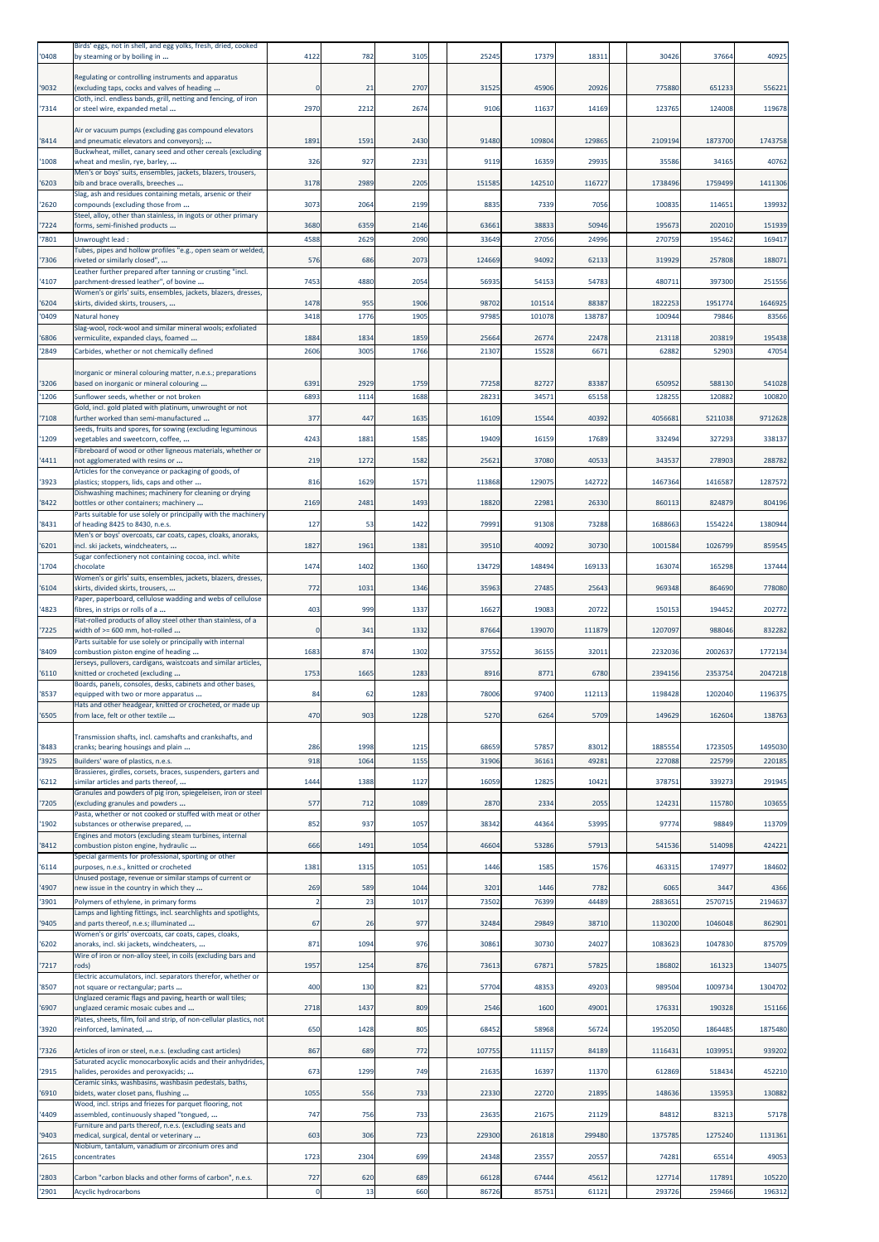| '0408          | Birds' eggs, not in shell, and egg yolks, fresh, dried, cooked<br>by steaming or by boiling in                  | 4122           | 782          | 3105        | 25245          | 17379          | 18311          | 30426            | 37664             | 40925             |
|----------------|-----------------------------------------------------------------------------------------------------------------|----------------|--------------|-------------|----------------|----------------|----------------|------------------|-------------------|-------------------|
|                | Regulating or controlling instruments and apparatus                                                             |                |              |             |                |                |                |                  |                   |                   |
| 9032           | (excluding taps, cocks and valves of heading<br>Cloth, incl. endless bands, grill, netting and fencing, of iron |                | 21           | 2707        | 31525          | 45906          | 20926          | 775880           | 651233            | 556221            |
| '7314          | or steel wire, expanded metal                                                                                   | 2970           | 2212         | 2674        | 9106           | 11637          | 14169          | 123765           | 124008            | 119678            |
| '8414          | Air or vacuum pumps (excluding gas compound elevators<br>and pneumatic elevators and conveyors);                | 1891           | 1591         | 2430        | 91480          | 109804         | 129865         | 2109194          | 1873700           | 1743758           |
| 1008           | Buckwheat, millet, canary seed and other cereals (excluding<br>wheat and meslin, rye, barley,                   | 326            | 927          | 2231        | 9119           | 16359          | 29935          | 35586            | 34165             | 40762             |
| 6203           | Men's or boys' suits, ensembles, jackets, blazers, trousers,<br>bib and brace overalls, breeches                | 3178           | 2989         | 2205        | 151585         | 142510         | 116727         | 1738496          | 1759499           | 1411306           |
| '2620          | Slag, ash and residues containing metals, arsenic or their<br>compounds (excluding those from                   | 3073           | 2064         | 2199        | 8835           | 7339           | 7056           | 100835           | 114651            | 139932            |
| '7224          | Steel, alloy, other than stainless, in ingots or other primary<br>forms, semi-finished products                 | 3680           | 6359         | 2146        | 63661          | 38833          | 50946          | 195673           | 202010            | 151939            |
| 7801           | Unwrought lead:                                                                                                 | 4588           | 2629         | 2090        | 33649          | 27056          | 24996          | 270759           | 195462            | 169417            |
| 7306           | Tubes, pipes and hollow profiles "e.g., open seam or welded,<br>riveted or similarly closed",                   | 576            | 686          | 2073        | 124669         | 94092          | 62133          | 319929           | 257808            | 188071            |
| 4107           | Leather further prepared after tanning or crusting "incl.<br>parchment-dressed leather", of bovine              | 7453           | 4880         | 2054        | 56935          | 54153          | 54783          | 480711           | 397300            | 251556            |
| 6204           | Women's or girls' suits, ensembles, jackets, blazers, dresses,<br>skirts, divided skirts, trousers,             | 1478           | 955          | 1906        | 98702          | 101514         | 88387          | 1822253          | 1951774           | 1646925           |
| 0409           | Natural honey<br>Slag-wool, rock-wool and similar mineral wools; exfoliated                                     | 3418           | 1776         | 1905        | 97985          | 101078         | 138787         | 100944           | 79846             | 83566             |
| 6806           | vermiculite, expanded clays, foamed                                                                             | 1884           | 1834         | 1859        | 25664          | 26774          | 22478          | 213118           | 203819            | 195438            |
| 2849           | Carbides, whether or not chemically defined                                                                     | 2606           | 3005         | 1766        | 21307          | 15528          | 6671           | 6288             | 5290              | 47054             |
| 3206           | Inorganic or mineral colouring matter, n.e.s.; preparations<br>based on inorganic or mineral colouring          | 6391           | 2929         | 1759        | 77258          | 82727          | 83387          | 650952           | 588130            | 541028            |
| 1206           | Sunflower seeds, whether or not broken                                                                          | 6893           | 1114         | 1688        | 28231          | 34571          | 65158          | 128255           | 120882            | 100820            |
| 7108           | Gold, incl. gold plated with platinum, unwrought or not<br>further worked than semi-manufactured                | 377            | 447          | 1635        | 16109          | 15544          | 40392          | 4056681          | 5211038           | 9712628           |
| '1209          | Seeds, fruits and spores, for sowing (excluding leguminous<br>vegetables and sweetcorn, coffee,                 | 4243           | 1881         | 1585        | 19409          | 16159          | 17689          | 332494           | 327293            | 338137            |
| 4411           | Fibreboard of wood or other ligneous materials, whether or<br>not agglomerated with resins or                   | 219            | 1272         | 1582        | 25621          | 37080          | 40533          | 343537           | 278903            | 288782            |
| '3923          | Articles for the conveyance or packaging of goods, of<br>plastics; stoppers, lids, caps and other               | 816            | 1629         | 157         | 113868         | 129075         | 142722         | 146736           | 1416587           | 1287572           |
| 8422           | Dishwashing machines; machinery for cleaning or drying<br>bottles or other containers; machinery                | 2169           | 2481         | 1493        | 18820          | 22981          | 26330          | 86011            | 824879            | 804196            |
| 8431           | Parts suitable for use solely or principally with the machinery<br>of heading 8425 to 8430, n.e.s.              | 127            | 53           | 1422        | 79991          | 91308          | 73288          | 1688663          | 1554224           | 1380944           |
| '6201          | Men's or boys' overcoats, car coats, capes, cloaks, anoraks,<br>incl. ski jackets, windcheaters,                | 1827           | 1961         | 1381        | 39510          | 40092          | 30730          | 1001584          | 1026799           | 859545            |
| '1704          | Sugar confectionery not containing cocoa, incl. white<br>chocolate                                              | 1474           | 1402         | 1360        | 134729         | 148494         | 169133         | 163074           | 165298            | 137444            |
| 6104           | Women's or girls' suits, ensembles, jackets, blazers, dresses,<br>skirts, divided skirts, trousers,             | 772            | 1031         | 1346        | 35963          | 27485          | 25643          | 969348           | 864690            | 778080            |
| 4823           | Paper, paperboard, cellulose wadding and webs of cellulose<br>fibres, in strips or rolls of a                   | 403            | 999          | 1337        | 16627          | 19083          | 20722          | 15015            | 194452            | 202772            |
| 7225           | Flat-rolled products of alloy steel other than stainless, of a<br>width of >= 600 mm, hot-rolled                | $\mathfrak{c}$ | 341          | 1332        | 87664          | 139070         | 111879         | 1207097          | 988046            | 832282            |
| '8409          | Parts suitable for use solely or principally with internal<br>combustion piston engine of heading               | 1683           | 874          | 1302        | 37552          | 36155          | 32011          | 2232036          | 2002637           | 1772134           |
| 6110           | Jerseys, pullovers, cardigans, waistcoats and similar articles,<br>knitted or crocheted (excluding              | 1753           | 1665         | 1283        | 8916           | 8771           | 6780           | 2394156          | 2353754           | 2047218           |
| '8537          | Boards, panels, consoles, desks, cabinets and other bases,<br>equipped with two or more apparatus               | 84             | 62           | 128         | 78006          | 97400          | 112113         | 1198428          | 1202040           | 1196375           |
| '6505          | fats and other neadgear, knitted or crocheted, or made up<br>from lace, felt or other textile                   | 470            | 903          | 1228        | 5270           | 6264           | 5709           | 149629           | 162604            | 138763            |
|                | Transmission shafts, incl. camshafts and crankshafts, and                                                       |                |              |             |                |                |                |                  |                   |                   |
| 8483<br>'3925  | cranks; bearing housings and plain<br>Builders' ware of plastics, n.e.s.                                        | 286<br>918     | 1998<br>1064 | 121<br>1155 | 68659<br>31906 | 57857<br>36161 | 83012<br>49281 | 188555<br>227088 | 1723505<br>225799 | 1495030<br>220185 |
| 6212           | Brassieres, girdles, corsets, braces, suspenders, garters and<br>similar articles and parts thereof,            | 1444           | 1388         | 1127        | 16059          | 12825          | 10421          | 37875            | 339273            | 291945            |
| 7205           | Granules and powders of pig iron, spiegeleisen, iron or steel<br>(excluding granules and powders                | 577            | 712          | 1089        | 2870           | 2334           | 2055           | 124231           | 115780            | 103655            |
| 1902           | Pasta, whether or not cooked or stuffed with meat or other<br>substances or otherwise prepared,                 | 852            | 937          | 1057        | 38342          | 44364          | 53995          | 97774            | 98849             | 113709            |
| '8412          | Engines and motors (excluding steam turbines, internal<br>combustion piston engine, hydraulic                   | 666            | 1491         | 1054        | 46604          | 53286          | 57913          | 541536           | 514098            | 424221            |
| 6114           | Special garments for professional, sporting or other<br>purposes, n.e.s., knitted or crocheted                  | 1381           | 1315         | 105         | 1446           | 1585           | 1576           | 463315           | 174977            | 184602            |
| 4907           | Unused postage, revenue or similar stamps of current or<br>new issue in the country in which they               | 269            | 589          | 1044        | 3201           | 1446           | 7782           | 6065             | 3447              | 4366              |
| 3901           | Polymers of ethylene, in primary forms                                                                          | $\overline{2}$ | 23           | 1017        | 73502          | 76399          | 44489          | 288365           | 2570715           | 2194637           |
| 9405           | Lamps and lighting fittings, incl. searchlights and spotlights,<br>and parts thereof, n.e.s; illuminated        | 67             | 26           | 977         | 32484          | 29849          | 38710          | 1130200          | 1046048           | 862901            |
| 6202           | Women's or girls' overcoats, car coats, capes, cloaks,<br>anoraks, incl. ski jackets, windcheaters,             | 871            | 1094         | 976         | 30861          | 30730          | 24027          | 1083623          | 1047830           | 875709            |
| '7217          | Wire of iron or non-alloy steel, in coils (excluding bars and<br>rods)                                          | 1957           | 1254         | 876         | 73613          | 67871          | 57825          | 186802           | 161323            | 134075            |
| '8507          | Electric accumulators, incl. separators therefor, whether or<br>not square or rectangular; parts                | 400            | 130          | 821         | 57704          | 48353          | 49203          | 989504           | 1009734           | 1304702           |
| 6907           | Unglazed ceramic flags and paving, hearth or wall tiles;<br>unglazed ceramic mosaic cubes and                   | 2718           | 1437         | 809         | 2546           | 1600           | 49001          | 176331           | 190328            | 151166            |
| 3920           | Plates, sheets, film, foil and strip, of non-cellular plastics, not<br>reinforced, laminated,                   | 650            | 1428         | 805         | 68452          | 58968          | 56724          | 1952050          | 1864485           | 1875480           |
| 7326           | Articles of iron or steel, n.e.s. (excluding cast articles)                                                     | 867            | 689          | 772         | 107755         | 111157         | 84189          | 1116431          | 1039951           | 939202            |
| '2915          | Saturated acyclic monocarboxylic acids and their anhydrides,<br>halides, peroxides and peroxyacids;             | 673            | 1299         | 749         | 21635          | 16397          | 11370          | 612869           | 518434            | 452210            |
| 6910           | Ceramic sinks, washbasins, washbasin pedestals, baths,<br>bidets, water closet pans, flushing                   | 1055           |              | 733         | 22330          | 22720          | 21895          | 148636           | 135953            | 130882            |
| 4409           | Wood, incl. strips and friezes for parquet flooring, not<br>assembled, continuously shaped "tongued,            | 747            | 556<br>756   | 733         | 23635          | 21675          | 21129          | 84812            | 83213             | 57178             |
| 9403           | Furniture and parts thereof, n.e.s. (excluding seats and                                                        | 603            | 306          | 723         | 229300         | 261818         | 299480         | 1375785          | 1275240           | 1131361           |
|                | medical, surgical, dental or veterinary<br>Niobium, tantalum, vanadium or zirconium ores and                    |                |              | 699         |                | 23557          |                | 74281            | 65514             | 49053             |
| 2615           | concentrates<br>Carbon "carbon blacks and other forms of carbon", n.e.s.                                        | 1723           | 2304         |             | 24348          |                | 20557          |                  |                   |                   |
| '2803<br>'2901 | Acyclic hydrocarbons                                                                                            | 727            | 620<br>13    | 689<br>660  | 66128<br>86726 | 67444<br>85751 | 45612<br>61121 | 127714<br>29372  | 117891<br>259466  | 105220<br>196312  |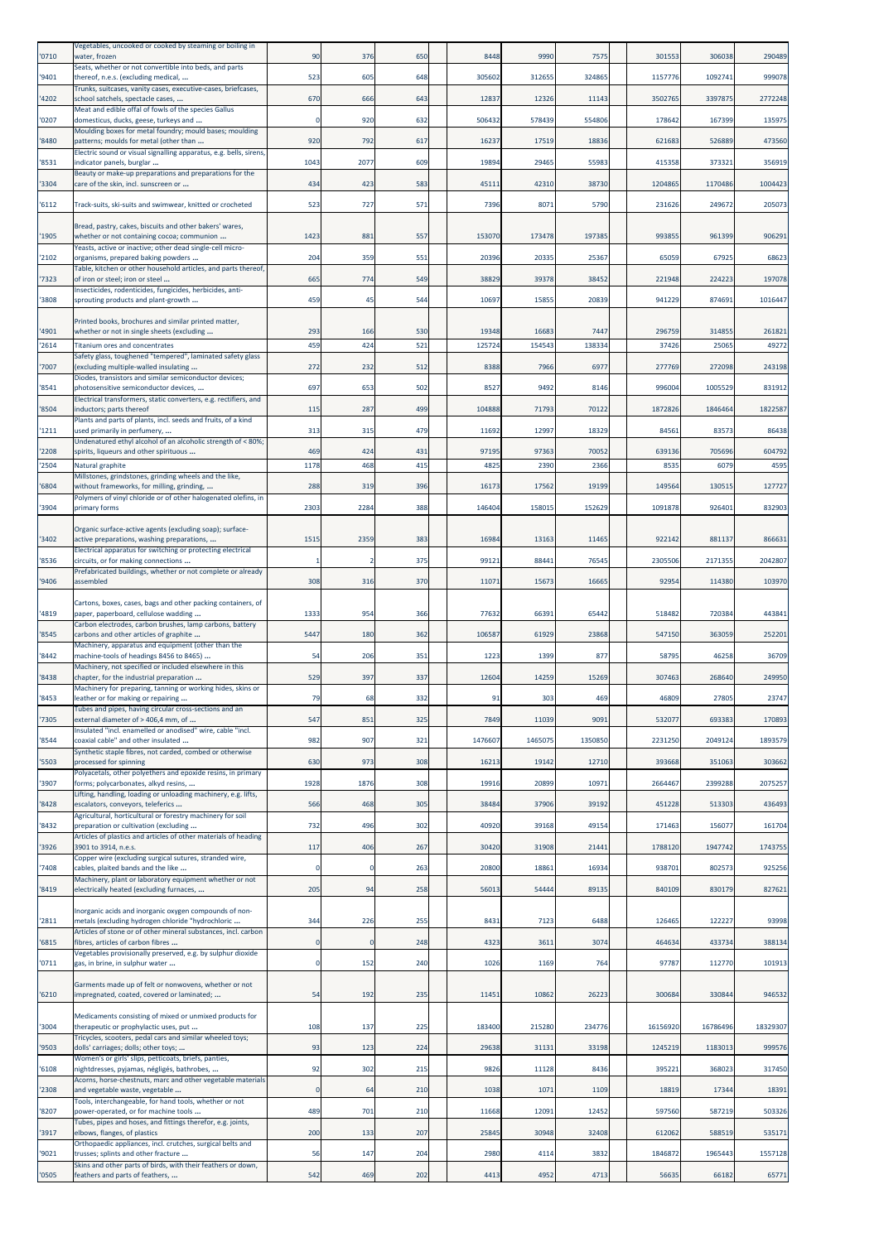| 0710          | Vegetables, uncooked or cooked by steaming or boiling in<br>water, frozen                                    | 90          | 376         | 650        | 8448            | 9990            | 7575           | 301553          | 306038          | 290489          |
|---------------|--------------------------------------------------------------------------------------------------------------|-------------|-------------|------------|-----------------|-----------------|----------------|-----------------|-----------------|-----------------|
| '9401         | Seats, whether or not convertible into beds, and parts<br>thereof, n.e.s. (excluding medical,                | 523         | 605         | 648        | 305602          | 312655          | 324865         | 1157776         | 1092741         | 999078          |
| 4202          | Trunks, suitcases, vanity cases, executive-cases, briefcases,<br>school satchels, spectacle cases,           | 670         | 666         | 643        | 12837           | 12326           | 11143          | 3502765         | 3397875         | 2772248         |
|               | Meat and edible offal of fowls of the species Gallus                                                         |             |             |            |                 |                 |                |                 |                 |                 |
| '0207         | domesticus, ducks, geese, turkeys and<br>Moulding boxes for metal foundry; mould bases; moulding             | $\Omega$    | 920         | 632        | 506432          | 578439          | 554806         | 178642          | 167399          | 135975          |
| '8480         | patterns; moulds for metal (other than<br>Electric sound or visual signalling apparatus, e.g. bells, sirens, | 920         | 792         | 617        | 16237           | 17519           | 18836          | 621683          | 526889          | 473560          |
| '8531         | indicator panels, burglar<br>Beauty or make-up preparations and preparations for the                         | 1043        | 2077        | 609        | 19894           | 29465           | 55983          | 415358          | 373321          | 356919          |
| '3304         | care of the skin, incl. sunscreen or                                                                         | 434         | 423         | 583        | 45111           | 42310           | 38730          | 1204865         | 1170486         | 1004423         |
| '6112         | Track-suits, ski-suits and swimwear, knitted or crocheted                                                    | 523         | 727         | 571        | 7396            | 8071            | 5790           | 231626          | 249672          | 205073          |
|               | Bread, pastry, cakes, biscuits and other bakers' wares,                                                      |             |             |            |                 |                 |                |                 |                 |                 |
| '1905         | whether or not containing cocoa; communion<br>Yeasts, active or inactive; other dead single-cell micro-      | 1423        | 881         | 557        | 153070          | 173478          | 197385         | 993855          | 961399          | 906291          |
| 2102          | organisms, prepared baking powders<br>Table, kitchen or other household articles, and parts thereof,         | 204         | 359         | 551        | 20396           | 20335           | 25367          | 65059           | 67925           | 68623           |
| '7323         | of iron or steel; iron or steel<br>nsecticides, rodenticides, fungicides, herbicides, anti-                  | 665         | 774         | 549        | 38829           | 39378           | 38452          | 221948          | 224223          | 197078          |
| '3808         | sprouting products and plant-growth                                                                          | 459         | 45          | 544        | 10697           | 15855           | 20839          | 941229          | 874691          | 1016447         |
|               | Printed books, brochures and similar printed matter,                                                         |             |             |            |                 |                 |                |                 |                 |                 |
| '4901<br>2614 | whether or not in single sheets (excluding<br>Titanium ores and concentrates                                 | 293<br>459  | 166<br>424  | 530<br>521 | 19348<br>125724 | 16683<br>154543 | 7447<br>138334 | 296759<br>37426 | 314855<br>25065 | 261821<br>49272 |
|               | Safety glass, toughened "tempered", laminated safety glass                                                   |             |             |            | 8388            |                 | 6977           |                 | 272098          | 243198          |
| '7007         | excluding multiple-walled insulating<br>Diodes, transistors and similar semiconductor devices;               | 272         | 232         | 512        |                 | 7966            |                | 277769          |                 |                 |
| '8541         | photosensitive semiconductor devices,<br>Electrical transformers, static converters, e.g. rectifiers, and    | 697         | 653         | 502        | 8527            | 9492            | 8146           | 996004          | 1005529         | 831912          |
| '8504         | inductors; parts thereof<br>Plants and parts of plants, incl. seeds and fruits, of a kind                    | 115         | 287         | 499        | 104888          | 71793           | 70122          | 1872826         | 1846464         | 1822587         |
| '1211         | used primarily in perfumery,<br>Undenatured ethyl alcohol of an alcoholic strength of < 80%;                 | 313         | 315         | 479        | 11692           | 12997           | 18329          | 84561           | 83573           | 86438           |
| 2208          | spirits, liqueurs and other spirituous                                                                       | 469         | 424         | 431        | 97195           | 97363           | 70052          | 639136          | 705696          | 604792          |
| 2504          | Natural graphite<br>Millstones, grindstones, grinding wheels and the like,                                   | 1178        | 468         | 415        | 4825            | 2390            | 2366           | 8535            | 6079            | 4595            |
| 6804          | without frameworks, for milling, grinding,<br>Polymers of vinyl chloride or of other halogenated olefins, in | 288         | 319         | 396        | 16173           | 17562           | 19199          | 149564          | 130515          | 127727          |
| '3904         | primary forms                                                                                                | 2303        | 2284        | 388        | 146404          | 158015          | 152629         | 1091878         | 926401          | 832903          |
| 3402          | Organic surface-active agents (excluding soap); surface-<br>active preparations, washing preparations,       | 1515        | 2359        | 383        | 16984           | 1316            | 11465          | 922142          | 881137          | 866631          |
| '8536         | Electrical apparatus for switching or protecting electrical<br>circuits, or for making connections           | -1          | 2           | 375        | 99121           | 88441           | 76545          | 2305506         | 2171355         | 2042807         |
|               | Prefabricated buildings, whether or not complete or already                                                  |             |             |            |                 |                 |                |                 |                 |                 |
| '9406         | assembled                                                                                                    | 308         | 316         | 370        | 11071           | 15673           | 16665          | 92954           | 114380          | 103970          |
| '4819         | Cartons, boxes, cases, bags and other packing containers, of<br>paper, paperboard, cellulose wadding         | 1333        | 954         | 366        | 77632           | 66391           | 65442          | 518482          | 720384          | 443841          |
| '8545         | Carbon electrodes, carbon brushes, lamp carbons, battery<br>carbons and other articles of graphite           | 5447        | 180         | 362        | 106587          | 61929           | 23868          | 547150          | 363059          | 252201          |
| '8442         | Machinery, apparatus and equipment (other than the<br>machine-tools of headings 8456 to 8465)                | 54          | 206         | 351        | 1223            | 1399            | 877            | 58795           | 46258           | 36709           |
| 8438          | Machinery, not specified or included elsewhere in this<br>chapter, for the industrial preparation            | 529         | 397         | 337        | 12604           | 14259           | 15269          | 307463          | 268640          | 249950          |
|               | Machinery for preparing, tanning or working hides, skins or                                                  |             |             |            |                 |                 |                |                 |                 |                 |
| 8453          | leather or for making or repairing<br>Tubes and pipes, having circular cross-sections and an                 | 79          | 68          | 332        | 91              | 303             | 469            | 46809           | 27805           | 23747           |
| '7305         | external diameter of > 406,4 mm, of<br>nsulated "incl. enamelled or anodised" wire, cable "incl.             | 547         | 851         | 325        | 7849            | 11039           | 9091           | 53207           | 693383          | 170893          |
| '8544         | coaxial cable" and other insulated<br>Synthetic staple fibres, not carded, combed or otherwise               | 982         | 907         | 321        | 1476607         | 1465075         | 1350850        | 2231250         | 2049124         | 1893579         |
| 5503          | processed for spinning                                                                                       | 630         | 973         | 308        | 16213           | 19142           | 12710          | 393668          | 351063          | 303662          |
| '3907         | Polyacetals, other polyethers and epoxide resins, in primary<br>forms; polycarbonates, alkyd resins,         | 1928        | 1876        | 308        | 19916           | 20899           | 10971          | 2664467         | 2399288         | 2075257         |
| '8428         | Lifting, handling, loading or unloading machinery, e.g. lifts,<br>escalators, conveyors, teleferics          | 566         | 468         | 305        | 38484           | 37906           | 39192          | 451228          | 513303          | 436493          |
| 8432          | Agricultural, horticultural or forestry machinery for soil<br>preparation or cultivation (excluding          | 732         | 496         | 302        | 40920           | 39168           | 49154          | 171463          | 156077          | 161704          |
| '3926         | Articles of plastics and articles of other materials of heading<br>3901 to 3914, n.e.s.                      | 117         | 406         | 267        | 30420           | 31908           | 21441          | 1788120         | 1947742         | 1743755         |
| 7408          | Copper wire (excluding surgical sutures, stranded wire,<br>cables, plaited bands and the like                | $\circ$     | $\mathbf 0$ | 263        | 20800           | 18861           | 16934          | 938701          | 802573          | 925256          |
|               | Machinery, plant or laboratory equipment whether or not                                                      |             |             |            |                 |                 |                |                 |                 |                 |
| '8419         | electrically heated (excluding furnaces,                                                                     | 205         | 94          | 258        | 56013           | 54444           | 89135          | 840109          | 830179          | 827621          |
| 2811          | Inorganic acids and inorganic oxygen compounds of non-<br>metals (excluding hydrogen chloride "hydrochloric  | 344         | 226         | 255        | 8431            | 7123            | 6488           | 126465          | 122227          | 93998           |
| 6815          | Articles of stone or of other mineral substances, incl. carbon<br>fibres, articles of carbon fibres          | 0           |             | 248        | 4323            | 3611            | 3074           | 464634          | 433734          | 388134          |
| '0711         | Vegetables provisionally preserved, e.g. by sulphur dioxide<br>gas, in brine, in sulphur water               | $\Omega$    | 152         | 240        | 1026            | 1169            | 764            | 97787           | 112770          | 101913          |
|               |                                                                                                              |             |             |            |                 |                 |                |                 |                 |                 |
| '6210         | Garments made up of felt or nonwovens, whether or not<br>mpregnated, coated, covered or laminated;           | 54          | 192         | 235        | 11451           | 10862           | 26223          | 300684          | 330844          | 946532          |
|               | Medicaments consisting of mixed or unmixed products for                                                      |             |             |            |                 |                 |                |                 |                 |                 |
| '3004         | therapeutic or prophylactic uses, put<br>Tricycles, scooters, pedal cars and similar wheeled toys;           | 108         | 137         | 225        | 183400          | 215280          | 234776         | 16156920        | 16786496        | 18329307        |
| '9503         | dolls' carriages; dolls; other toys;<br>Women's or girls' slips, petticoats, briefs, panties,                | 93          | 123         | 224        | 29638           | 31131           | 33198          | 1245219         | 1183013         | 999576          |
| 6108          | nightdresses, pyjamas, négligés, bathrobes,<br>Acorns, horse-chestnuts, marc and other vegetable materials   | 92          | 302         | 215        | 9826            | 11128           | 8436           | 395221          | 368023          | 317450          |
| '2308         | and vegetable waste, vegetable                                                                               | $\mathbf 0$ | 64          | 210        | 1038            | 1071            | 1109           | 18819           | 17344           | 18391           |
| 8207          | Tools, interchangeable, for hand tools, whether or not<br>power-operated, or for machine tools               | 489         | 701         | 210        | 11668           | 12091           | 12452          | 597560          | 587219          | 503326          |
| 3917          | Tubes, pipes and hoses, and fittings therefor, e.g. joints,<br>elbows, flanges, of plastics                  | 200         | 133         | 207        | 25845           | 30948           | 32408          | 612062          | 588519          | 535171          |
| '9021         | Orthopaedic appliances, incl. crutches, surgical belts and<br>trusses; splints and other fracture            | 56          | 147         | 204        | 2980            | 4114            | 3832           | 1846872         | 1965443         | 1557128         |
| '0505         | Skins and other parts of birds, with their feathers or down,<br>feathers and parts of feathers,              | 542         | 469         | 202        | 4413            | 4952            | 4713           | 56635           | 66182           | 65771           |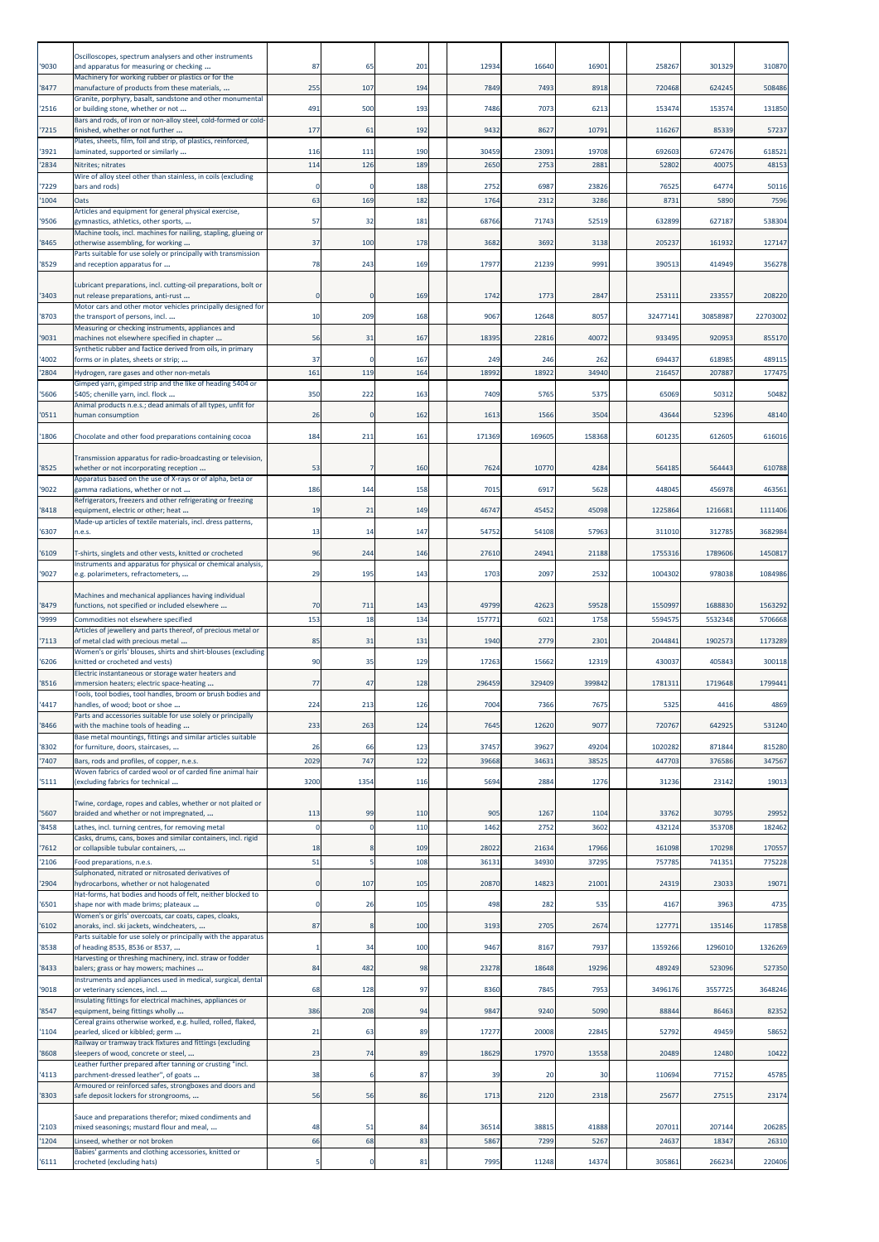| '9030         | Oscilloscopes, spectrum analysers and other instruments<br>and apparatus for measuring or checking                                                            | 87                   | 65             | 201        | 12934           | 16640         | 16901         | 258267             | 301329             | 310870             |
|---------------|---------------------------------------------------------------------------------------------------------------------------------------------------------------|----------------------|----------------|------------|-----------------|---------------|---------------|--------------------|--------------------|--------------------|
| 8477          | Machinery for working rubber or plastics or for the<br>manufacture of products from these materials,                                                          | 255                  | 107            | 194        | 7849            | 7493          | 8918          | 720468             | 624245             | 508486             |
| 2516          | Granite, porphyry, basalt, sandstone and other monumental<br>or building stone, whether or not                                                                | 491                  | 500            | 193        | 7486            | 7073          | 6213          | 153474             | 153574             | 131850             |
| 7215          | Bars and rods, of iron or non-alloy steel, cold-formed or cold-<br>finished, whether or not further                                                           | 177                  | 61             | 192        | 9432            | 8627          | 10791         | 116267             | 85339              | 57237              |
| '3921         | Plates, sheets, film, foil and strip, of plastics, reinforced,<br>laminated, supported or similarly                                                           | 116                  | 111            | 190        | 30459           | 23091         | 19708         | 692603             | 672476             | 618521             |
| 2834          | Nitrites; nitrates<br>Wire of alloy steel other than stainless, in coils (excluding                                                                           | 114                  | 126            | 189        | 2650            | 2753          | 2881          | 5280               | 4007               | 48153              |
| '7229<br>1004 | bars and rods)<br>Dats                                                                                                                                        | $\mathfrak{c}$<br>63 | 169            | 188<br>182 | 2752<br>1764    | 6987<br>2312  | 23826<br>3286 | 76525<br>8731      | 64774<br>5890      | 50116<br>7596      |
| '9506         | Articles and equipment for general physical exercise,<br>gymnastics, athletics, other sports,                                                                 | 57                   | 32             | 181        | 68766           | 71743         | 52519         | 632899             | 627187             | 538304             |
| 8465          | Machine tools, incl. machines for nailing, stapling, glueing or<br>otherwise assembling, for working                                                          | 37                   | 100            | 178        | 3682            | 3692          | 3138          | 20523              | 161932             | 127147             |
| 8529          | Parts suitable for use solely or principally with transmission<br>and reception apparatus for                                                                 | 78                   | 243            | 169        | 17977           | 21239         | 9991          | 390513             | 414949             | 356278             |
|               | Lubricant preparations, incl. cutting-oil preparations, bolt or                                                                                               |                      |                |            |                 |               |               |                    |                    |                    |
| '3403         | nut release preparations, anti-rust<br>Motor cars and other motor vehicles principally designed for                                                           | C                    | C              | 169        | 1742            | 1773          | 2847          | 25311              | 233557             | 208220             |
| 8703          | the transport of persons, incl<br>Measuring or checking instruments, appliances and                                                                           | 10                   | 209            | 168        | 9067            | 12648         | 8057          | 32477141           | 30858987           | 22703002           |
| '9031         | machines not elsewhere specified in chapter                                                                                                                   | 56                   | 31             | 167        | 18395           | 22816         | 40072         | 933495             | 920953             | 855170             |
| 4002          | Synthetic rubber and factice derived from oils, in primary<br>forms or in plates, sheets or strip;                                                            | 37                   |                | 167        | 249             | 246           | 262           | 694437             | 618985             | 489115             |
| 2804          | Hydrogen, rare gases and other non-metals<br>Gimped yarn, gimped strip and the like of heading 5404 or                                                        | 161                  | 119            | 164        | 18992           | 18922         | 34940         | 216457             | 207887             | 177475             |
| '5606         | 5405; chenille yarn, incl. flock<br>Animal products n.e.s.; dead animals of all types, unfit for                                                              | 350                  | 222            | 163        | 7409            | 5765          | 5375          | 65069              | 50312              | 50482              |
| '0511         | human consumption                                                                                                                                             | 26                   | 0              | 162        | 1613            | 1566          | 3504          | 43644              | 52396              | 48140              |
| 1806          | Chocolate and other food preparations containing cocoa                                                                                                        | 184                  | 211            | 161        | 171369          | 169605        | 158368        | 601235             | 612605             | 616016             |
| 8525          | Transmission apparatus for radio-broadcasting or television,<br>whether or not incorporating reception                                                        | 53                   |                | 160        | 7624            | 10770         | 4284          | 564185             | 564443             | 610788             |
| 9022          | Apparatus based on the use of X-rays or of alpha, beta or<br>gamma radiations, whether or not                                                                 | 186                  | 144            | 158        | 7015            | 6917          | 5628          | 448045             | 456978             | 463561             |
| 8418          | Refrigerators, freezers and other refrigerating or freezing<br>equipment, electric or other; heat                                                             | 19                   | 21             | 149        | 46747           | 45452         | 45098         | 1225864            | 1216681            | 1111406            |
| '6307         | Made-up articles of textile materials, incl. dress patterns,<br>n.e.s.                                                                                        | 13                   | 14             | 147        | 54752           | 54108         | 57963         | 311010             | 312785             | 3682984            |
| '6109         | T-shirts, singlets and other vests, knitted or crocheted                                                                                                      | 96                   | 244            | 146        | 27610           | 24941         | 21188         | 1755316            | 1789606            | 1450817            |
| '9027         | Instruments and apparatus for physical or chemical analysis,<br>e.g. polarimeters, refractometers,                                                            | 29                   | 195            | 143        | 1703            | 2097          | 2532          | 1004302            | 978038             | 1084986            |
|               | Machines and mechanical appliances having individual                                                                                                          |                      |                |            |                 |               |               |                    |                    |                    |
| 8479<br>'9999 | functions, not specified or included elsewhere<br>Commodities not elsewhere specified                                                                         | 70<br>153            | 711<br>18      | 143<br>134 | 49799<br>157771 | 42623<br>6021 | 59528<br>1758 | 1550997<br>5594575 | 1688830<br>5532348 | 1563292<br>5706668 |
| 7113          | Articles of jewellery and parts thereof, of precious metal or<br>of metal clad with precious metal                                                            | 85                   | 31             | 131        | 1940            | 2779          | 2301          | 2044841            | 1902573            | 1173289            |
| 6206          | Women's or girls' blouses, shirts and shirt-blouses (excluding<br>knitted or crocheted and vests)                                                             | 90                   | 35             | 129        | 17263           | 15662         | 12319         | 43003              | 405843             | 300118             |
| 8516          | Electric instantaneous or storage water heaters and<br>immersion heaters; electric space-heating                                                              | 77                   | 47             | 128        | 296459          | 329409        | 399842        | 1781311            | 1719648            | 1799441            |
| 4417          | Tools, tool bodies, tool handles, broom or brush bodies and<br>andles, of wood; boot or shoe                                                                  | 224                  | 213            | 12(        | 7004            | 7366          | 767           | 532                | 4416               | 4869               |
| 8466          | Parts and accessories suitable for use solely or principally<br>with the machine tools of heading                                                             | 233                  | 263            | 124        | 7645            | 12620         | 9077          | 720767             | 642925             | 531240             |
| '8302         | Base metal mountings, fittings and similar articles suitable<br>for furniture, doors, staircases,                                                             | 26                   | 66             | 123        | 37457           | 39627         | 49204         | 1020282            | 871844             | 815280             |
| 7407          | Bars, rods and profiles, of copper, n.e.s.<br>Woven fabrics of carded wool or of carded fine animal hair                                                      | 2029                 | 747            | 122        | 39668           | 34631         | 38525         | 447703             | 376586             | 347567             |
| '5111         | (excluding fabrics for technical                                                                                                                              | 3200                 | 1354           | 116        | 5694            | 2884          | 1276          | 31236              | 23142              | 19013              |
|               | Twine, cordage, ropes and cables, whether or not plaited or                                                                                                   |                      |                |            |                 |               |               |                    |                    |                    |
| '5607<br>8458 | braided and whether or not impregnated,<br>Lathes, incl. turning centres, for removing metal                                                                  | 113<br>C             | 99<br>$\Omega$ | 110<br>110 | 905<br>1462     | 1267<br>2752  | 1104<br>3602  | 33762<br>432124    | 30795<br>353708    | 29952<br>182462    |
| '7612         | Casks, drums, cans, boxes and similar containers, incl. rigid<br>or collapsible tubular containers,                                                           | 18                   |                | 109        | 28022           | 21634         | 17966         | 161098             | 170298             | 170557             |
| 2106          | Food preparations, n.e.s.<br>Sulphonated, nitrated or nitrosated derivatives of                                                                               | 51                   |                | 108        | 36131           | 34930         | 37295         | 75778              | 74135              | 775228             |
| '2904         | hydrocarbons, whether or not halogenated<br>Hat-forms, hat bodies and hoods of felt, neither blocked to                                                       | $\mathbf 0$          | 107            | 105        | 20870           | 14823         | 21001         | 24319              | 2303               | 19071              |
| 6501          | shape nor with made brims; plateaux<br>Women's or girls' overcoats, car coats, capes, cloaks,                                                                 | C                    | 26             | 105        | 498             | 282           | 535           | 4167               | 3963               | 4735               |
| '6102         | anoraks, incl. ski jackets, windcheaters,<br>Parts suitable for use solely or principally with the apparatus                                                  | 87                   |                | 100        | 3193            | 2705          | 2674          | 12777              | 135146             | 117858             |
| '8538         | of heading 8535, 8536 or 8537,<br>Harvesting or threshing machinery, incl. straw or fodder                                                                    |                      | 34             | 100        | 9467            | 8167          | 7937          | 1359266            | 1296010            | 1326269            |
| 8433          | balers; grass or hay mowers; machines<br>Instruments and appliances used in medical, surgical, dental                                                         | 84                   | 482            | 98         | 23278           | 18648         | 19296         | 489249             | 523096             | 527350             |
| 9018          | or veterinary sciences, incl.<br>Insulating fittings for electrical machines, appliances or                                                                   | 68                   | 128            | 97         | 8360            | 7845          | 7953          | 3496176            | 3557725            | 3648246            |
| '8547         | equipment, being fittings wholly                                                                                                                              | 386                  | 208            | 94         | 9847            | 9240          | 5090          | 88844              | 86463              | 82352              |
| '1104         | Cereal grains otherwise worked, e.g. hulled, rolled, flaked,<br>pearled, sliced or kibbled; germ<br>Railway or tramway track fixtures and fittings (excluding | 21                   | 63             | 89         | 17277           | 20008         | 22845         | 52792              | 49459              | 58652              |
| '8608         | sleepers of wood, concrete or steel,                                                                                                                          | 23                   | 74             | 89         | 18629           | 17970         | 13558         | 20489              | 12480              | 10422              |
| 4113          | Leather further prepared after tanning or crusting "incl.<br>parchment-dressed leather", of goats                                                             | 38                   |                | 87         | 39              | 20            | 30            | 110694             | 77152              | 45785              |
| '8303         | Armoured or reinforced safes, strongboxes and doors and<br>safe deposit lockers for strongrooms,                                                              | 56                   | 56             | 86         | 1713            | 2120          | 2318          | 25677              | 27515              | 23174              |
| 2103          | Sauce and preparations therefor; mixed condiments and<br>mixed seasonings; mustard flour and meal,                                                            | 48                   | 51             | 84         | 36514           | 38815         | 41888         | 20701:             | 207144             | 206285             |
| 1204          | Linseed, whether or not broken                                                                                                                                | 66                   | 68             | 83         | 5867            | 7299          | 5267          | 24637              | 18347              | 26310              |
| '6111         | Babies' garments and clothing accessories, knitted or<br>crocheted (excluding hats)                                                                           |                      | 0              | 81         | 7995            | 11248         | 14374         | 305861             | 266234             | 220406             |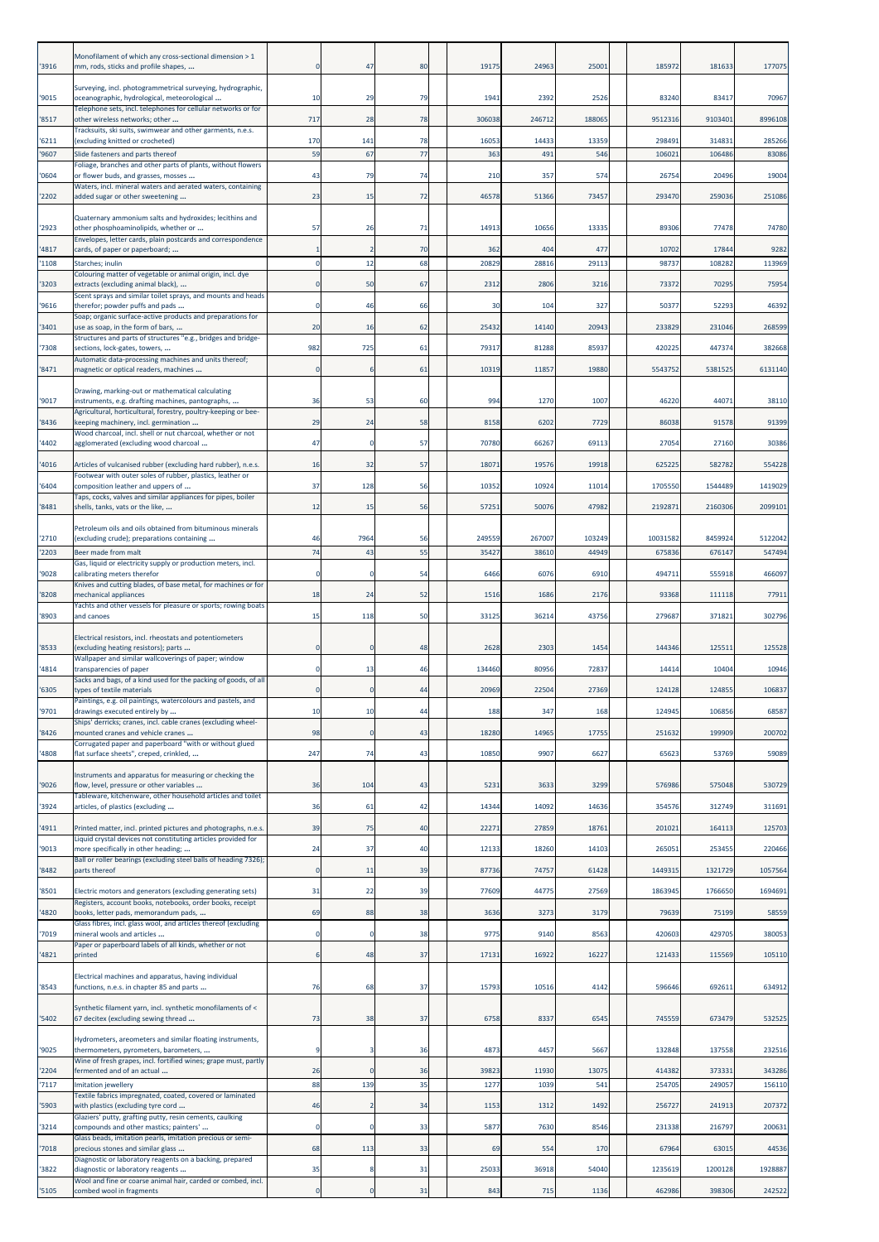| '3916          | Monofilament of which any cross-sectional dimension > 1<br>mm, rods, sticks and profile shapes,                                                                |                | 47                 | 80       | 19175         | 24963         | 25001       | 185972           | 181633           | 177075           |
|----------------|----------------------------------------------------------------------------------------------------------------------------------------------------------------|----------------|--------------------|----------|---------------|---------------|-------------|------------------|------------------|------------------|
| '9015          | Surveying, incl. photogrammetrical surveying, hydrographic,<br>oceanographic, hydrological, meteorological                                                     | 10             | 29                 | 79       | 1941          | 2392          | 2526        | 83240            | 83417            | 70967            |
| '8517          | Telephone sets, incl. telephones for cellular networks or for<br>other wireless networks; other                                                                | 717            | 28                 | 78       | 306038        | 246712        | 188065      | 9512316          | 9103401          | 8996108          |
| '6211          | Tracksuits, ski suits, swimwear and other garments, n.e.s.<br>(excluding knitted or crocheted)                                                                 | 170            | 141                | 78       | 16053         | 14433         | 13359       | 298491           | 314831           | 285266           |
| '9607          | Slide fasteners and parts thereof                                                                                                                              | 59             | 67                 | 77       | 363           | 491           | 546         | 106021           | 106486           | 83086            |
| '0604          | Foliage, branches and other parts of plants, without flowers<br>or flower buds, and grasses, mosses                                                            | 43             | 79                 | 74       | 210           | 357           | 574         | 26754            | 20496            | 19004            |
| '2202          | Waters, incl. mineral waters and aerated waters, containing<br>added sugar or other sweetening                                                                 | 23             | 15                 | 72       | 46578         | 51366         | 73457       | 293470           | 259036           | 251086           |
|                |                                                                                                                                                                |                |                    |          |               |               |             |                  |                  |                  |
| '2923          | Quaternary ammonium salts and hydroxides; lecithins and<br>other phosphoaminolipids, whether or<br>Envelopes, letter cards, plain postcards and correspondence | 57             | 26                 | 71       | 14913         | 10656         | 13335       | 89306            | 77478            | 74780            |
| '4817          | cards, of paper or paperboard;                                                                                                                                 |                | $\overline{2}$     | 70       | 362           | 404           | 477         | 10702            | 17844            | 9282             |
| '1108          | Starches; inulin<br>Colouring matter of vegetable or animal origin, incl. dye                                                                                  | -C             | 12                 | 68       | 20829         | 28816         | 29113       | 98737            | 108282           | 113969           |
| '3203          | extracts (excluding animal black),<br>Scent sprays and similar toilet sprays, and mounts and heads                                                             | -C             | 50                 | 67       | 2312          | 2806          | 3216        | 73372            | 70295            | 75954            |
| '9616          | therefor; powder puffs and pads                                                                                                                                | -C             | 46                 | 66       | 30            | 104           | 327         | 50377            | 52293            | 46392            |
| '3401          | Soap; organic surface-active products and preparations for<br>use as soap, in the form of bars,                                                                | 20             | 16                 | 62       | 25432         | 14140         | 20943       | 233829           | 231046           | 268599           |
| '7308          | Structures and parts of structures "e.g., bridges and bridge-<br>sections, lock-gates, towers,                                                                 | 982            | 725                | 61       | 79317         | 81288         | 85937       | 420225           | 447374           | 382668           |
| '8471          | Automatic data-processing machines and units thereof;<br>magnetic or optical readers, machines                                                                 | $\mathfrak{c}$ | 6                  | 61       | 10319         | 11857         | 19880       | 5543752          | 5381525          | 6131140          |
|                | Drawing, marking-out or mathematical calculating                                                                                                               |                |                    |          |               |               |             |                  |                  |                  |
| '9017          | instruments, e.g. drafting machines, pantographs,<br>Agricultural, horticultural, forestry, poultry-keeping or bee-                                            | 36             | 53                 | 60       | 994           | 1270          | 1007        | 46220            | 44071            | 38110            |
| '8436          | keeping machinery, incl. germination<br>Wood charcoal, incl. shell or nut charcoal, whether or not                                                             | 29             | 24                 | 58       | 8158          | 6202          | 7729        | 86038            | 91578            | 91399            |
| '4402          | agglomerated (excluding wood charcoal                                                                                                                          | 47             | 0                  | 57       | 70780         | 66267         | 69113       | 27054            | 27160            | 30386            |
| '4016          | Articles of vulcanised rubber (excluding hard rubber), n.e.s.                                                                                                  | 16             | 32                 | 57       | 18071         | 19576         | 19918       | 625225           | 582782           | 554228           |
| '6404          | Footwear with outer soles of rubber, plastics, leather or<br>composition leather and uppers of                                                                 | 37             | 128                | 56       | 10352         | 10924         | 11014       | 1705550          | 1544489          | 1419029          |
| '8481          | Taps, cocks, valves and similar appliances for pipes, boiler<br>shells, tanks, vats or the like,                                                               | 12             | 15                 | 56       | 57251         | 50076         | 47982       | 2192871          | 2160306          | 2099101          |
|                | Petroleum oils and oils obtained from bituminous minerals                                                                                                      |                |                    |          |               |               |             |                  |                  |                  |
| '2710          | (excluding crude); preparations containing                                                                                                                     | 46             | 7964               | 56       | 249559        | 267007        | 103249      | 10031582         | 8459924          | 5122042          |
| '2203          | Beer made from malt<br>Gas, liquid or electricity supply or production meters, incl.                                                                           | 74             | 43                 | 55       | 35427         | 38610         | 44949       | 675836           | 676147           | 547494           |
| '9028          | calibrating meters therefor<br>Knives and cutting blades, of base metal, for machines or for                                                                   | f.             | $\Omega$           | 54       | 6466          | 6076          | 6910        | 494711           | 555918           | 466097           |
| '8208          | mechanical appliances                                                                                                                                          | 18             | 24                 | 52       | 1516          | 1686          | 2176        | 93368            | 111118           | 77911            |
| '8903          | Yachts and other vessels for pleasure or sports; rowing boats<br>and canoes                                                                                    | 15             | 118                | 50       | 33125         | 36214         | 43756       | 279687           | 371821           | 302796           |
|                | Electrical resistors, incl. rheostats and potentiometers                                                                                                       |                |                    |          |               |               |             |                  |                  |                  |
| '8533          | (excluding heating resistors); parts<br>Wallpaper and similar wallcoverings of paper; window                                                                   |                |                    | 48       | 2628          | 2303          | 1454        | 144346           | 12551            | 125528           |
| '4814          | transparencies of paper<br>Sacks and bags, of a kind used for the packing of goods, of all                                                                     | $\Omega$       | 13                 | 46       | 134460        | 80956         | 72837       | 14414            | 10404            | 10946            |
| '6305          | types of textile materials                                                                                                                                     |                |                    | 44       | 20969         | 22504         | 27369       | 124128           | 124855           | 106837           |
| '9701          | Paintings, e.g. oil paintings, watercolours and pastels, and<br>drawings executed entirely by                                                                  | 10             | 10                 | 44       | 188           | 347           | 168         | 124945           | 106856           | 68587            |
| '8426          | Ships' derricks; cranes, incl. cable cranes (excluding wheel-<br>mounted cranes and vehicle cranes                                                             | 98             | $\Omega$           | 43       | 18280         | 14965         | 17755       | 251632           | 199909           | 200702           |
| '4808          | Corrugated paper and paperboard "with or without glued<br>flat surface sheets", creped, crinkled,                                                              | 247            | 74                 | 43       | 10850         | 9907          | 6627        | 65623            | 53769            | 59089            |
|                | Instruments and apparatus for measuring or checking the                                                                                                        |                |                    |          |               |               |             |                  |                  |                  |
| '9026          | flow, level, pressure or other variables<br>Tableware, kitchenware, other household articles and toilet                                                        | 36             | 104                | 43       | 5231          | 3633          | 3299        | 576986           | 575048           | 530729           |
| '3924          | articles, of plastics (excluding                                                                                                                               | 36             | 61                 | 42       | 14344         | 14092         | 14636       | 354576           | 312749           | 311691           |
| '4911          | Printed matter, incl. printed pictures and photographs, n.e.s                                                                                                  | 39             | 75                 | 40       | 22271         | 27859         | 18761       | 201021           | 164113           | 125703           |
| '9013          | Liquid crystal devices not constituting articles provided for<br>more specifically in other heading;                                                           | 24             | 37                 | 40       | 12133         | 18260         | 14103       | 265051           | 253455           | 220466           |
| '8482          | Ball or roller bearings (excluding steel balls of heading 7326);<br>parts thereof                                                                              | $\epsilon$     | 11                 | 39       | 87736         | 74757         | 61428       | 1449315          | 1321729          | 1057564          |
| '8501          | Electric motors and generators (excluding generating sets)                                                                                                     | 31             | 22                 | 39       | 77609         | 44775         | 27569       | 1863945          | 1766650          | 1694691          |
| '4820          | Registers, account books, notebooks, order books, receipt<br>books, letter pads, memorandum pads,                                                              | 69             | 88                 | 38       | 3636          | 3273          | 3179        | 79639            | 75199            | 58559            |
| '7019          | Glass fibres, incl. glass wool, and articles thereof (excluding<br>mineral wools and articles                                                                  | -C             | $\mathbf 0$        | 38       | 9775          | 9140          | 8563        | 420603           | 429705           | 380053           |
| '4821          | Paper or paperboard labels of all kinds, whether or not<br>printed                                                                                             | 6              | 48                 | 37       | 17131         | 16922         | 16227       | 121433           | 115569           | 105110           |
|                | Electrical machines and apparatus, having individual                                                                                                           |                |                    |          |               |               |             |                  |                  |                  |
| '8543          | functions, n.e.s. in chapter 85 and parts                                                                                                                      | 76             | 68                 | 37       | 15793         | 10516         | 4142        | 596646           | 692611           | 634912           |
| '5402          | Synthetic filament yarn, incl. synthetic monofilaments of <<br>67 decitex (excluding sewing thread                                                             | 73             | 38                 | 37       | 6758          | 8337          | 6545        | 745559           | 673479           | 532525           |
|                | Hydrometers, areometers and similar floating instruments,                                                                                                      |                |                    |          |               |               |             |                  |                  |                  |
| '9025          | thermometers, pyrometers, barometers,<br>Wine of fresh grapes, incl. fortified wines; grape must, partly                                                       |                | 3                  | 36       | 4873          | 4457          | 5667        | 132848           | 137558           | 232516           |
| '2204<br>'7117 | fermented and of an actual<br>mitation jewellery                                                                                                               | 26<br>88       | $\mathbf 0$<br>139 | 36<br>35 | 39823<br>1277 | 11930<br>1039 | 1307<br>541 | 414382<br>254705 | 373331<br>249057 | 343286<br>156110 |
|                | Textile fabrics impregnated, coated, covered or laminated                                                                                                      |                |                    |          |               |               |             |                  |                  |                  |
| '5903          | with plastics (excluding tyre cord<br>Glaziers' putty, grafting putty, resin cements, caulking                                                                 | 46             | $\overline{2}$     | 34       | 1153          | 1312          | 1492        | 256727           | 241913           | 207372           |
| '3214          | compounds and other mastics; painters'<br>Glass beads, imitation pearls, imitation precious or semi-                                                           | -C             | $\mathbf 0$        | 33       | 5877          | 7630          | 8546        | 231338           | 216797           | 200631           |
| '7018          | precious stones and similar glass<br>Diagnostic or laboratory reagents on a backing, prepared                                                                  | 68             | 113                | 33       | 69            | 554           | 170         | 67964            | 63015            | 44536            |
| '3822          | diagnostic or laboratory reagents<br>Wool and fine or coarse animal hair, carded or combed, incl.                                                              | 35             | 8                  | 31       | 25033         | 36918         | 54040       | 1235619          | 1200128          | 1928887          |
| '5105          | combed wool in fragments                                                                                                                                       | C              | $\mathbf 0$        | 31       | 843           | 715           | 1136        | 462986           | 398306           | 242522           |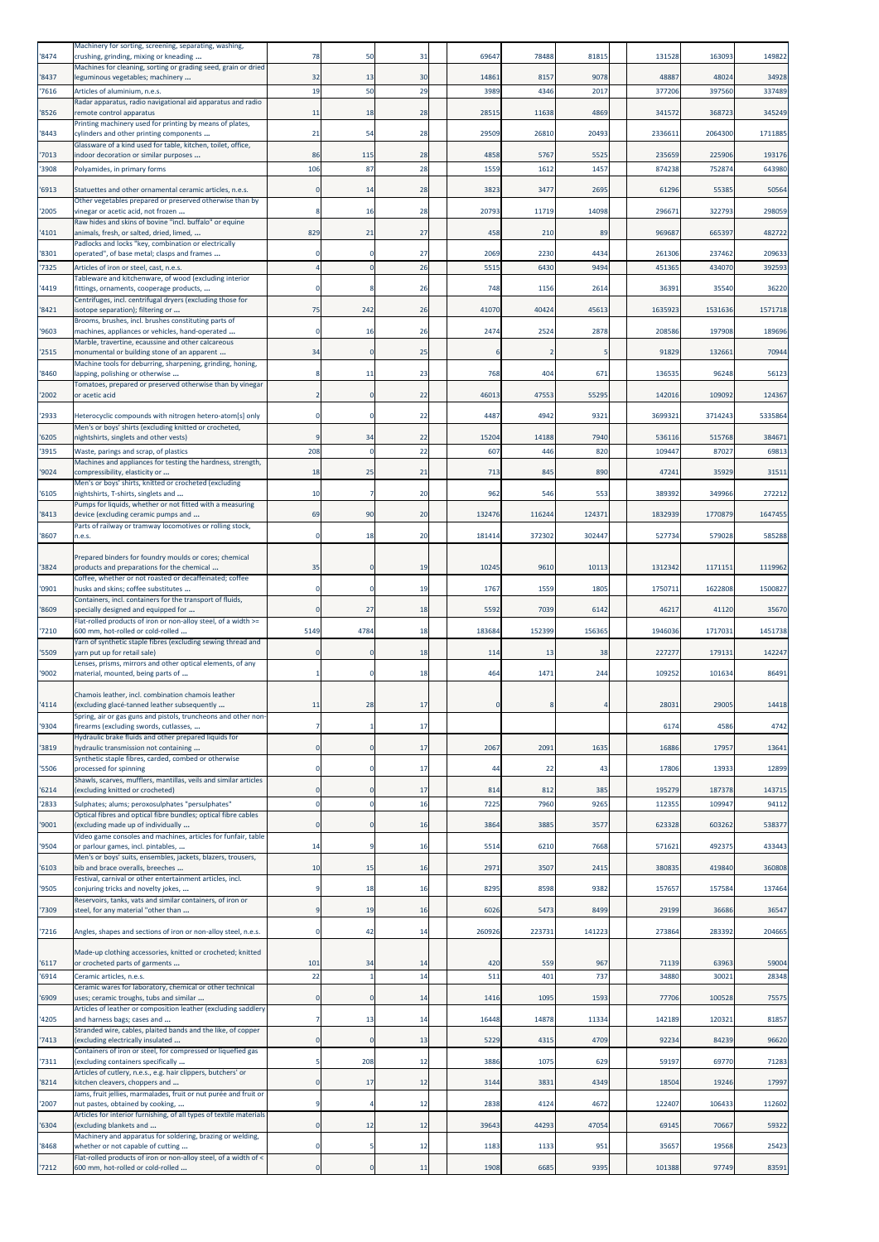| '8474        | Machinery for sorting, screening, separating, washing,<br>crushing, grinding, mixing or kneading                     | 78                            | 50           | 31       | 69647       | 78488       | 81815       | 131528           | 163093           | 149822          |
|--------------|----------------------------------------------------------------------------------------------------------------------|-------------------------------|--------------|----------|-------------|-------------|-------------|------------------|------------------|-----------------|
| '8437        | Machines for cleaning, sorting or grading seed, grain or dried<br>leguminous vegetables; machinery                   | 32                            | 13           | 30       | 14861       | 8157        | 9078        | 4888             | 48024            | 34928           |
| 7616         | Articles of aluminium, n.e.s.<br>Radar apparatus, radio navigational aid apparatus and radio                         | 19                            | 50           | 29       | 3989        | 4346        | 2017        | 377206           | 397560           | 337489          |
| 8526         | remote control apparatus<br>Printing machinery used for printing by means of plates,                                 | 11                            | 18           | 28       | 28515       | 11638       | 4869        | 341572           | 368723           | 345249          |
| '8443        | cylinders and other printing components<br>Glassware of a kind used for table, kitchen, toilet, office,              | 21                            | 54           | 28       | 29509       | 26810       | 20493       | 233661           | 2064300          | 1711885         |
| 7013         | indoor decoration or similar purposes                                                                                | 86                            | 115          | 28       | 4858        | 5767        | 552         | 235659           | 225906           | 193176          |
| 3908         | Polyamides, in primary forms                                                                                         | 106                           | 87           | 28       | 1559        | 1612        | 1457        | 874238           | 752874           | 643980          |
| 6913         | Statuettes and other ornamental ceramic articles, n.e.s.<br>Other vegetables prepared or preserved otherwise than by | C                             | 14           | 28       | 3823        | 3477        | 2695        | 61296            | 5538             | 50564           |
| '2005        | vinegar or acetic acid, not frozen<br>Raw hides and skins of bovine "incl. buffalo" or equine                        |                               | 16           | 28       | 20793       | 11719       | 14098       | 296671           | 322793           | 298059          |
| 4101         | animals, fresh, or salted, dried, limed,<br>Padlocks and locks "key, combination or electrically                     | 829                           | 21           | 27       | 458         | 210         | 89          | 96968            | 665397           | 482722          |
| '8301        | operated", of base metal; clasps and frames                                                                          |                               |              | 27       | 2069        | 2230        | 4434        | 261306           | 237462           | 209633          |
| 7325         | Articles of iron or steel, cast, n.e.s.<br>Tableware and kitchenware, of wood (excluding interior                    |                               |              | 26       | 551         | 6430        | 9494        | 45136            | 434070           | 392593          |
| 4419         | fittings, ornaments, cooperage products,<br>Centrifuges, incl. centrifugal dryers (excluding those for               |                               |              | 26       | 748         | 1156        | 2614        | 3639             | 35540            | 36220           |
| 8421         | isotope separation); filtering or<br>Brooms, brushes, incl. brushes constituting parts of                            | 75                            | 242          | 26       | 41070       | 40424       | 45613       | 1635923          | 1531636          | 1571718         |
| '9603        | machines, appliances or vehicles, hand-operated<br>Marble, travertine, ecaussine and other calcareous                | C                             | 16           | 26       | 2474        | 2524        | 2878        | 208586           | 197908           | 189696          |
| 2515         | monumental or building stone of an apparent<br>Machine tools for deburring, sharpening, grinding, honing,            | 34                            | $\Omega$     | 25       | 6           |             |             | 91829            | 132661           | 70944           |
| '8460        | lapping, polishing or otherwise                                                                                      | 8                             | 11           | 23       | 768         | 404         | 671         | 136535           | 96248            | 56123           |
| '2002        | Tomatoes, prepared or preserved otherwise than by vinegar<br>or acetic acid                                          | -2                            |              | 22       | 46013       | 47553       | 5529        | 14201            | 109092           | 124367          |
| '2933        | Heterocyclic compounds with nitrogen hetero-atom[s] only                                                             | $\mathfrak{c}$                |              | 22       | 4487        | 4942        | 9321        | 369932           | 3714243          | 5335864         |
| '6205        | Men's or boys' shirts (excluding knitted or crocheted,<br>nightshirts, singlets and other vests)                     |                               | 34           | 22       | 15204       | 14188       | 7940        | 536116           | 515768           | 384671          |
| 3915         | Waste, parings and scrap, of plastics<br>Machines and appliances for testing the hardness, strength,                 | 208                           |              | 22       | 607         | 446         | 820         | 109447           | 87027            | 69813           |
| '9024        | compressibility, elasticity or<br>Men's or boys' shirts, knitted or crocheted (excluding                             | 18                            | 25           | 21       | 713         | 845         | 890         | 4724             | 35929            | 31511           |
| 6105         | nightshirts, T-shirts, singlets and                                                                                  | 10                            |              | 20       | 962         | 546         | 553         | 389392           | 349966           | 272212          |
| '8413        | Pumps for liquids, whether or not fitted with a measuring<br>device (excluding ceramic pumps and                     | 69                            | 90           | 20       | 132476      | 116244      | 124371      | 1832939          | 1770879          | 1647455         |
| '8607        | Parts of railway or tramway locomotives or rolling stock,<br>n.e.s.                                                  | $\mathfrak{c}$                | 18           | 20       | 181414      | 372302      | 302447      | 527734           | 579028           | 585288          |
|              | Prepared binders for foundry moulds or cores; chemical                                                               |                               |              |          |             |             |             |                  |                  |                 |
| '3824        | products and preparations for the chemical<br>Coffee, whether or not roasted or decaffeinated; coffee                | 35                            | $\Omega$     | 19       | 10245       | 9610        | 10113       | 1312342          | 1171151          | 1119962         |
| '0901        | husks and skins; coffee substitutes<br>Containers, incl. containers for the transport of fluids,                     | -C                            |              | 19       | 1767        | 1559        | 1805        | 175071           | 1622808          | 1500827         |
| 8609         | specially designed and equipped for<br>Flat-rolled products of iron or non-alloy steel, of a width >=                | $\epsilon$                    | 27           | 18       | 5592        | 7039        | 6142        | 4621             | 41120            | 35670           |
| '7210        | 600 mm, hot-rolled or cold-rolled<br>Yarn of synthetic staple fibres (excluding sewing thread and                    | 5149                          | 4784         | 18       | 183684      | 152399      | 156365      | 1946036          | 1717031          | 1451738         |
| '5509        | yarn put up for retail sale)<br>Lenses, prisms, mirrors and other optical elements, of any                           |                               |              | 18       | 114         | 13          | 38          | 22727            | 17913:           | 142247          |
| '9002        | material, mounted, being parts of                                                                                    |                               |              | 18       | 464         | 1471        | 244         | 109252           | 101634           | 86491           |
| 4114         | Chamois leather, incl. combination chamois leather<br>excluding glacé-tanned leather subsequently                    | ш                             |              | 17       |             |             |             | 2803             | 2900             | 14418           |
| '9304        | Spring, air or gas guns and pistols, truncheons and other non-<br>firearms (excluding swords, cutlasses,             | 7                             |              | 17       |             |             |             | 6174             | 4586             | 4742            |
| '3819        | Hydraulic brake fluids and other prepared liquids for<br>hydraulic transmission not containing                       | $\mathbf 0$                   |              | 17       | 2067        | 2091        | 1635        | 16886            | 1795             | 13641           |
| '5506        | Synthetic staple fibres, carded, combed or otherwise                                                                 | $\mathbf 0$                   |              | 17       | 44          | 22          | 43          | 17806            | 13933            | 12899           |
|              | processed for spinning<br>Shawls, scarves, mufflers, mantillas, veils and similar articles                           |                               |              |          |             |             |             |                  |                  |                 |
| 6214<br>2833 | (excluding knitted or crocheted)<br>Sulphates; alums; peroxosulphates "persulphates"                                 | $\mathbf 0$<br>$\overline{0}$ |              | 17<br>16 | 814<br>7225 | 812<br>7960 | 385<br>9265 | 195279<br>112355 | 187378<br>109947 | 143715<br>94112 |
| 9001         | Optical fibres and optical fibre bundles; optical fibre cables<br>(excluding made up of individually                 | $\mathbf 0$                   |              | 16       | 3864        | 3885        | 3577        | 623328           | 603262           | 538377          |
| '9504        | Video game consoles and machines, articles for funfair, table<br>or parlour games, incl. pintables,                  | 14                            |              | 16       | 5514        | 6210        | 7668        | 57162            | 492375           | 433443          |
| '6103        | Men's or boys' suits, ensembles, jackets, blazers, trousers,<br>bib and brace overalls, breeches                     | 10                            | 15           | 16       | 2971        | 3507        | 2415        | 380835           | 419840           | 360808          |
| '9505        | Festival, carnival or other entertainment articles, incl.<br>conjuring tricks and novelty jokes,                     | 9                             | 18           | 16       | 8295        | 8598        | 9382        | 157657           | 157584           | 137464          |
| '7309        | Reservoirs, tanks, vats and similar containers, of iron or<br>steel, for any material "other than                    | 9                             | 19           | 16       | 6026        | 5473        | 8499        | 29199            | 36686            | 36547           |
| 7216         | Angles, shapes and sections of iron or non-alloy steel, n.e.s.                                                       | $\circ$                       | 42           | 14       | 260926      | 223731      | 141223      | 273864           | 283392           | 204665          |
|              |                                                                                                                      |                               |              |          |             |             |             |                  |                  |                 |
| '6117        | Made-up clothing accessories, knitted or crocheted; knitted<br>or crocheted parts of garments                        | 101                           | 34           | 14       | 420         | 559         | 967         | 71139            | 63963            | 59004           |
| 6914         | Ceramic articles, n.e.s.<br>Ceramic wares for laboratory, chemical or other technical                                | 22                            | $\mathbf{1}$ | 14       | 511         | 401         | 737         | 34880            | 30021            | 28348           |
| 6909         | uses; ceramic troughs, tubs and similar<br>Articles of leather or composition leather (excluding saddlery            | $\mathfrak{c}$                |              | 14       | 1416        | 1095        | 1593        | 77706            | 100528           | 75575           |
| 4205         | and harness bags; cases and<br>Stranded wire, cables, plaited bands and the like, of copper                          |                               | 13           | 14       | 16448       | 14878       | 11334       | 142189           | 120321           | 81857           |
| '7413        | (excluding electrically insulated<br>Containers of iron or steel, for compressed or liquefied gas                    | $\mathbf 0$                   | $\Omega$     | 13       | 5229        | 4315        | 4709        | 92234            | 84239            | 96620           |
| '7311        | (excluding containers specifically                                                                                   |                               | 208          | 12       | 3886        | 1075        | 629         | 59197            | 69770            | 71283           |
| 8214         | Articles of cutlery, n.e.s., e.g. hair clippers, butchers' or<br>kitchen cleavers, choppers and                      | 0                             | 17           | 12       | 3144        | 3831        | 4349        | 18504            | 19246            | 17997           |
| '2007        | Jams, fruit jellies, marmalades, fruit or nut purée and fruit or<br>nut pastes, obtained by cooking,                 | S                             |              | 12       | 2838        | 4124        | 4672        | 122407           | 106433           | 112602          |
| '6304        | Articles for interior furnishing, of all types of textile materials<br>(excluding blankets and                       | $\epsilon$                    | 12           | 12       | 39643       | 44293       | 47054       | 69145            | 70667            | 59322           |
| '8468        | Machinery and apparatus for soldering, brazing or welding,<br>whether or not capable of cutting                      | $\circ$                       |              | 12       | 1183        | 1133        | 951         | 35657            | 19568            | 25423           |
| '7212        | Flat-rolled products of iron or non-alloy steel, of a width of <<br>600 mm, hot-rolled or cold-rolled                | $\mathbf 0$                   | $\mathbf 0$  | 11       | 1908        | 6685        | 9395        | 101388           | 97749            | 83591           |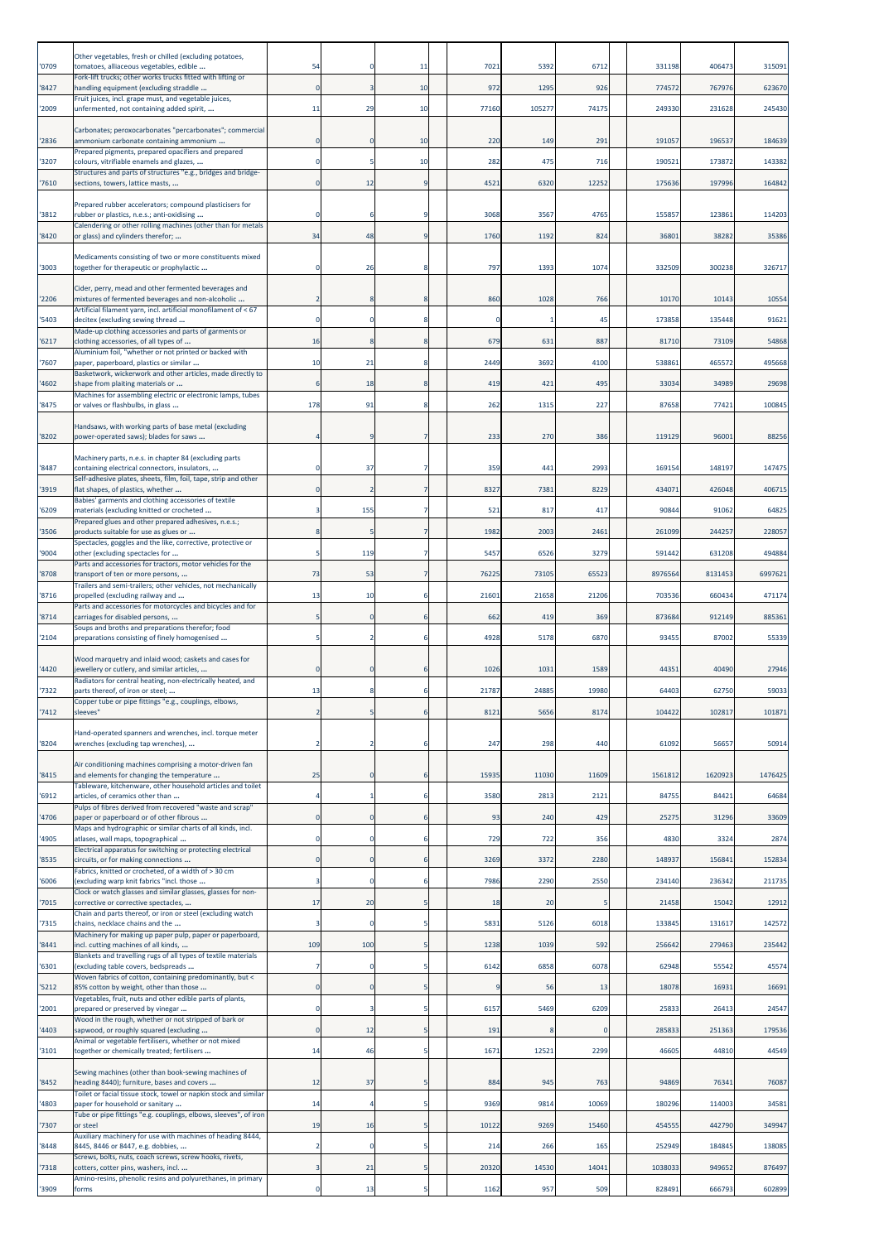| '0709 | Other vegetables, fresh or chilled (excluding potatoes,<br>tomatoes, alliaceous vegetables, edible        | 54             |                | 11     | 7021       | 5392        | 6712       | 331198  | 406473  | 315091          |
|-------|-----------------------------------------------------------------------------------------------------------|----------------|----------------|--------|------------|-------------|------------|---------|---------|-----------------|
| '8427 | Fork-lift trucks; other works trucks fitted with lifting or<br>handling equipment (excluding straddle     | $\overline{0}$ |                | 10     | 972        | 1295        | 926        | 774572  | 767976  | 623670          |
| '2009 | Fruit juices, incl. grape must, and vegetable juices,<br>unfermented, not containing added spirit,        | 11             | 29             | 10     | 77160      | 105277      | 74175      | 249330  | 231628  | 245430          |
| '2836 | Carbonates; peroxocarbonates "percarbonates"; commercial<br>ammonium carbonate containing ammonium        | 0              |                | 10     | 220        | 149         | 291        | 191057  | 196537  | 184639          |
| '3207 | Prepared pigments, prepared opacifiers and prepared<br>colours, vitrifiable enamels and glazes,           | $\Omega$       | 5              | 10     | 282        | 475         | 716        | 190521  | 173872  | 143382          |
| 7610  | Structures and parts of structures "e.g., bridges and bridge-<br>sections, towers, lattice masts,         |                | 12             | 9      | 4521       | 6320        | 12252      | 175636  | 197996  | 164842          |
| 3812  | Prepared rubber accelerators; compound plasticisers for<br>rubber or plastics, n.e.s.; anti-oxidising     |                |                | q      | 3068       | 3567        | 4765       | 155857  | 123861  | 114203          |
| '8420 | Calendering or other rolling machines (other than for metals<br>or glass) and cylinders therefor;         | 34             | 48             | 9      | 1760       | 1192        | 824        | 36801   | 38282   | 35386           |
| '3003 | Medicaments consisting of two or more constituents mixed<br>together for therapeutic or prophylactic      |                | 26             |        | 797        | 1393        | 1074       | 332509  | 300238  | 326717          |
| '2206 | Cider, perry, mead and other fermented beverages and<br>mixtures of fermented beverages and non-alcoholic |                |                | 8      | 860        | 1028        | 766        | 10170   | 10143   | 10554           |
| 5403  | Artificial filament yarn, incl. artificial monofilament of < 67<br>decitex (excluding sewing thread       | 0              |                | 8      | 0          |             | 45         | 173858  | 135448  | 91621           |
| 6217  | Made-up clothing accessories and parts of garments or<br>clothing accessories, of all types of            | 16             |                | 8      | 679        | 631         | 887        | 81710   | 73109   | 54868           |
|       | Aluminium foil, "whether or not printed or backed with                                                    | 10             |                | 8      |            | 3692        | 4100       |         |         |                 |
| '7607 | paper, paperboard, plastics or similar<br>Basketwork, wickerwork and other articles, made directly to     |                | 21             |        | 2449       |             |            | 538861  | 465572  | 495668          |
| 4602  | shape from plaiting materials or<br>Machines for assembling electric or electronic lamps, tubes           | 6<br>178       | 18<br>91       | 8<br>8 | 419<br>262 | 421<br>1315 | 495<br>227 | 33034   | 34989   | 29698<br>100845 |
| 8475  | or valves or flashbulbs, in glass                                                                         |                |                |        |            |             |            | 87658   | 77421   |                 |
| '8202 | Handsaws, with working parts of base metal (excluding<br>power-operated saws); blades for saws            |                | q              | 7      | 233        | 270         | 386        | 119129  | 96001   | 88256           |
| '8487 | Machinery parts, n.e.s. in chapter 84 (excluding parts<br>containing electrical connectors, insulators,   | $\Omega$       | 37             | 7      | 359        | 441         | 2993       | 169154  | 148197  | 147475          |
| '3919 | Self-adhesive plates, sheets, film, foil, tape, strip and other<br>flat shapes, of plastics, whether      | $\Omega$       | 2              | 7      | 8327       | 7381        | 8229       | 434071  | 426048  | 406715          |
| 6209  | Babies' garments and clothing accessories of textile<br>materials (excluding knitted or crocheted         |                | 155            |        | 521        | 817         | 417        | 90844   | 91062   | 64825           |
| '3506 | Prepared glues and other prepared adhesives, n.e.s.;<br>products suitable for use as glues or             |                |                |        | 1982       | 2003        | 2461       | 261099  | 244257  | 228057          |
| '9004 | Spectacles, goggles and the like, corrective, protective or<br>other (excluding spectacles for            |                | 119            | 7      | 5457       | 6526        | 3279       | 591442  | 631208  | 494884          |
| '8708 | Parts and accessories for tractors, motor vehicles for the<br>transport of ten or more persons,           | 73             | 53             | 7      | 76225      | 73105       | 65523      | 8976564 | 8131453 | 6997621         |
| 8716  | Trailers and semi-trailers; other vehicles, not mechanically<br>propelled (excluding railway and          | 13             | 10             | 6      | 21601      | 21658       | 21206      | 703536  | 660434  | 471174          |
| '8714 | Parts and accessories for motorcycles and bicycles and for<br>carriages for disabled persons,             |                |                | 6      | 662        | 419         | 369        | 873684  | 912149  | 885361          |
| 2104  | Soups and broths and preparations therefor; food<br>preparations consisting of finely homogenised         |                | $\overline{2}$ | 6      | 4928       | 5178        | 6870       | 93455   | 87002   | 55339           |
| 4420  | Wood marquetry and inlaid wood; caskets and cases for<br>ewellery or cutlery, and similar articles,       |                |                | 6      | 1026       | 1031        | 1589       | 44351   | 40490   | 27946           |
| '7322 | Radiators for central heating, non-electrically heated, and<br>parts thereof, of iron or steel;           | 13             |                |        | 21787      | 24885       | 19980      | 64403   | 62750   | 59033           |
| 7412  | Copper tube or pipe fittings "e.g., couplings, elbows,<br>sleeves"                                        |                |                | 6      | 8121       | 5656        | 8174       | 104422  | 102817  | 101871          |
| 8204  | Hand-operated spanners and wrenches, incl. torque meter<br>wrenches (excluding tap wrenches),             | $\overline{2}$ |                | 6      | 247        | 298         | 440        | 61092   | 56657   | 50914           |
| 8415  | Air conditioning machines comprising a motor-driven fan<br>and elements for changing the temperature      | 25             |                | 6      | 15935      | 11030       | 11609      | 1561812 | 1620923 | 1476425         |
|       | Tableware, kitchenware, other household articles and toilet                                               |                |                | 6      |            | 2813        | 2121       | 84755   | 84421   | 64684           |
| '6912 | articles, of ceramics other than<br>Pulps of fibres derived from recovered "waste and scrap'              |                |                |        | 3580       |             |            |         |         |                 |
| 4706  | paper or paperboard or of other fibrous<br>Maps and hydrographic or similar charts of all kinds, incl.    | 0              | $\Omega$       | 6      | 93         | 240         | 429        | 25275   | 31296   | 33609           |
| 4905  | atlases, wall maps, topographical<br>Electrical apparatus for switching or protecting electrical          | $\Omega$       | $\Omega$       | 6      | 729        | 722         | 356        | 4830    | 3324    | 2874            |
| '8535 | circuits, or for making connections<br>Fabrics, knitted or crocheted, of a width of > 30 cm               | 0              |                | 6      | 3269       | 3372        | 2280       | 148937  | 156841  | 152834          |
| '6006 | (excluding warp knit fabrics "incl. those<br>Clock or watch glasses and similar glasses, glasses for non- | 3              | $\Omega$       | 6      | 7986       | 2290        | 2550       | 234140  | 236342  | 211735          |
| 7015  | corrective or corrective spectacles,<br>Chain and parts thereof, or iron or steel (excluding watch        | 17             | 20             | 5      | 18         | 20          |            | 21458   | 15042   | 12912           |
| '7315 | chains, necklace chains and the<br>Machinery for making up paper pulp, paper or paperboard,               | -3             | $\Omega$       | 5      | 5831       | 5126        | 6018       | 133845  | 131617  | 142572          |
| 8441  | incl. cutting machines of all kinds,<br>Blankets and travelling rugs of all types of textile materials    | 109            | 100            | 5      | 1238       | 1039        | 592        | 256642  | 279463  | 235442          |
| 6301  | excluding table covers, bedspreads<br>Woven fabrics of cotton, containing predominantly, but <            |                |                |        | 6142       | 6858        | 6078       | 62948   | 55542   | 45574           |
| 5212  | 85% cotton by weight, other than those<br>Vegetables, fruit, nuts and other edible parts of plants,       | $\Omega$       | $\Omega$       | 5      | -9         | 56          | 13         | 18078   | 16931   | 16691           |
| '2001 | prepared or preserved by vinegar<br>Wood in the rough, whether or not stripped of bark or                 | $\Omega$       | 3              | 5      | 6157       | 5469        | 6209       | 25833   | 26413   | 24547           |
| 4403  | sapwood, or roughly squared (excluding<br>Animal or vegetable fertilisers, whether or not mixed           | $\mathbf{0}$   | 12             | 5      | 191        | 8           | $\Omega$   | 285833  | 251363  | 179536          |
| '3101 | together or chemically treated; fertilisers                                                               | 14             | 46             | 5      | 1671       | 12521       | 2299       | 46605   | 44810   | 44549           |
| '8452 | Sewing machines (other than book-sewing machines of<br>heading 8440); furniture, bases and covers         | 12             | 37             | 5      | 884        | 945         | 763        | 94869   | 76341   | 76087           |
| 4803  | Toilet or facial tissue stock, towel or napkin stock and similar<br>paper for household or sanitary       | 14             |                |        | 9369       | 9814        | 10069      | 180296  | 114003  | 34581           |
| 7307  | Tube or pipe fittings "e.g. couplings, elbows, sleeves", of iron<br>or steel                              | 19             | 16             |        | 10122      | 9269        | 15460      | 454555  | 442790  | 349947          |
| 8448  | Auxiliary machinery for use with machines of heading 8444,<br>8445, 8446 or 8447, e.g. dobbies,           | $\overline{2}$ | C              | 5      | 214        | 266         | 165        | 252949  | 184845  | 138085          |
| 7318  | Screws, bolts, nuts, coach screws, screw hooks, rivets,<br>cotters, cotter pins, washers, incl.           |                | 21             |        | 20320      | 14530       | 14041      | 1038033 | 949652  | 876497          |
| '3909 | Amino-resins, phenolic resins and polyurethanes, in primary<br>forms                                      | 0              | 13             | 5      | 1162       | 957         | 509        | 828491  | 666793  | 602899          |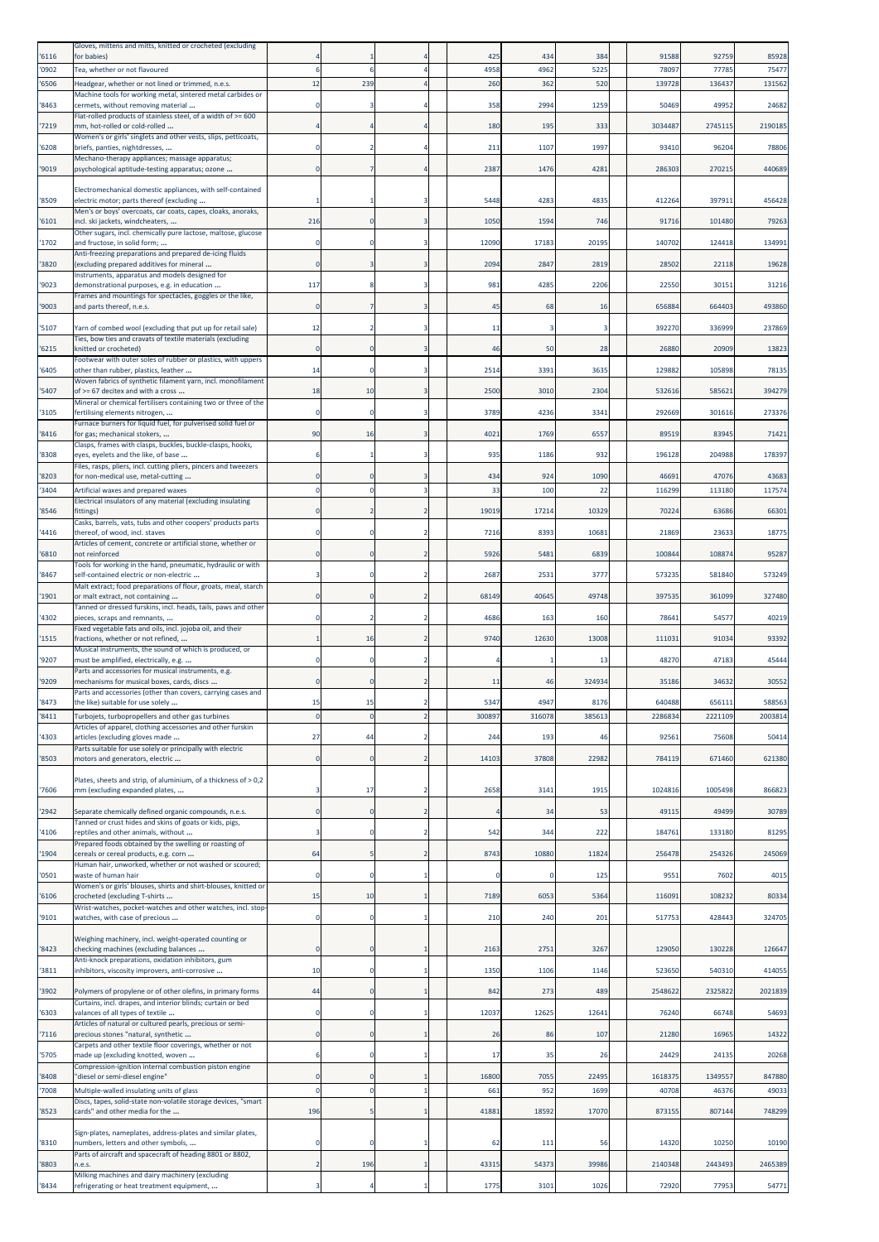| 6116         | Gloves, mittens and mitts, knitted or crocheted (excluding<br>for babies)                                   |                |             |                          | 425           | 434           | 384          | 91588            | 92759             | 85928            |
|--------------|-------------------------------------------------------------------------------------------------------------|----------------|-------------|--------------------------|---------------|---------------|--------------|------------------|-------------------|------------------|
| '0902        | Tea, whether or not flavoured                                                                               |                |             |                          | 4958          | 4962          | 522          | 7809             | 7778              | 75477            |
| 6506         | Headgear, whether or not lined or trimmed, n.e.s.                                                           | 12             | 239         |                          | 260           | 362           | 520          | 139728           | 136437            | 131562           |
| '8463        | Machine tools for working metal, sintered metal carbides or<br>cermets, without removing material           |                |             |                          | 358           | 2994          | 1259         | 50469            | 49952             | 24682            |
| '7219        | Flat-rolled products of stainless steel, of a width of >= 600<br>mm, hot-rolled or cold-rolled              |                |             |                          | 180           | 195           | 333          | 3034487          | 2745115           | 2190185          |
| 6208         | Women's or girls' singlets and other vests, slips, petticoats,<br>briefs, panties, nightdresses,            |                |             |                          | 211           | 1107          | 1997         | 93410            | 96204             | 78806            |
|              | Mechano-therapy appliances; massage apparatus;                                                              |                |             |                          |               |               |              |                  |                   |                  |
| 9019         | psychological aptitude-testing apparatus; ozone                                                             | $\epsilon$     |             |                          | 2387          | 1476          | 4281         | 286303           | 270215            | 440689           |
| '8509        | Electromechanical domestic appliances, with self-contained<br>electric motor; parts thereof (excluding      |                |             |                          | 5448          | 4283          | 4835         | 41226            | 39791             | 456428           |
| 6101         | Men's or boys' overcoats, car coats, capes, cloaks, anoraks,<br>incl. ski jackets, windcheaters,            | 216            |             | 3                        | 1050          | 1594          | 746          | 91716            | 101480            | 79263            |
|              | Other sugars, incl. chemically pure lactose, maltose, glucose                                               |                |             |                          |               |               |              |                  |                   |                  |
| 1702         | and fructose, in solid form;<br>Anti-freezing preparations and prepared de-icing fluids                     |                |             |                          | 12090         | 17183         | 20195        | 140702           | 124418            | 134991           |
| '3820        | (excluding prepared additives for mineral<br>Instruments, apparatus and models designed for                 | $\mathfrak{c}$ |             |                          | 2094          | 2847          | 2819         | 28502            | 22118             | 19628            |
| '9023        | demonstrational purposes, e.g. in education                                                                 | 117            |             |                          | 981           | 4285          | 2206         | 22550            | 30151             | 31216            |
| '9003        | Frames and mountings for spectacles, goggles or the like,<br>and parts thereof, n.e.s.                      | 0              |             |                          | 45            | 68            | 16           | 656884           | 664403            | 493860           |
| 5107         | Yarn of combed wool (excluding that put up for retail sale)                                                 | 12             |             |                          | 11            |               |              | 392270           | 336999            | 237869           |
| 6215         | Ties, bow ties and cravats of textile materials (excluding<br>(nitted or crocheted)                         |                |             |                          | 46            | 50            | 28           | 26880            | 20909             | 13823            |
|              | Footwear with outer soles of rubber or plastics, with uppers                                                |                |             |                          |               |               |              |                  |                   |                  |
| 6405         | other than rubber, plastics, leather<br>Woven fabrics of synthetic filament yarn, incl. monofilament        | 14             |             |                          | 2514          | 3391          | 3635         | 129882           | 105898            | 78135            |
| 5407         | of >= 67 decitex and with a cross<br>Mineral or chemical fertilisers containing two or three of the         | 18             | 10          | 3                        | 2500          | 3010          | 2304         | 532616           | 58562             | 394279           |
| 3105         | fertilising elements nitrogen,<br>Furnace burners for liquid fuel, for pulverised solid fuel or             | -C             | $\Omega$    |                          | 3789          | 4236          | 3341         | 292669           | 301616            | 273376           |
| 8416         | for gas; mechanical stokers,                                                                                | 90             | 16          |                          | 4021          | 1769          | 6557         | 89519            | 8394              | 71421            |
| '8308        | Clasps, frames with clasps, buckles, buckle-clasps, hooks,<br>eyes, eyelets and the like, of base           |                |             |                          | 935           | 1186          | 932          | 196128           | 204988            | 178397           |
| '8203        | Files, rasps, pliers, incl. cutting pliers, pincers and tweezers<br>for non-medical use, metal-cutting      |                |             |                          | 434           | 924           | 1090         | 46691            | 47076             | 43683            |
| '3404        | Artificial waxes and prepared waxes                                                                         | -C             |             | 3                        | 33            | 100           | 22           | 116299           | 113180            | 117574           |
| '8546        | Electrical insulators of any material (excluding insulating<br>fittings)                                    |                |             |                          | 19019         | 17214         | 10329        | 70224            | 63686             | 66301            |
| 4416         | Casks, barrels, vats, tubs and other coopers' products parts<br>thereof, of wood, incl. staves              |                |             |                          | 7216          | 8393          | 10681        | 21869            | 23633             | 18775            |
| 6810         | Articles of cement, concrete or artificial stone, whether or<br>not reinforced                              | $\epsilon$     |             |                          | 5926          | 5481          | 6839         | 100844           | 108874            | 95287            |
|              | Tools for working in the hand, pneumatic, hydraulic or with                                                 |                |             |                          |               |               |              |                  |                   |                  |
| 8467         | self-contained electric or non-electric<br>Malt extract; food preparations of flour, groats, meal, starch   |                |             |                          | 2687          | 2531          | 3777         | 573235           | 581840            | 573249           |
| '1901        | or malt extract, not containing<br>Tanned or dressed furskins, incl. heads, tails, paws and other           |                |             | $\overline{2}$           | 68149         | 40645         | 49748        | 397535           | 361099            | 327480           |
| '4302        | pieces, scraps and remnants,                                                                                |                |             |                          | 4686          | 163           | 160          | 78641            | 5457              | 40219            |
| '1515        | Fixed vegetable fats and oils, incl. jojoba oil, and their<br>fractions, whether or not refined,            |                | 16          |                          | 9740          | 12630         | 13008        | 11103            | 91034             | 93392            |
| '9207        | Musical instruments, the sound of which is produced, or<br>must be amplified, electrically, e.g.            | -C             |             |                          |               |               | 13           | 48270            | 47183             | 45444            |
| '9209        | Parts and accessories for musical instruments, e.g.<br>mechanisms for musical boxes, cards, discs           |                |             |                          | 11            | 46            | 324934       | 35186            | 34632             | 30552            |
|              | Parts and accessories (other than covers, carrying cases and                                                |                |             |                          |               |               |              |                  |                   |                  |
| 8473<br>8411 | he like) suitable for use solely<br>Turbojets, turbopropellers and other gas turbines                       |                |             |                          | 5347<br>30089 | 494<br>316078 | 817<br>38561 | 640488<br>228683 | 65611:<br>2221109 | 58856<br>2003814 |
| '4303        | Articles of apparel, clothing accessories and other furskin<br>articles (excluding gloves made              | 27             | 44          |                          | 244           | 193           | 46           | 92561            | 75608             | 50414            |
|              | Parts suitable for use solely or principally with electric                                                  |                | $\Omega$    |                          |               |               |              |                  |                   |                  |
| '8503        | motors and generators, electric                                                                             | $\mathbf 0$    |             | $\overline{2}$           | 14103         | 37808         | 22982        | 784119           | 671460            | 621380           |
| '7606        | Plates, sheets and strip, of aluminium, of a thickness of > 0,2<br>mm (excluding expanded plates,           | в              | 17          | $\overline{\mathbf{2}}$  | 2658          | 3141          | 1915         | 1024816          | 1005498           | 866823           |
| '2942        | Separate chemically defined organic compounds, n.e.s.                                                       | $\mathbf 0$    | $\mathbf 0$ | $\overline{\phantom{a}}$ |               | 34            | 53           | 49115            | 49499             | 30789            |
|              | Tanned or crust hides and skins of goats or kids, pigs,                                                     |                |             |                          |               |               |              |                  |                   |                  |
| 4106         | reptiles and other animals, without<br>Prepared foods obtained by the swelling or roasting of               | в              | 0           | $\overline{2}$           | 542           | 344           | 222          | 184761           | 133180            | 81295            |
| 1904         | cereals or cereal products, e.g. corn<br>Human hair, unworked, whether or not washed or scoured;            | 64             |             | $\overline{2}$           | 8743          | 10880         | 11824        | 256478           | 254326            | 245069           |
| '0501        | waste of human hair<br>Women's or girls' blouses, shirts and shirt-blouses, knitted or                      | C              |             |                          | 0             |               | 125          | 9551             | 7602              | 4015             |
| '6106        | crocheted (excluding T-shirts<br>Wrist-watches, pocket-watches and other watches, incl. stop-               | 15             | 10          |                          | 7189          | 6053          | 5364         | 116091           | 108232            | 80334            |
| '9101        | watches, with case of precious                                                                              | $\mathbf 0$    | $\mathbf 0$ |                          | 210           | 240           | 201          | 517753           | 428443            | 324705           |
| '8423        | Weighing machinery, incl. weight-operated counting or<br>checking machines (excluding balances              | $\mathbf 0$    | $\mathbf 0$ |                          | 2163          | 2751          | 3267         | 129050           | 130228            | 126647           |
| 3811         | Anti-knock preparations, oxidation inhibitors, gum<br>inhibitors, viscosity improvers, anti-corrosive       | 10             | $\mathbf 0$ |                          | 1350          | 1106          | 1146         | 523650           | 540310            | 414055           |
| 3902         | Polymers of propylene or of other olefins, in primary forms                                                 | 44             | 0           |                          | 842           | 273           | 489          | 2548622          | 2325822           | 2021839          |
|              | Curtains, incl. drapes, and interior blinds; curtain or bed                                                 |                |             |                          |               |               |              |                  |                   |                  |
| 6303         | valances of all types of textile<br>Articles of natural or cultured pearls, precious or semi-               | C              |             |                          | 12037         | 12625         | 12641        | 76240            | 66748             | 54693            |
| '7116        | precious stones "natural, synthetic<br>Carpets and other textile floor coverings, whether or not            | $\mathbf 0$    |             |                          | 26            | 86            | 107          | 21280            | 16965             | 14322            |
| '5705        | made up (excluding knotted, woven<br>Compression-ignition internal combustion piston engine                 |                |             |                          | 17            | 35            | 26           | 24429            | 24135             | 20268            |
| 8408         | "diesel or semi-diesel engine"                                                                              | C              |             |                          | 16800         | 7055          | 22495        | 1618375          | 1349557           | 847880           |
| '7008        | Multiple-walled insulating units of glass<br>Discs, tapes, solid-state non-volatile storage devices, "smart | C              |             |                          | 661           | 952           | 1699         | 40708            | 46376             | 49033            |
| 8523         | cards" and other media for the                                                                              | 196            |             |                          | 41881         | 18592         | 17070        | 873155           | 807144            | 748299           |
| '8310        | Sign-plates, nameplates, address-plates and similar plates,<br>numbers, letters and other symbols,          | C              | 0           |                          | 62            | 111           | 56           | 14320            | 10250             | 10190            |
| 8803         | Parts of aircraft and spacecraft of heading 8801 or 8802,<br>n.e.s.                                         | -2             | 196         | 1                        | 43315         | 54373         | 39986        | 2140348          | 2443493           | 2465389          |
| '8434        | Milking machines and dairy machinery (excluding<br>refrigerating or heat treatment equipment,               | в              |             |                          | 1775          | 3101          | 1026         | 72920            | 77953             | 54771            |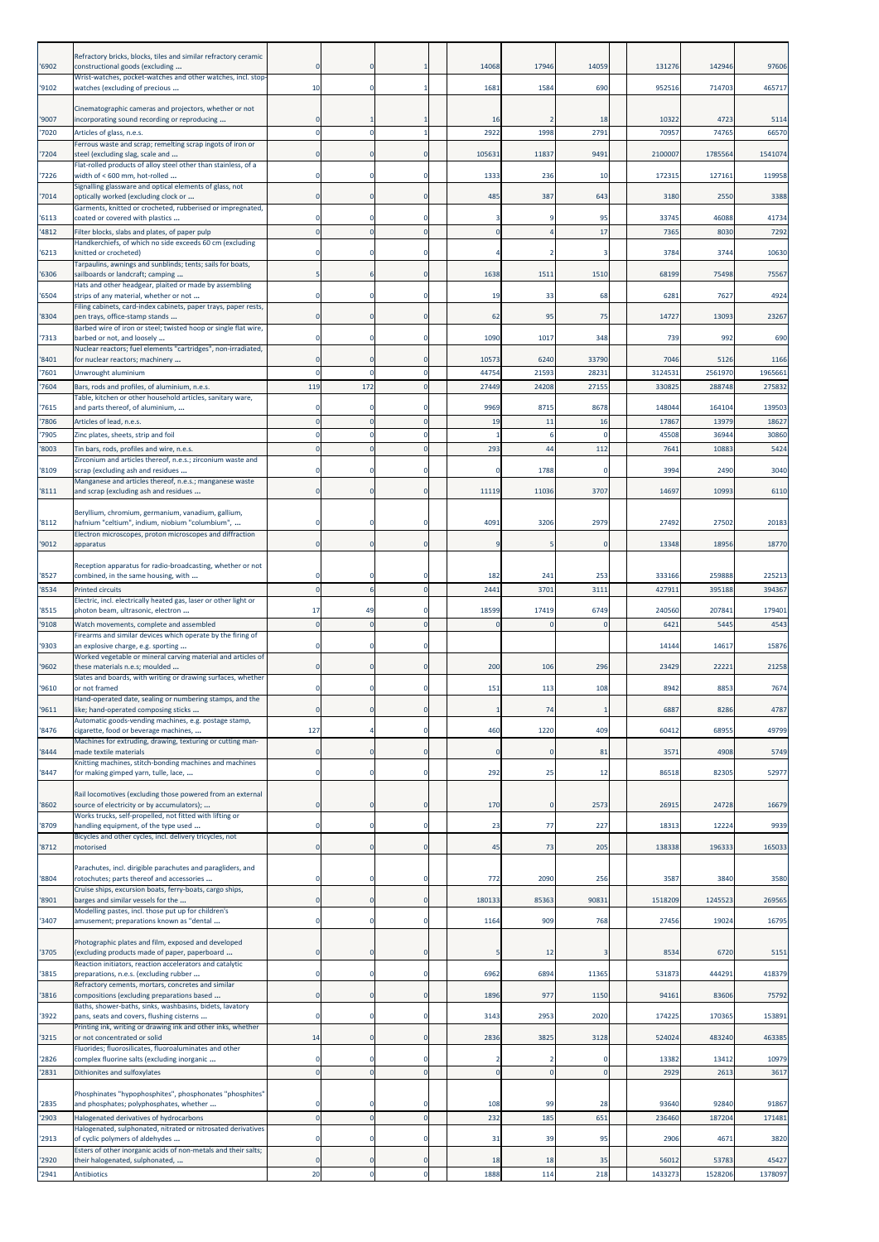| '6902          | Refractory bricks, blocks, tiles and similar refractory ceramic<br>constructional goods (excluding          |             |             |                      | 14068       | 17946        | 14059       | 131276           | 142946           | 97606            |
|----------------|-------------------------------------------------------------------------------------------------------------|-------------|-------------|----------------------|-------------|--------------|-------------|------------------|------------------|------------------|
| '9102          | Wrist-watches, pocket-watches and other watches, incl. stop-<br>watches (excluding of precious              | 10          | 0           |                      | 1681        | 1584         | 690         | 952516           | 714703           | 465717           |
|                | Cinematographic cameras and projectors, whether or not                                                      |             |             |                      |             |              |             |                  |                  |                  |
| '9007<br>'7020 | incorporating sound recording or reproducing<br>Articles of glass, n.e.s.                                   |             |             |                      | 16<br>2922  | 1998         | 18<br>2791  | 10322<br>70957   | 4723<br>74765    | 5114<br>66570    |
| '7204          | Ferrous waste and scrap; remelting scrap ingots of iron or<br>steel (excluding slag, scale and              |             |             | $\mathbf{0}$         | 105631      | 11837        | 9491        | 2100007          | 1785564          | 1541074          |
| '7226          | Flat-rolled products of alloy steel other than stainless, of a<br>width of < 600 mm, hot-rolled             |             |             | $\Omega$             | 1333        | 236          | 10          | 172315           | 127161           | 119958           |
| 7014           | Signalling glassware and optical elements of glass, not<br>optically worked (excluding clock or             |             |             | $\mathbf 0$          | 485         | 387          | 643         | 3180             | 2550             | 3388             |
| '6113          | Garments, knitted or crocheted, rubberised or impregnated,<br>coated or covered with plastics               |             |             | $\Omega$             |             |              | 95          | 33745            | 46088            | 41734            |
| '4812          | Filter blocks, slabs and plates, of paper pulp                                                              |             |             | $\mathbf 0$          |             |              | 17          | 7365             | 8030             | 7292             |
| '6213          | Handkerchiefs, of which no side exceeds 60 cm (excluding<br>knitted or crocheted)                           |             |             | $\Omega$             |             |              | 3           | 3784             | 3744             | 10630            |
| '6306          | Tarpaulins, awnings and sunblinds; tents; sails for boats,<br>sailboards or landcraft; camping              |             |             | $\Omega$             | 1638        | 1511         | 1510        | 68199            | 75498            | 75567            |
| '6504          | Hats and other headgear, plaited or made by assembling<br>strips of any material, whether or not            |             |             | $\Omega$             | 19          | 33           | 68          | 6281             | 7627             | 4924             |
| '8304          | Filing cabinets, card-index cabinets, paper trays, paper rests,<br>pen trays, office-stamp stands           |             |             | $\Omega$             | 62          | 95           | 75          | 14727            | 13093            | 23267            |
| '7313          | Barbed wire of iron or steel; twisted hoop or single flat wire,<br>barbed or not, and loosely               |             |             | 0                    | 1090        | 1017         | 348         | 739              | 992              | 690              |
| '8401          | Nuclear reactors; fuel elements "cartridges", non-irradiated,<br>for nuclear reactors; machinery            |             |             | $\Omega$             | 10573       | 6240         | 33790       | 7046             | 5126             | 1166             |
| '7601          | Unwrought aluminium                                                                                         |             |             | $\Omega$             | 44754       | 2159         | 2823        | 3124531          | 2561970          | 1965661          |
| '7604          | Bars, rods and profiles, of aluminium, n.e.s.<br>Table, kitchen or other household articles, sanitary ware, | 119         | 172         | $\Omega$             | 27449       | 24208        | 27155       | 33082            | 288748           | 275832           |
| 7615<br>7806   | and parts thereof, of aluminium,<br>Articles of lead, n.e.s.                                                |             |             | $\Omega$<br>$\Omega$ | 9969<br>19  | 8715<br>11   | 8678<br>16  | 148044<br>17867  | 164104<br>13979  | 139503<br>18627  |
| 7905           | Zinc plates, sheets, strip and foil                                                                         |             |             | $\Omega$             |             | 6            |             | 45508            | 36944            | 30860            |
| '8003          | Tin bars, rods, profiles and wire, n.e.s.<br>Zirconium and articles thereof, n.e.s.; zirconium waste and    |             |             |                      | 293         | 44           | 112         | 7641             | 10883            | 5424             |
| '8109          | scrap (excluding ash and residues<br>Manganese and articles thereof, n.e.s.; manganese waste                |             |             | $\Omega$             | O           | 1788         | $\Omega$    | 3994             | 2490             | 3040             |
| '8111          | and scrap (excluding ash and residues                                                                       |             |             | $\Omega$             | 11119       | 11036        | 3707        | 14697            | 10993            | 6110             |
| '8112          | Beryllium, chromium, germanium, vanadium, gallium,<br>hafnium "celtium", indium, niobium "columbium",       |             |             | $\Omega$             | 4091        | 3206         | 2979        | 27492            | 27502            | 20183            |
| '9012          | Electron microscopes, proton microscopes and diffraction<br>apparatus                                       |             |             | $\bf{0}$             | <b>q</b>    | 5            | $\Omega$    | 13348            | 18956            | 18770            |
|                | Reception apparatus for radio-broadcasting, whether or not                                                  |             |             |                      |             |              |             |                  |                  |                  |
| '8527<br>'8534 | combined, in the same housing, with                                                                         | $\Omega$    |             | $\Omega$<br>$\Omega$ | 182<br>2441 | 241<br>3701  | 253<br>3111 | 333166<br>427911 | 259888<br>395188 | 225213<br>394367 |
|                | <b>Printed circuits</b><br>Electric, incl. electrically heated gas, laser or other light or                 | 17          | 49          | $\Omega$             | 18599       | 17419        | 6749        | 240560           | 207841           |                  |
| '8515<br>'9108 | photon beam, ultrasonic, electron<br>Watch movements, complete and assembled                                | $\Omega$    |             | $\mathbf{0}$         | $\Omega$    | $\Omega$     | $\Omega$    | 6421             | 5445             | 179401<br>4543   |
| '9303          | Firearms and similar devices which operate by the firing of<br>an explosive charge, e.g. sporting           |             |             | $\Omega$             |             |              |             | 14144            | 14617            | 15876            |
| '9602          | Worked vegetable or mineral carving material and articles of<br>these materials n.e.s; moulded              | O           | 0           | $\mathbf 0$          | 200         | 106          | 296         | 23429            | 22221            | 21258            |
| '9610          | Slates and boards, with writing or drawing surfaces, whether<br>or not framed                               |             |             |                      | 151         | 113          | 108         | 8942             | 8853             | 7674             |
| '9611          | Hand-operated date, sealing or numbering stamps, and the<br>like; hand-operated composing sticks            | 0           |             | $\bf{0}$             |             | 74           |             | 6887             | 8286             | 4787             |
| 8476           | Automatic goods-vending machines, e.g. postage stamp,<br>cigarette, food or beverage machines,              | 127         |             | $\mathbf 0$          | 460         | 1220         | 409         | 60412            | 68955            | 49799            |
| 8444           | Machines for extruding, drawing, texturing or cutting man-<br>made textile materials                        | $\Omega$    |             | $\mathbf 0$          | $\Omega$    |              | 81          | 3571             | 4908             | 5749             |
| '8447          | Knitting machines, stitch-bonding machines and machines<br>for making gimped yarn, tulle, lace,             | 0           | 0           | $\mathbf 0$          | 292         | 25           | 12          | 86518            | 82305            | 52977            |
|                | Rail locomotives (excluding those powered from an external                                                  |             |             |                      |             |              |             |                  |                  |                  |
| '8602          | source of electricity or by accumulators);<br>Works trucks, self-propelled, not fitted with lifting or      | 0           | 0           | $\bf{0}$             | 170         | $\mathbf{0}$ | 2573        | 26915            | 24728            | 16679            |
| '8709          | handling equipment, of the type used<br>Bicycles and other cycles, incl. delivery tricycles, not            | $\mathbf 0$ | 0           | $\pmb{0}$            | 23          | 77           | 227         | 18313            | 12224            | 9939             |
| 8712           | motorised                                                                                                   | $\mathbf 0$ | $\Omega$    | $\mathbf 0$          | 45          | 73           | 205         | 138338           | 196333           | 165033           |
| 8804           | Parachutes, incl. dirigible parachutes and paragliders, and<br>rotochutes; parts thereof and accessories    | $\Omega$    |             | $\Omega$             | 772         | 2090         | 256         | 3587             | 3840             | 3580             |
| 8901           | Cruise ships, excursion boats, ferry-boats, cargo ships,<br>barges and similar vessels for the              | 0           |             | $\bf{0}$             | 180133      | 85363        | 90831       | 1518209          | 1245523          | 269565           |
| '3407          | Modelling pastes, incl. those put up for children's<br>amusement; preparations known as "dental             | $\Omega$    | $\Omega$    | $\Omega$             | 1164        | 909          | 768         | 27456            | 19024            | 16795            |
|                | Photographic plates and film, exposed and developed                                                         |             |             |                      |             |              |             |                  |                  |                  |
| '3705          | excluding products made of paper, paperboard<br>Reaction initiators, reaction accelerators and catalytic    |             |             | $\mathbf 0$          |             | 12           |             | 8534             | 6720             | 5151             |
| 3815           | preparations, n.e.s. (excluding rubber                                                                      | $\Omega$    | $\Omega$    | $\mathbf 0$          | 6962        | 6894         | 11365       | 531873           | 444291           | 418379           |
| 3816           | Refractory cements, mortars, concretes and similar<br>compositions (excluding preparations based            | 0           | $\mathbf 0$ | $\mathbf 0$          | 1896        | 977          | 1150        | 94161            | 83606            | 75792            |
| '3922          | Baths, shower-baths, sinks, washbasins, bidets, lavatory<br>pans, seats and covers, flushing cisterns       | 0           | $\mathbf 0$ | $\mathbf 0$          | 3143        | 2953         | 2020        | 174225           | 170365           | 153891           |
| 3215           | Printing ink, writing or drawing ink and other inks, whether<br>or not concentrated or solid                | 14          |             | $\mathbf 0$          | 2836        | 3825         | 3128        | 524024           | 483240           | 463385           |
| 2826           | Fluorides; fluorosilicates, fluoroaluminates and other<br>complex fluorine salts (excluding inorganic       |             |             | 0                    |             |              |             | 13382            | 13412            | 10979            |
| 2831           | Dithionites and sulfoxylates                                                                                |             |             | $\overline{0}$       | $\mathbf 0$ | $\mathbf 0$  |             | 2929             | 2613             | 3617             |
| '2835          | Phosphinates "hypophosphites", phosphonates "phosphites"<br>and phosphates; polyphosphates, whether         |             |             | O                    | 108         | 99           | 28          | 93640            | 92840            | 91867            |
| '2903          | Halogenated derivatives of hydrocarbons                                                                     | $\Omega$    |             | $\mathbf{0}$         | 232         | 185          | 651         | 236460           | 187204           | 171481           |
| '2913          | Halogenated, sulphonated, nitrated or nitrosated derivatives<br>of cyclic polymers of aldehydes             |             |             | $\Omega$             | 31          | 39           | 95          | 2906             | 4671             | 3820             |
| '2920          | Esters of other inorganic acids of non-metals and their salts;<br>their halogenated, sulphonated,           |             |             | $\mathbf 0$          | 18          | 18           | 35          | 56012            | 53783            | 45427            |
| 2941           | <b>Antibiotics</b>                                                                                          | 20          |             | Ō                    | 1888        | 114          | 218         | 1433273          | 1528206          | 1378097          |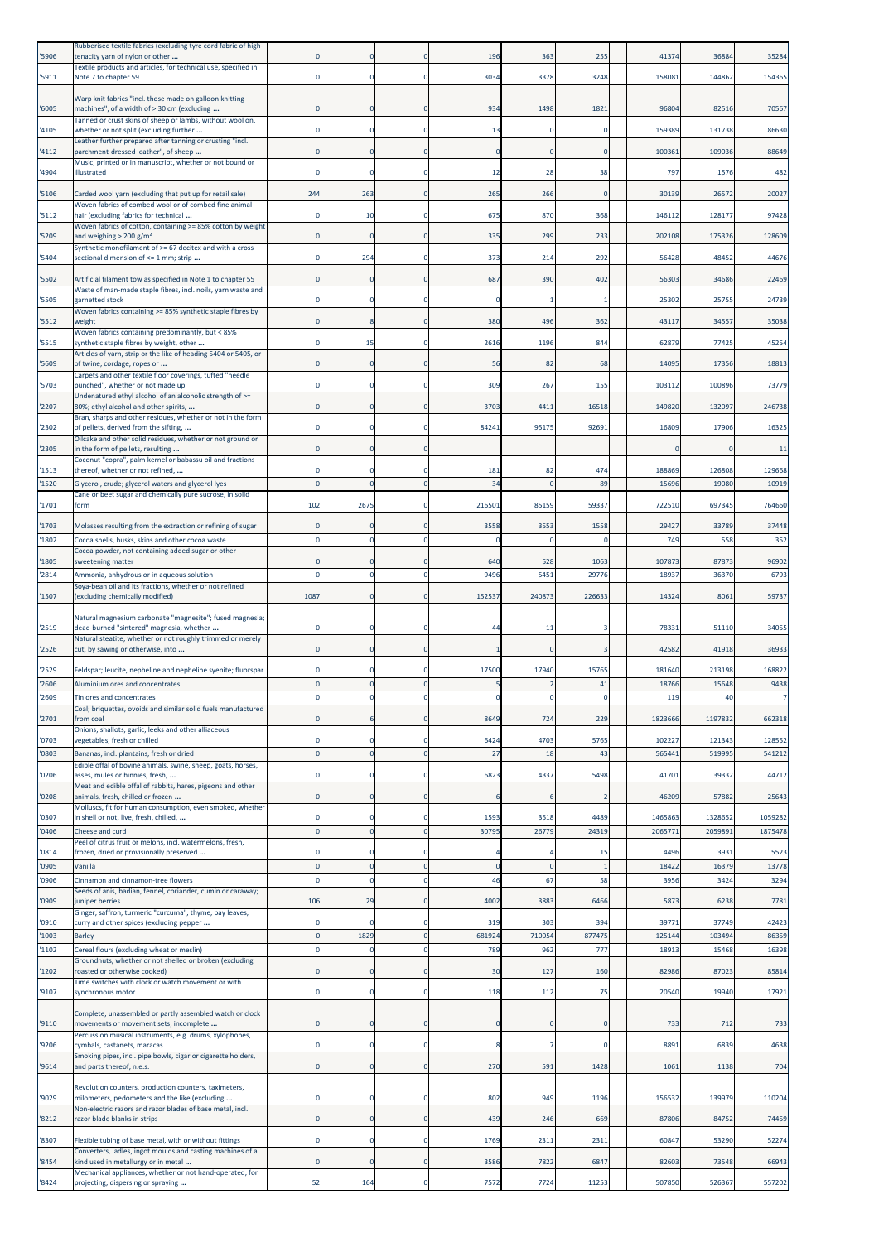| '5906          | Rubberised textile fabrics (excluding tyre cord fabric of high-<br>tenacity yarn of nylon or other                                                            |                      |               |                      | 196         | 363         | 255           | 4137           | 36884         | 35284         |
|----------------|---------------------------------------------------------------------------------------------------------------------------------------------------------------|----------------------|---------------|----------------------|-------------|-------------|---------------|----------------|---------------|---------------|
| '5911          | Textile products and articles, for technical use, specified in<br>Note 7 to chapter 59                                                                        | 0                    |               | $\Omega$             | 3034        | 3378        | 3248          | 158081         | 144862        | 154365        |
|                |                                                                                                                                                               |                      |               |                      |             |             |               |                |               |               |
| '6005          | Warp knit fabrics "incl. those made on galloon knitting<br>machines", of a width of > 30 cm (excluding                                                        |                      |               | $\Omega$             | 934         | 1498        | 1821          | 96804          | 82516         | 70567         |
| '4105          | Tanned or crust skins of sheep or lambs, without wool on,<br>whether or not split (excluding further                                                          | 0                    |               | $^{\circ}$           | 13          |             |               | 159389         | 131738        | 86630         |
| '4112          | Leather further prepared after tanning or crusting "incl.<br>parchment-dressed leather", of sheep                                                             | $\Omega$             | 0             |                      |             | O           |               | 100361         | 109036        | 88649         |
| '4904          | Music, printed or in manuscript, whether or not bound or<br>illustrated                                                                                       |                      |               |                      | 12          | 28          | 38            | 797            | 1576          | 482           |
|                |                                                                                                                                                               |                      |               |                      |             |             |               |                |               |               |
| '5106          | Carded wool yarn (excluding that put up for retail sale)<br>Woven fabrics of combed wool or of combed fine animal                                             | 244                  | 263           |                      | 265         | 266         |               | 30139          | 26572         | 20027         |
| '5112          | hair (excluding fabrics for technical<br>Woven fabrics of cotton, containing >= 85% cotton by weight                                                          | $\Omega$             | 10            | $\Omega$             | 675         | 870         | 368           | 146112         | 128177        | 97428         |
| '5209          | and weighing $> 200$ g/m <sup>2</sup><br>Synthetic monofilament of >= 67 decitex and with a cross                                                             |                      | 0             | $\Omega$             | 335         | 299         | 233           | 202108         | 175326        | 128609        |
| '5404          | sectional dimension of <= 1 mm; strip                                                                                                                         | $\Omega$             | 294           | $\Omega$             | 373         | 214         | 292           | 56428          | 48452         | 44676         |
| '5502          | Artificial filament tow as specified in Note 1 to chapter 55                                                                                                  |                      |               |                      | 687         | 390         | 402           | 56303          | 34686         | 22469         |
| '5505          | Waste of man-made staple fibres, incl. noils, yarn waste and<br>garnetted stock                                                                               |                      | 0             | $\Omega$             |             |             |               | 25302          | 25755         | 24739         |
| '5512          | Woven fabrics containing >= 85% synthetic staple fibres by<br>weight                                                                                          |                      | 8             | $\Omega$             | 380         | 496         | 362           | 43117          | 3455          | 35038         |
| '5515          | Woven fabrics containing predominantly, but < 85%<br>synthetic staple fibres by weight, other                                                                 |                      | 15            |                      | 2616        | 1196        | 844           | 62879          | 77425         | 45254         |
| '5609          | Articles of yarn, strip or the like of heading 5404 or 5405, or<br>of twine, cordage, ropes or                                                                | $\Omega$             | $\Omega$      | -0                   | 56          | 82          | 68            | 14095          | 17356         | 18813         |
|                | Carpets and other textile floor coverings, tufted "needle                                                                                                     |                      |               |                      |             |             |               |                |               |               |
| '5703          | ounched", whether or not made up<br>Undenatured ethyl alcohol of an alcoholic strength of >=                                                                  |                      |               |                      | 309         | 267         | 155           | 103112         | 100896        | 73779         |
| '2207          | 80%; ethyl alcohol and other spirits,<br>Bran, sharps and other residues, whether or not in the form                                                          |                      | n             | $\Omega$             | 3703        | 4411        | 16518         | 149820         | 132097        | 246738        |
| '2302          | of pellets, derived from the sifting,<br>Oilcake and other solid residues, whether or not ground or                                                           |                      |               |                      | 84241       | 95175       | 92691         | 16809          | 17906         | 16325         |
| '2305          | in the form of pellets, resulting<br>Coconut "copra", palm kernel or babassu oil and fractions                                                                |                      |               |                      |             |             |               |                |               | 11            |
| '1513          | thereof, whether or not refined,                                                                                                                              |                      | Ω             | $\Omega$             | 181         | 82          | 474           | 188869         | 126808        | 129668        |
| '1520          | Glycerol, crude; glycerol waters and glycerol lyes<br>Cane or beet sugar and chemically pure sucrose, in solid                                                | $\Omega$             | $\Omega$      | $\Omega$             | 34          | $\Omega$    | 89            | 15696          | 19080         | 10919         |
| '1701          | form                                                                                                                                                          | 102                  | 2675          |                      | 216501      | 85159       | 59337         | 722510         | 697345        | 764660        |
| '1703<br>'1802 | Molasses resulting from the extraction or refining of sugar<br>Cocoa shells, husks, skins and other cocoa waste                                               |                      |               |                      | 3558        | 3553        | 1558          | 29427<br>749   | 33789<br>558  | 37448<br>352  |
|                | Cocoa powder, not containing added sugar or other                                                                                                             |                      |               |                      |             |             |               |                |               |               |
| '1805<br>'2814 | sweetening matter<br>Ammonia, anhydrous or in aqueous solution                                                                                                |                      |               |                      | 640<br>9496 | 528<br>5451 | 1063<br>29776 | 107873<br>1893 | 87873<br>3637 | 96902<br>6793 |
| '1507          | Soya-bean oil and its fractions, whether or not refined<br>(excluding chemically modified)                                                                    | 1087                 |               |                      | 152537      | 240873      | 226633        | 14324          | 8061          | 59737         |
|                | Natural magnesium carbonate "magnesite"; fused magnesia;                                                                                                      |                      |               |                      |             |             |               |                |               |               |
| '2519          | dead-burned "sintered" magnesia, whether                                                                                                                      |                      |               |                      | 44          | 11          |               | 78331          | 51110         | 34055         |
| '2526          | Natural steatite, whether or not roughly trimmed or merely<br>cut, by sawing or otherwise, into                                                               | $\Omega$             | $\Omega$      | $\Omega$             |             |             |               | 42582          | 41918         | 36933         |
| '2529          | Feldspar; leucite, nepheline and nepheline syenite; fluorspar                                                                                                 |                      |               |                      | 17500       | 17940       | 15765         | 181640         | 213198        | 168822        |
| '2606          | Aluminium ores and concentrates                                                                                                                               | $\overline{0}$       |               | $\Omega$             |             |             | 41            | 18766          | 15648         | 9438          |
| '2609          | Tin ores and concentrates<br>Coal; briquettes, ovoids and similar solid fuels manufactured                                                                    | $\Omega$             |               | $\Omega$             |             |             |               | 119            | 40            |               |
| '2701          | from coal<br>Onions, shallots, garlic, leeks and other alliaceous                                                                                             | $\overline{0}$       |               | $\mathbf 0$          | 8649        | 724         | 229           | 1823666        | 1197832       | 662318        |
| '0703          | vegetables, fresh or chilled                                                                                                                                  | $^{\circ}$           | $\Omega$      | $\Omega$             | 6424        | 4703        | 5765          | 102227         | 121343        | 128552        |
| '0803          | Bananas, incl. plantains, fresh or dried<br>Edible offal of bovine animals, swine, sheep, goats, horses,                                                      | $\mathbf 0$          | $\mathbf 0$   | $\mathbf 0$          | 27          | 18          | 43            | 565441         | 519995        | 541212        |
| '0206          | asses, mules or hinnies, fresh,<br>Meat and edible offal of rabbits, hares, pigeons and other                                                                 | $\mathbf 0$          | $\Omega$      | $\Omega$             | 6823        | 4337        | 5498          | 41701          | 39332         | 44712         |
| '0208          | animals, fresh, chilled or frozen<br>Molluscs, fit for human consumption, even smoked, whether                                                                | $\mathbf 0$          |               |                      |             | 6           |               | 46209          | 57882         | 25643         |
| '0307          | in shell or not, live, fresh, chilled,                                                                                                                        | $\Omega$             | $\Omega$      | $\Omega$             | 1593        | 3518        | 4489          | 1465863        | 1328652       | 1059282       |
| '0406          | Cheese and curd<br>Peel of citrus fruit or melons, incl. watermelons, fresh,                                                                                  | $\Omega$             | $\Omega$      | $\Omega$             | 30795       | 26779       | 24319         | 206577         | 2059891       | 1875478       |
| '0814<br>'0905 | frozen, dried or provisionally preserved<br>Vanilla                                                                                                           | $\Omega$<br>$\Omega$ | n<br>$\Omega$ | $\Omega$<br>$\Omega$ |             |             | 15            | 4496<br>18422  | 3931<br>16379 | 5523<br>13778 |
| '0906          | Cinnamon and cinnamon-tree flowers                                                                                                                            | $\mathbf 0$          | $\Omega$      | $\Omega$             | 46          | 67          | 58            | 3956           | 3424          | 3294          |
| '0909          | Seeds of anis, badian, fennel, coriander, cumin or caraway;<br>juniper berries                                                                                | 106                  | 29            | $\Omega$             | 4002        | 3883        | 6466          | 5873           | 6238          | 7781          |
| '0910          | Ginger, saffron, turmeric "curcuma", thyme, bay leaves,<br>curry and other spices (excluding pepper                                                           | $\mathbf 0$          | 0             | $^{\circ}$           | 319         | 303         | 394           | 3977           | 37749         | 42423         |
| '1003          | <b>Barley</b>                                                                                                                                                 | $\Omega$             | 1829          | $\Omega$             | 681924      | 710054      | 877475        | 125144         | 103494        | 86359         |
| '1102          | Cereal flours (excluding wheat or meslin)<br>Groundnuts, whether or not shelled or broken (excluding                                                          | $\mathbf 0$          | $\Omega$      | $\Omega$             | 789         | 962         | 777           | 18913          | 15468         | 16398         |
| '1202          | roasted or otherwise cooked)<br>Time switches with clock or watch movement or with                                                                            | $\overline{0}$       | $\Omega$      | $\mathbf{0}$         | 30          | 127         | 160           | 82986          | 87023         | 85814         |
| '9107          | synchronous motor                                                                                                                                             | $^{\circ}$           | $\Omega$      | 0                    | 118         | 112         | 75            | 20540          | 19940         | 17921         |
| '9110          | Complete, unassembled or partly assembled watch or clock<br>movements or movement sets; incomplete                                                            | $\mathbf 0$          | 0             | $\mathbf{0}$         | $\Omega$    | 0           | C             | 733            | 712           | 733           |
|                | Percussion musical instruments, e.g. drums, xylophones,                                                                                                       |                      | $\Omega$      |                      |             |             |               | 8891           | 6839          |               |
| '9206          | cymbals, castanets, maracas<br>Smoking pipes, incl. pipe bowls, cigar or cigarette holders,                                                                   | $^{\circ}$           |               | $\Omega$             | 8           |             |               |                |               | 4638          |
| '9614          | and parts thereof, n.e.s.                                                                                                                                     | $\mathbf 0$          |               | $\mathbf 0$          | 270         | 591         | 1428          | 1061           | 1138          | 704           |
| '9029          | Revolution counters, production counters, taximeters,<br>milometers, pedometers and the like (excluding                                                       | $^{\circ}$           |               |                      | 802         | 949         | 1196          | 156532         | 139979        | 110204        |
| '8212          | Non-electric razors and razor blades of base metal, incl.<br>razor blade blanks in strips                                                                     | $\mathbf 0$          |               |                      | 439         | 246         | 669           | 87806          | 84752         | 74459         |
| '8307          |                                                                                                                                                               | $\Omega$             | $\Omega$      | $\Omega$             | 1769        | 2311        | 2311          | 60847          | 53290         | 52274         |
|                | Flexible tubing of base metal, with or without fittings                                                                                                       |                      |               |                      |             |             |               |                |               |               |
| '8454          | Converters, ladles, ingot moulds and casting machines of a<br>kind used in metallurgy or in metal<br>Mechanical appliances, whether or not hand-operated, for | $\mathbf 0$          | $\Omega$      | $\mathbf{0}$         | 3586        | 7822        | 6847          | 82603          | 73548         | 66943         |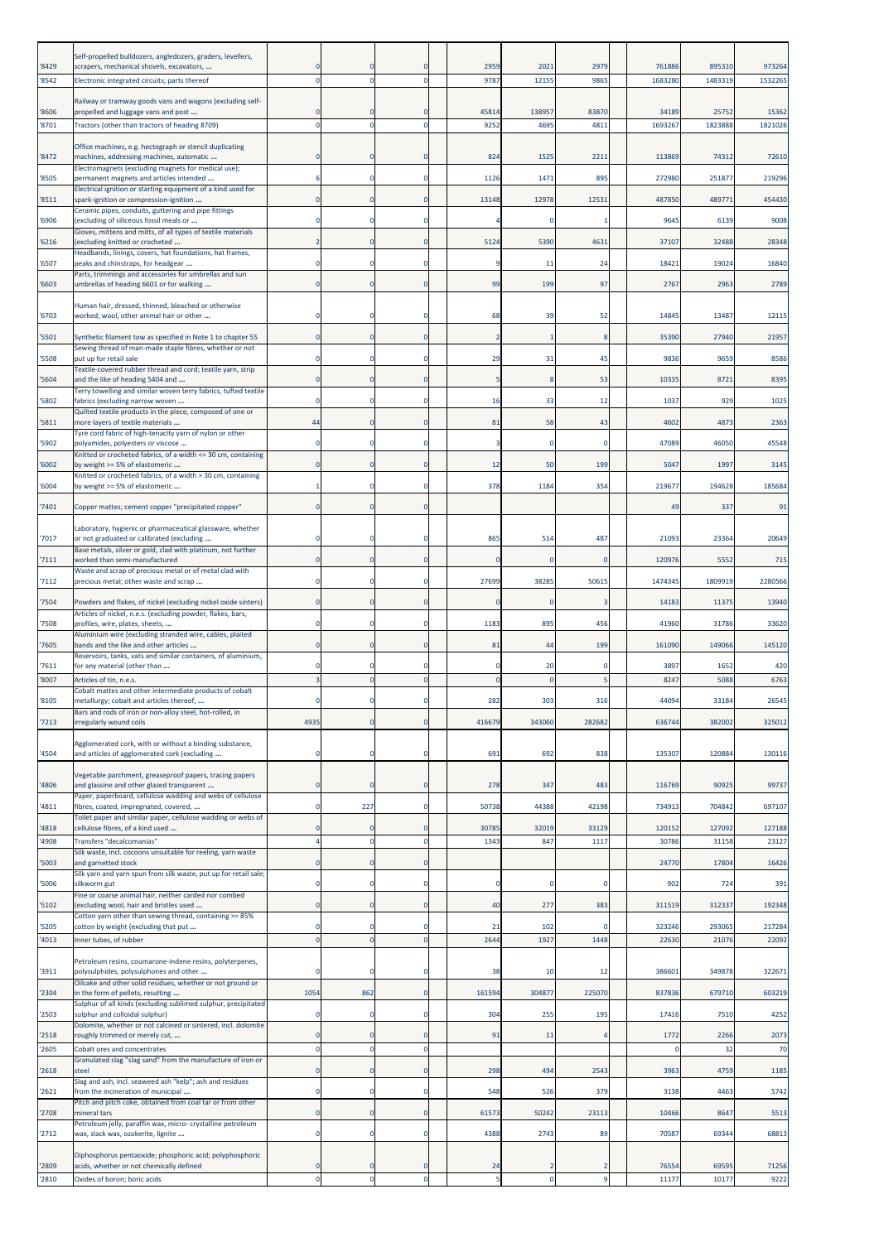|       | Self-propelled bulldozers, angledozers, graders, levellers,                                                            |                |             |                            |                |                |                          |         |                  |                  |
|-------|------------------------------------------------------------------------------------------------------------------------|----------------|-------------|----------------------------|----------------|----------------|--------------------------|---------|------------------|------------------|
| '8429 | scrapers, mechanical shovels, excavators,                                                                              |                |             | $\Omega$                   | 2959           | 2021           | 2979                     | 761886  | 895310           | 973264           |
| '8542 | Electronic integrated circuits; parts thereof                                                                          | -C             |             | $\mathbf 0$                | 9787           | 12155          | 9865                     | 1683280 | 1483319          | 1532265          |
|       | Railway or tramway goods vans and wagons (excluding self-                                                              |                |             |                            |                |                |                          |         |                  |                  |
| '8606 | propelled and luggage vans and post                                                                                    | C              | $\mathbf 0$ | $\mathbf 0$<br>$\mathbf 0$ | 45814<br>9252  | 138957<br>4695 | 83870<br>4811            | 34189   | 25752<br>1823888 | 15362<br>1821026 |
| 8701  | Tractors (other than tractors of heading 8709)                                                                         |                |             |                            |                |                |                          | 1693267 |                  |                  |
| '8472 | Office machines, e.g. hectograph or stencil duplicating<br>machines, addressing machines, automatic                    | $\epsilon$     |             | $\mathbf 0$                | 824            | 1525           | 2211                     | 113869  | 74312            | 72610            |
|       | Electromagnets (excluding magnets for medical use);                                                                    |                |             |                            |                |                |                          |         |                  |                  |
| '8505 | permanent magnets and articles intended<br>Electrical ignition or starting equipment of a kind used for                |                | 0           | $\mathbf 0$                | 1126           | 1471           | 895                      | 272980  | 251877           | 219296           |
| 8511  | spark-ignition or compression-ignition<br>Ceramic pipes, conduits, guttering and pipe fittings                         | $\Omega$       | 0           | $\mathbf 0$                | 13148          | 12978          | 12531                    | 487850  | 489771           | 454430           |
| 6906  | (excluding of siliceous fossil meals or                                                                                |                |             | 0                          |                |                |                          | 9645    | 6139             | 9008             |
| 6216  | Gloves, mittens and mitts, of all types of textile materials<br>(excluding knitted or crocheted                        |                |             | $\mathbf 0$                | 5124           | 5390           | 4631                     | 37107   | 32488            | 28348            |
|       | Headbands, linings, covers, hat foundations, hat frames,                                                               | $\epsilon$     |             | $\mathbf 0$                |                |                | 24                       | 18421   | 19024            | 16840            |
| '6507 | peaks and chinstraps, for headgear<br>Parts, trimmings and accessories for umbrellas and sun                           |                | $\mathbf 0$ |                            |                | 11             |                          |         |                  |                  |
| '6603 | umbrellas of heading 6601 or for walking                                                                               | 0              | 0           | $\mathbf 0$                | 99             | 199            | 97                       | 2767    | 2963             | 2789             |
|       | Human hair, dressed, thinned, bleached or otherwise                                                                    |                |             |                            |                |                |                          |         |                  |                  |
| '6703 | worked; wool, other animal hair or other                                                                               |                |             | $\mathbf 0$                | 68             | 39             | 52                       | 14845   | 13487            | 12115            |
| '5501 | Synthetic filament tow as specified in Note 1 to chapter 55<br>Sewing thread of man-made staple fibres, whether or not | $\epsilon$     | 0           | $\mathbf 0$                | $\overline{2}$ | 1              | 8                        | 35390   | 27940            | 21957            |
| 5508  | put up for retail sale                                                                                                 | C              |             | $\mathbf 0$                | 29             | 31             | 45                       | 9836    | 9659             | 8586             |
| 5604  | Textile-covered rubber thread and cord; textile yarn, strip<br>and the like of heading 5404 and                        |                |             | $\mathbf 0$                |                |                | 53                       | 10335   | 8721             | 8395             |
|       | Terry towelling and similar woven terry fabrics, tufted textile                                                        | C              |             | $\Omega$                   |                |                |                          |         |                  |                  |
| '5802 | fabrics (excluding narrow woven<br>Quilted textile products in the piece, composed of one or                           |                |             |                            | 16             | 33             | 12                       | 1037    | 929              | 1025             |
| 5811  | more layers of textile materials<br>Tyre cord fabric of high-tenacity yarn of nylon or other                           | 44             | $\mathbf 0$ | $\mathbf 0$                | 81             | 58             | 43                       | 4602    | 4873             | 2363             |
| '5902 | polyamides, polyesters or viscose                                                                                      |                | 0           | $\mathbf 0$                | 3              | $\mathbf 0$    | 0                        | 47089   | 46050            | 45548            |
| 6002  | Knitted or crocheted fabrics, of a width <= 30 cm, containing<br>by weight >= 5% of elastomeric                        | $\epsilon$     |             | $\mathbf 0$                | 12             | 50             | 199                      | 5047    | 1997             | 3145             |
| '6004 | Knitted or crocheted fabrics, of a width > 30 cm, containing<br>by weight >= 5% of elastomeric                         |                |             | $\mathbf 0$                | 378            | 1184           | 354                      | 219677  | 194628           | 185684           |
|       |                                                                                                                        |                |             |                            |                |                |                          |         |                  |                  |
| '7401 | Copper mattes; cement copper "precipitated copper"                                                                     | $\mathcal{C}$  | $\Omega$    | $\mathbf 0$                |                |                |                          | 49      | 337              | 91               |
|       | Laboratory, hygienic or pharmaceutical glassware, whether                                                              |                |             |                            |                |                |                          |         |                  |                  |
| '7017 | or not graduated or calibrated (excluding<br>Base metals, silver or gold, clad with platinum, not further              |                |             | $\mathbf 0$                | 865            | 514            | 487                      | 21093   | 23364            | 20649            |
| '7111 | worked than semi-manufactured<br>Waste and scrap of precious metal or of metal clad with                               | $\Omega$       | $\mathbf 0$ | $\mathbf 0$                |                | $\Omega$       | $\Omega$                 | 120976  | 5552             | 715              |
| 7112  | precious metal; other waste and scrap                                                                                  |                | $\mathbf 0$ | $\mathbf 0$                | 27699          | 38285          | 50615                    | 1474345 | 1809919          | 2280566          |
| 7504  | Powders and flakes, of nickel (excluding nickel oxide sinters)                                                         | $\Omega$       | $\mathbf 0$ | $\mathbf 0$                | $\Omega$       | $\mathbf 0$    | 3                        | 14183   | 11375            | 13940            |
|       | Articles of nickel, n.e.s. (excluding powder, flakes, bars,<br>profiles, wire, plates, sheets,                         |                |             | $\mathbf 0$                | 1183           |                | 456                      | 41960   | 31786            | 33620            |
| 7508  | Aluminium wire (excluding stranded wire, cables, plaited                                                               |                |             |                            |                | 895            |                          |         |                  |                  |
| '7605 | bands and the like and other articles<br>Reservoirs, tanks, vats and similar containers, of aluminium,                 | C              | $\mathbf 0$ | $\mathbf 0$                | 81             | 44             | 199                      | 161090  | 149066           | 145120           |
| '7611 | for any material (other than                                                                                           |                |             | $\mathbf 0$                |                | 20             | $\Omega$                 | 3897    | 1652             | 420              |
| '8007 | Articles of tin, n.e.s.<br>Cobalt mattes and other intermediate products of cobalt                                     |                |             | $\mathbf 0$                |                | $\mathbf 0$    |                          | 8247    | 5088             | 6763             |
| 8105  | metallurgy; cobalt and articles thereof,                                                                               |                |             |                            | 282            | 303            | 316                      | 44094   | 33184            | 26545            |
| 7213  | Bars and rods of iron or non-alloy steel, hot-rolled, in<br>irregularly wound coils                                    | 4935           | $\mathbf 0$ | $\mathbf 0$                | 416679         | 343060         | 282682                   | 636744  | 382002           | 325012           |
|       | Agglomerated cork, with or without a binding substance,                                                                |                |             |                            |                |                |                          |         |                  |                  |
| 4504  | and articles of agglomerated cork (excluding                                                                           | C              | 0           | $\mathbf 0$                | 691            | 692            | 838                      | 135307  | 120884           | 130116           |
|       | Vegetable parchment, greaseproof papers, tracing papers                                                                |                |             |                            |                |                |                          |         |                  |                  |
| 4806  | and glassine and other glazed transparent                                                                              | $\Omega$       | $\mathbf 0$ | $\mathbf 0$                | 278            | 347            | 483                      | 116769  | 90925            | 99737            |
| 4811  | Paper, paperboard, cellulose wadding and webs of cellulose<br>fibres, coated, impregnated, covered,                    | C              | 227         | $\mathbf 0$                | 50738          | 44388          | 42198                    | 734913  | 704842           | 697107           |
| 4818  | Toilet paper and similar paper, cellulose wadding or webs of<br>cellulose fibres, of a kind used                       | -C             | 0           | $\mathbf 0$                | 30785          | 32019          | 33129                    | 120152  | 127092           | 127188           |
| 4908  | Transfers "decalcomanias"                                                                                              | Δ              | $\mathbf 0$ | $\circ$                    | 1343           | 847            | 1117                     | 30786   | 31158            | 23127            |
| 5003  | Silk waste, incl. cocoons unsuitable for reeling, yarn waste<br>and garnetted stock                                    | C              | $\mathbf 0$ | $\mathbf 0$                |                |                |                          | 24770   | 17804            | 16426            |
|       | Silk yarn and yarn spun from silk waste, put up for retail sale;                                                       |                |             |                            |                |                |                          |         |                  |                  |
| 5006  | silkworm gut<br>Fine or coarse animal hair, neither carded nor combed                                                  |                |             | $\mathbf 0$                |                |                |                          | 902     | 724              | 391              |
| '5102 | (excluding wool, hair and bristles used                                                                                | $\Omega$       | $\mathbf 0$ | $\mathbf{0}$               | 40             | 277            | 383                      | 311519  | 312337           | 192348           |
| 5205  | Cotton yarn other than sewing thread, containing >= 85%<br>cotton by weight (excluding that put                        |                | $\mathbf 0$ | $\mathbf 0$                | 21             | 102            | $\Omega$                 | 323246  | 293065           | 217284           |
| 4013  | Inner tubes, of rubber                                                                                                 | $\mathcal{C}$  | $\mathbf 0$ | $\mathbf 0$                | 2644           | 1927           | 1448                     | 22630   | 21076            | 22092            |
|       | Petroleum resins, coumarone-indene resins, polyterpenes,                                                               |                |             |                            |                |                |                          |         |                  |                  |
| '3911 | polysulphides, polysulphones and other<br>Oilcake and other solid residues, whether or not ground or                   | $\mathfrak{c}$ |             | $\mathbf 0$                | 38             | 10             | 12                       | 386601  | 349878           | 322671           |
| '2304 | in the form of pellets, resulting                                                                                      | 1054           | 862         | $\mathbf 0$                | 161594         | 304877         | 225070                   | 837836  | 679710           | 603219           |
| 2503  | Sulphur of all kinds (excluding sublimed sulphur, precipitated<br>sulphur and colloidal sulphur)                       | -C             | $\mathbf 0$ | $\mathbf 0$                | 304            | 255            | 195                      | 17416   | 7510             | 4252             |
| 2518  | Dolomite, whether or not calcined or sintered, incl. dolomite<br>roughly trimmed or merely cut,                        | C              | $\mathbf 0$ | $\mathbf 0$                | 91             | 11             |                          | 1772    | 2266             | 2073             |
| 2605  | Cobalt ores and concentrates                                                                                           | $\overline{0}$ | $\mathbf 0$ | $\mathbf 0$                |                |                |                          | C       | 32               | 70               |
|       | Granulated slag "slag sand" from the manufacture of iron or                                                            |                |             |                            | 298            | 494            | 2543                     |         | 4759             |                  |
| 2618  | steel<br>Slag and ash, incl. seaweed ash "kelp"; ash and residues                                                      | C              | $\mathbf 0$ | $\mathbf 0$                |                |                |                          | 3963    |                  | 1185             |
| '2621 | from the incineration of municipal<br>Pitch and pitch coke, obtained from coal tar or from other                       | C              |             | $\mathbf 0$                | 548            | 526            | 379                      | 3138    | 4463             | 5742             |
| 2708  | mineral tars                                                                                                           | $\mathbf 0$    | $\mathbf 0$ | $\mathbf 0$                | 61573          | 50242          | 23113                    | 10466   | 8647             | 5513             |
| 2712  | Petroleum jelly, paraffin wax, micro- crystalline petroleum<br>wax, slack wax, ozokerite, lignite                      | 0              | 0           | $\mathbf 0$                | 4388           | 2743           | 89                       | 70587   | 69344            | 68813            |
|       | Diphosphorus pentaoxide; phosphoric acid; polyphosphoric                                                               |                |             |                            |                |                |                          |         |                  |                  |
| '2809 | acids, whether or not chemically defined                                                                               | $\epsilon$     |             | $\mathbf 0$                | 24             |                | $\overline{\phantom{a}}$ | 76554   | 69595            | 71256            |
| 2810  | Oxides of boron; boric acids                                                                                           | $\mathbf 0$    | $\mathbf 0$ | $\mathbf 0$                | 5              | $\pmb{0}$      | q                        | 11177   | 10177            | 9222             |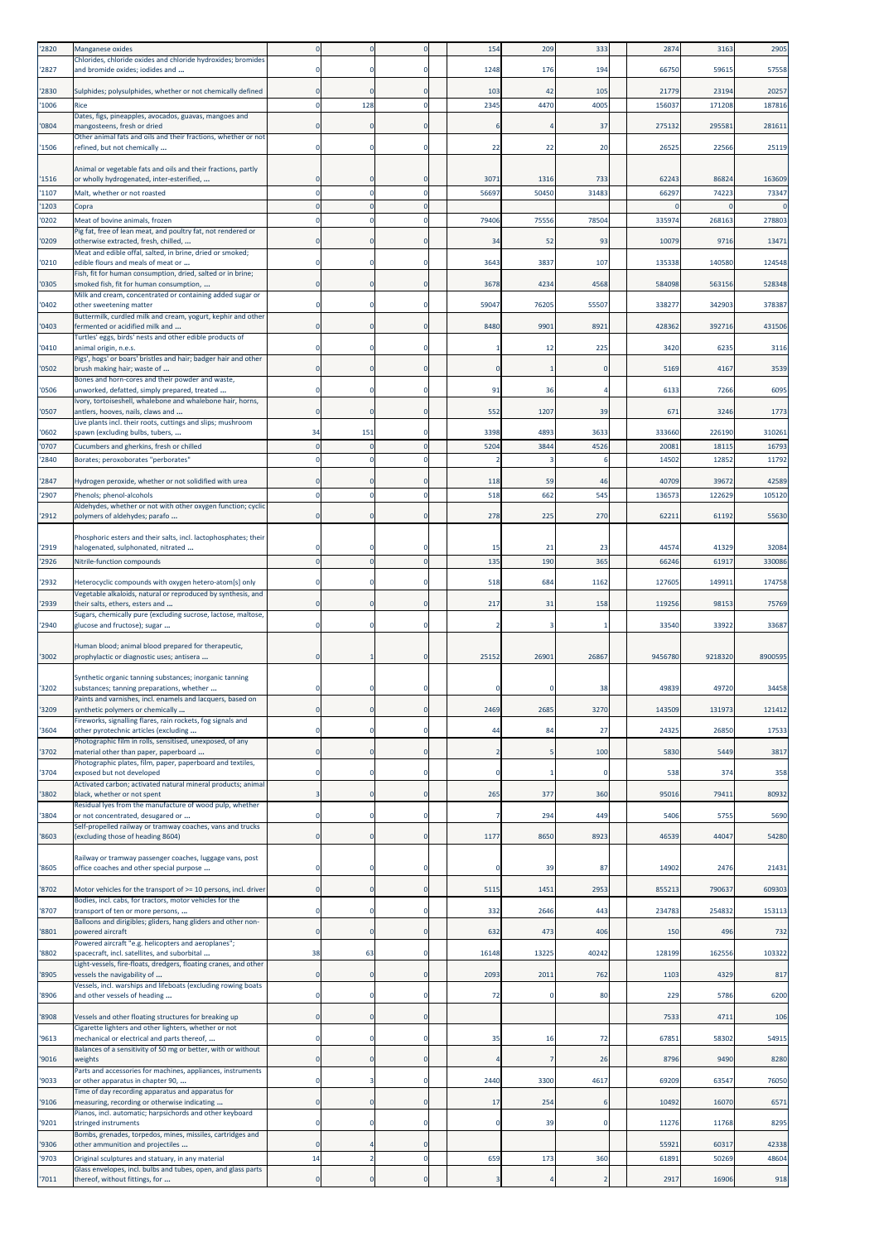| '2820         | Manganese oxides                                                                                                       |                |             |                      | 154            | 209        | 333         | 2874           | 3163            | 2905            |
|---------------|------------------------------------------------------------------------------------------------------------------------|----------------|-------------|----------------------|----------------|------------|-------------|----------------|-----------------|-----------------|
| 2827          | Chlorides, chloride oxides and chloride hydroxides; bromides<br>and bromide oxides; iodides and                        |                |             | $\Omega$             | 1248           | 176        | 194         | 66750          | 59615           | 57558           |
|               |                                                                                                                        |                |             |                      |                |            |             |                |                 |                 |
| '2830<br>1006 | Sulphides; polysulphides, whether or not chemically defined<br>Rice                                                    | C              | 128         | $\Omega$<br>$\Omega$ | 103<br>2345    | 42<br>4470 | 105<br>4005 | 21779<br>15603 | 23194<br>171208 | 20257<br>187816 |
|               | Dates, figs, pineapples, avocados, guavas, mangoes and                                                                 |                |             |                      |                |            |             |                |                 |                 |
| '0804         | mangosteens, fresh or dried<br>Other animal fats and oils and their fractions, whether or not                          | C              |             | $\Omega$             |                |            | 37          | 275132         | 29558           | 281611          |
| '1506         | refined, but not chemically                                                                                            |                |             | 0                    | 22             | 22         | 20          | 26525          | 22566           | 25119           |
|               | Animal or vegetable fats and oils and their fractions, partly                                                          |                |             |                      |                |            |             |                |                 |                 |
| '1516         | or wholly hydrogenated, inter-esterified,                                                                              |                |             | $\Omega$             | 3071           | 1316       | 733         | 62243          | 86824           | 163609          |
| '1107         | Malt, whether or not roasted                                                                                           | $\epsilon$     |             | $\Omega$             | 56697          | 50450      | 31483       | 66297          | 74223           | 73347           |
| 1203          | Copra                                                                                                                  |                |             | $\Omega$<br>$\Omega$ |                | 75556      | 78504       |                |                 | 278803          |
| '0202         | Meat of bovine animals, frozen<br>Pig fat, free of lean meat, and poultry fat, not rendered or                         |                |             |                      | 79406          |            |             | 335974         | 268163          |                 |
| '0209         | otherwise extracted, fresh, chilled,<br>Meat and edible offal, salted, in brine, dried or smoked;                      |                |             | $\Omega$             | 34             | 52         | 93          | 10079          | 9716            | 13471           |
| '0210         | edible flours and meals of meat or                                                                                     |                |             | $\Omega$             | 3643           | 3837       | 107         | 135338         | 140580          | 124548          |
| '0305         | Fish, fit for human consumption, dried, salted or in brine;<br>smoked fish, fit for human consumption,                 | $\epsilon$     | 0           | $\Omega$             | 3678           | 4234       | 4568        | 584098         | 563156          | 528348          |
|               | Milk and cream, concentrated or containing added sugar or                                                              |                |             |                      |                |            |             |                |                 |                 |
| '0402         | other sweetening matter<br>Buttermilk, curdled milk and cream, yogurt, kephir and other                                | C              |             | $\Omega$             | 59047          | 76205      | 55507       | 338277         | 342903          | 378387          |
| 0403          | fermented or acidified milk and                                                                                        |                |             | 0                    | 8480           | 9901       | 8921        | 428362         | 392716          | 431506          |
| '0410         | Turtles' eggs, birds' nests and other edible products of<br>animal origin, n.e.s.                                      |                |             | $\Omega$             |                | 12         | 225         | 3420           | 6235            | 3116            |
| '0502         | Pigs', hogs' or boars' bristles and hair; badger hair and other                                                        |                |             | $\bf{0}$             | $\Omega$       |            | $\Omega$    | 5169           | 4167            | 3539            |
|               | brush making hair; waste of<br>Bones and horn-cores and their powder and waste,                                        |                |             |                      |                |            |             |                |                 |                 |
| '0506         | unworked, defatted, simply prepared, treated<br>Ivory, tortoiseshell, whalebone and whalebone hair, horns,             |                | $\Omega$    | $\Omega$             | 91             | 36         |             | 6133           | 7266            | 6095            |
| '0507         | antlers, hooves, nails, claws and                                                                                      | $\Omega$       |             | $\Omega$             | 552            | 1207       | 39          | 671            | 3246            | 1773            |
| '0602         | Live plants incl. their roots, cuttings and slips; mushroom<br>spawn (excluding bulbs, tubers,                         | 34             | 151         | 0                    | 3398           | 4893       | 3633        | 333660         | 226190          | 310261          |
| '0707         | Cucumbers and gherkins, fresh or chilled                                                                               |                |             | $\Omega$             | 5204           | 3844       | 4526        | 2008:          | 1811            | 16793           |
| 2840          | Borates; peroxoborates "perborates'                                                                                    | -C             |             | $\Omega$             | -2             |            |             | 14502          | 12852           | 11792           |
| '2847         | Hydrogen peroxide, whether or not solidified with urea                                                                 |                |             | 0                    | 118            | 59         | 46          | 40709          | 39672           | 42589           |
| 2907          | Phenols; phenol-alcohols                                                                                               |                |             | $\Omega$             | 518            | 662        | 545         | 13657          | 122629          | 105120          |
| '2912         | Aldehydes, whether or not with other oxygen function; cyclic<br>polymers of aldehydes; parafo                          | $\epsilon$     |             | $\Omega$             | 278            | 225        | 270         | 6221           | 61192           | 55630           |
|               |                                                                                                                        |                |             |                      |                |            |             |                |                 |                 |
| '2919         | Phosphoric esters and their salts, incl. lactophosphates; their<br>halogenated, sulphonated, nitrated                  |                |             |                      | 15             | 21         | 23          | 4457           | 41329           | 32084           |
| 2926          | Nitrile-function compounds                                                                                             |                |             |                      | 135            | 190        | 365         | 66246          | 61917           | 330086          |
|               |                                                                                                                        |                |             | $\Omega$             | 518            |            |             |                |                 | 174758          |
| '2932         | Heterocyclic compounds with oxygen hetero-atom[s] only<br>Vegetable alkaloids, natural or reproduced by synthesis, and |                |             |                      |                | 684        | 1162        | 12760          | 14991:          |                 |
|               |                                                                                                                        | $\sqrt{ }$     |             |                      | 217            |            |             |                | 98153           | 75769           |
| '2939         | their salts, ethers, esters and                                                                                        |                |             | $\Omega$             |                | 31         | 158         | 119256         |                 |                 |
| '2940         | Sugars, chemically pure (excluding sucrose, lactose, maltose,<br>glucose and fructose); sugar                          |                |             | 0                    |                |            |             | 33540          | 33922           | 33687           |
|               |                                                                                                                        |                |             |                      |                |            |             |                |                 |                 |
| '3002         | Human blood; animal blood prepared for therapeutic,<br>prophylactic or diagnostic uses; antisera                       | $\epsilon$     |             | $\Omega$             | 25152          | 26901      | 26867       | 9456780        | 9218320         | 8900595         |
|               | Synthetic organic tanning substances; inorganic tanning                                                                |                |             |                      |                |            |             |                |                 |                 |
| '3202         | substances; tanning preparations, whether                                                                              |                |             | $\Omega$             |                |            | 38          | 49839          | 49720           | 34458           |
| 3209          | Paints and varnishes, incl. enamels and lacquers, based on<br>synthetic polymers or chemically                         | $\mathbf 0$    |             | $\bf{0}$             | 2469           | 2685       | 3270        | 143509         | 131973          | 121412          |
|               | Fireworks, signalling flares, rain rockets, fog signals and                                                            |                |             | $\Omega$             |                |            |             |                |                 |                 |
| '3604         | other pyrotechnic articles (excluding<br>Photographic film in rolls, sensitised, unexposed, of any                     | 0              |             |                      | 44             | 84         | 27          | 2432           | 26850           | 17533           |
| 3702          | material other than paper, paperboard                                                                                  | $\mathbf 0$    | 0           | $\mathbf 0$          | $\overline{2}$ |            | 100         | 5830           | 5449            | 3817            |
| 3704          | Photographic plates, film, paper, paperboard and textiles,<br>exposed but not developed                                | C              |             | 0                    | $\mathbf 0$    |            |             | 538            | 374             | 358             |
| '3802         | Activated carbon; activated natural mineral products; animal<br>black, whether or not spent                            | в              |             | $\Omega$             | 265            | 377        | 360         | 95016          | 79411           | 80932           |
|               | Residual lyes from the manufacture of wood pulp, whether                                                               |                |             |                      |                |            |             |                |                 |                 |
| '3804         | or not concentrated, desugared or<br>Self-propelled railway or tramway coaches, vans and trucks                        | C              |             | $\mathbf 0$          | 7              | 294        | 449         | 5406           | 5755            | 5690            |
| 8603          | (excluding those of heading 8604)                                                                                      | 0              | $\mathbf 0$ | $\mathbf 0$          | 1177           | 8650       | 8923        | 46539          | 44047           | 54280           |
|               | Railway or tramway passenger coaches, luggage vans, post                                                               |                |             |                      |                |            |             |                |                 |                 |
| '8605         | office coaches and other special purpose                                                                               | C              | 0           | 0                    | 0              | 39         | 87          | 14902          | 2476            | 21431           |
| 8702          | Motor vehicles for the transport of >= 10 persons, incl. driver                                                        | 0              | 0           | $\mathbf 0$          | 5115           | 1451       | 2953        | 85521          | 790637          | 609303          |
| 8707          | Bodies, incl. cabs, for tractors, motor vehicles for the<br>transport of ten or more persons,                          | C              |             | $\Omega$             | 332            | 2646       | 443         | 234783         | 254832          | 153113          |
|               | Balloons and dirigibles; gliders, hang gliders and other non-                                                          |                | $\Omega$    |                      |                |            |             |                |                 |                 |
| '8801         | powered aircraft<br>Powered aircraft "e.g. helicopters and aeroplanes";                                                | $\mathbf 0$    |             | $\mathbf 0$          | 632            | 473        | 406         | 150            | 496             | 732             |
| '8802         | spacecraft, incl. satellites, and suborbital                                                                           | 38             | 63          | $\mathbf 0$          | 16148          | 13225      | 40242       | 128199         | 162556          | 103322          |
| 8905          | Light-vessels, fire-floats, dredgers, floating cranes, and other<br>vessels the navigability of                        | $\mathbf 0$    | $\mathbf 0$ | $\mathbf 0$          | 2093           | 2011       | 762         | 1103           | 4329            | 817             |
| 8906          | Vessels, incl. warships and lifeboats (excluding rowing boats<br>and other vessels of heading                          | 0              | 0           | $\mathbf 0$          | 72             | 0          | 80          | 229            | 5786            | 6200            |
|               |                                                                                                                        |                |             |                      |                |            |             |                |                 |                 |
| '8908         | Vessels and other floating structures for breaking up<br>Cigarette lighters and other lighters, whether or not         | $\mathbf 0$    |             | $\mathbf 0$          |                |            |             | 7533           | 4711            | 106             |
| '9613         | mechanical or electrical and parts thereof,                                                                            | $\mathfrak{c}$ |             | 0                    | 35             | 16         | 72          | 67851          | 58302           | 54915           |
| '9016         | Balances of a sensitivity of 50 mg or better, with or without<br>weights                                               | $\mathbf 0$    |             | $\mathbf 0$          |                | 7          | 26          | 8796           | 9490            | 8280            |
| 9033          | Parts and accessories for machines, appliances, instruments<br>or other apparatus in chapter 90,                       | C              |             | $\mathbf 0$          | 2440           | 3300       | 4617        | 69209          | 63547           | 76050           |
|               | Time of day recording apparatus and apparatus for                                                                      |                |             |                      |                |            |             |                |                 |                 |
| '9106         | measuring, recording or otherwise indicating<br>Pianos, incl. automatic; harpsichords and other keyboard               | 0              | $\mathbf 0$ | $\mathbf 0$          | 17             | 254        | 6           | 10492          | 16070           | 6571            |
| '9201         | stringed instruments                                                                                                   | C              |             | $\mathbf 0$          | $\mathbf 0$    | 39         | $\Omega$    | 11276          | 11768           | 8295            |
| '9306         | Bombs, grenades, torpedos, mines, missiles, cartridges and<br>other ammunition and projectiles                         | C              |             | $\mathbf 0$          |                |            |             | 55921          | 60317           | 42338           |
| 9703          | Original sculptures and statuary, in any material<br>Glass envelopes, incl. bulbs and tubes, open, and glass parts     | 14             |             | $\mathbf 0$          | 659            | 173        | 360         | 6189           | 50269           | 48604           |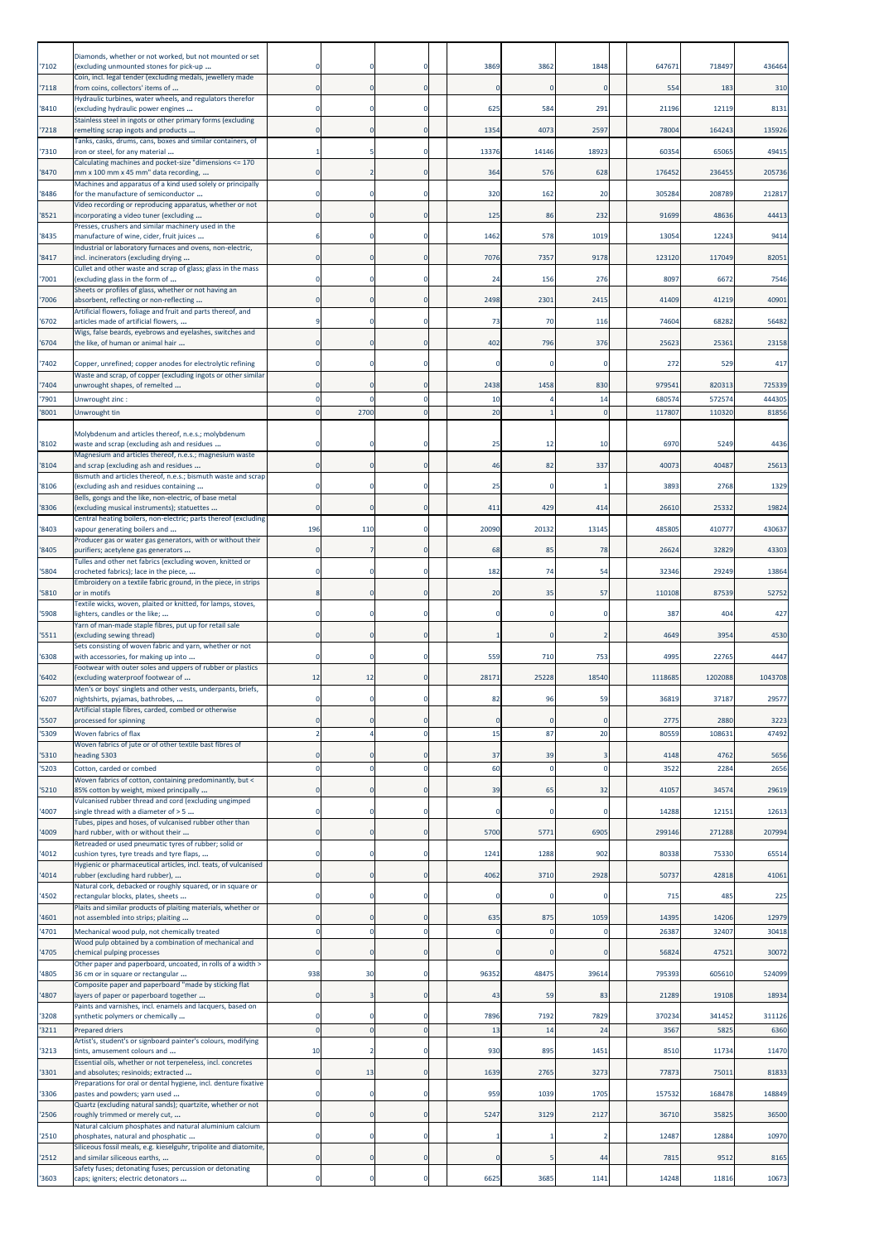|               | Diamonds, whether or not worked, but not mounted or set                                                 |                |             |                            |                   |            |                   |              |                |               |
|---------------|---------------------------------------------------------------------------------------------------------|----------------|-------------|----------------------------|-------------------|------------|-------------------|--------------|----------------|---------------|
| '7102         | (excluding unmounted stones for pick-up<br>Coin, incl. legal tender (excluding medals, jewellery made   | -C             |             | $\Omega$                   | 3869              | 3862       | 1848              | 647671       | 718497         | 436464        |
| '7118         | from coins, collectors' items of<br>Hydraulic turbines, water wheels, and regulators therefor           | $\mathbf 0$    | $\Omega$    | $\mathbf 0$                | $\Omega$          | $\Omega$   | $\Omega$          | 554          | 183            | 310           |
| '8410         | (excluding hydraulic power engines<br>Stainless steel in ingots or other primary forms (excluding       | 0              |             | 0                          | 625               | 584        | 291               | 21196        | 12119          | 8131          |
| 7218          | remelting scrap ingots and products<br>Tanks, casks, drums, cans, boxes and similar containers, of      | $\Omega$       |             | $\Omega$                   | 1354              | 4073       | 2597              | 78004        | 164243         | 135926        |
| 7310          | iron or steel, for any material<br>Calculating machines and pocket-size "dimensions <= 170              |                |             | 0                          | 13376             | 14146      | 18923             | 60354        | 65065          | 49415         |
| '8470         | mm x 100 mm x 45 mm" data recording,<br>Machines and apparatus of a kind used solely or principally     | $\Omega$       |             | $\Omega$                   | 364               | 576        | 628               | 176452       | 236455         | 205736        |
| '8486         | for the manufacture of semiconductor<br>Video recording or reproducing apparatus, whether or not        |                |             | 0                          | 320               | 162        | 20                | 305284       | 208789         | 212817        |
| 8521          | incorporating a video tuner (excluding<br>Presses, crushers and similar machinery used in the           | 0              | 0           | $\mathbf{0}$               | 125               | 86         | 232               | 91699        | 48636          | 44413         |
| 8435          | manufacture of wine, cider, fruit juices<br>Industrial or laboratory furnaces and ovens, non-electric,  |                |             | $\Omega$                   | 1462              | 578        | 1019              | 13054        | 12243          | 9414          |
| 8417          | incl. incinerators (excluding drying                                                                    |                |             | 0                          | 7076              | 7357       | 9178              | 123120       | 117049         | 82051         |
| '7001         | Cullet and other waste and scrap of glass; glass in the mass<br>(excluding glass in the form of         |                |             | $\Omega$                   | 24                | 156        | 276               | 8097         | 6672           | 7546          |
| 7006          | Sheets or profiles of glass, whether or not having an<br>absorbent, reflecting or non-reflecting        |                |             | $\mathbf 0$                | 2498              | 2301       | 2415              | 41409        | 41219          | 40901         |
| 6702          | Artificial flowers, foliage and fruit and parts thereof, and<br>articles made of artificial flowers,    | 9              |             | $\mathbf 0$                | 73                | 70         | 116               | 74604        | 68282          | 56482         |
| 6704          | Wigs, false beards, eyebrows and eyelashes, switches and<br>the like, of human or animal hair           | $\Omega$       |             | $\Omega$                   | 402               | 796        | 376               | 25623        | 25361          | 23158         |
| '7402         | Copper, unrefined; copper anodes for electrolytic refining                                              |                |             | 0                          | 0                 |            |                   | 272          | 529            | 417           |
| '7404         | Waste and scrap, of copper (excluding ingots or other similar<br>unwrought shapes, of remelted          |                |             | $\Omega$                   | 2438              | 1458       | 830               | 979541       | 820313         | 725339        |
| '7901         | Unwrought zinc :                                                                                        |                |             | $\Omega$                   | 10                |            | 14                | 680574       | 572574         | 444305        |
| 8001          | Unwrought tin                                                                                           |                | 2700        | $\Omega$                   | 20                |            | $\mathbf 0$       | 11780        | 110320         | 81856         |
| '8102         | Molybdenum and articles thereof, n.e.s.; molybdenum<br>waste and scrap (excluding ash and residues      |                |             | 0                          | 25                | 12         | 10                | 6970         | 5249           | 4436          |
| '8104         | Magnesium and articles thereof, n.e.s.; magnesium waste<br>and scrap (excluding ash and residues        | C              |             | $\mathbf 0$                | 46                | 82         | 337               | 4007         | 40487          | 25613         |
| '8106         | Bismuth and articles thereof, n.e.s.; bismuth waste and scrap<br>(excluding ash and residues containing | -C             |             | $\Omega$                   | 25                | $\Omega$   |                   | 3893         | 2768           | 1329          |
| '8306         | Bells, gongs and the like, non-electric, of base metal<br>(excluding musical instruments); statuettes   |                |             | $\mathbf{0}$               | 411               | 429        | 414               | 26610        | 25332          | 19824         |
| 8403          | Central heating boilers, non-electric; parts thereof (excluding<br>vapour generating boilers and        | 196            | 110         | $\mathbf 0$                | 20090             | 20132      | 13145             | 485805       | 410777         | 430637        |
| '8405         | Producer gas or water gas generators, with or without their<br>purifiers; acetylene gas generators      | C              |             | $\mathbf 0$                | 68                | 85         | 78                | 26624        | 32829          | 43303         |
| 5804          | Tulles and other net fabrics (excluding woven, knitted or<br>crocheted fabrics); lace in the piece,     |                |             | 0                          | 182               | 74         | 54                | 32346        | 29249          | 13864         |
| '5810         | Embroidery on a textile fabric ground, in the piece, in strips<br>or in motifs                          |                |             | $\Omega$                   | 20                | 35         | 57                | 110108       | 87539          | 52752         |
|               | Textile wicks, woven, plaited or knitted, for lamps, stoves,                                            |                |             | 0                          | 0                 | 0          | $\mathbf 0$       | 387          | 404            | 427           |
| '5908         | lighters, candles or the like;<br>Yarn of man-made staple fibres, put up for retail sale                |                |             |                            |                   |            |                   |              |                |               |
| '5511         | (excluding sewing thread)<br>Sets consisting of woven fabric and yarn, whether or not                   |                | $\mathbf 0$ | $\mathbf{0}$               |                   | 0          | 2                 | 4649         | 3954           | 4530          |
| '6308         | with accessories, for making up into<br>Footwear with outer soles and uppers of rubber or plastics      |                |             | $\mathbf 0$                | 559               | 710        | 753               | 4995         | 22765          | 4447          |
| 6402          | excluding waterproof footwear of<br>Men's or boys' singlets and other vests, underpants, briefs,        | 12             | 12          | 0                          | 28171             | 25228      | 18540             | 111868       | 1202088        | 1043708       |
| '6207         | nightshirts, pyjamas, bathrobes,<br>Artificial staple fibres, carded, combed or otherwise               | $\Omega$       |             | $\Omega$                   | 82                | 96         | 59                | 36819        | 37187          | 29577         |
| 5507<br>'5309 | processed for spinning<br>Woven fabrics of flax                                                         | 2              |             | $\mathbf 0$<br>$\mathbf 0$ | $\mathbf 0$<br>15 | 0<br>87    | $\mathbf 0$<br>20 | 277<br>80559 | 2880<br>108631 | 3223<br>47492 |
| 5310          | Woven fabrics of jute or of other textile bast fibres of<br>heading 5303                                | 0              |             | $\mathbf 0$                | 37                | 39         |                   | 4148         | 4762           | 5656          |
| 5203          | Cotton, carded or combed                                                                                | C              | $\mathbf 0$ | $\pmb{0}$                  | 60                | 0          | $\mathbf 0$       | 3522         | 2284           | 2656          |
| 5210          | Woven fabrics of cotton, containing predominantly, but <<br>85% cotton by weight, mixed principally     | 0              | $\mathbf 0$ | $\mathbf{0}$               | 39                | 65         | 32                | 41057        | 34574          | 29619         |
| 4007          | Vulcanised rubber thread and cord (excluding ungimped<br>single thread with a diameter of > 5           | C              |             | $\mathbf 0$                | 0                 | O          |                   | 14288        | 1215:          | 12613         |
| 4009          | Tubes, pipes and hoses, of vulcanised rubber other than<br>hard rubber, with or without their           | C              |             | $\bf{0}$                   | 5700              | 5771       | 6905              | 299146       | 271288         | 207994        |
| '4012         | Retreaded or used pneumatic tyres of rubber; solid or<br>cushion tyres, tyre treads and tyre flaps,     | $\Omega$       |             | $\Omega$                   | 1241              | 1288       | 902               | 80338        | 75330          | 65514         |
| 4014          | Hygienic or pharmaceutical articles, incl. teats, of vulcanised<br>rubber (excluding hard rubber),      | $\mathbf 0$    | $\Omega$    | $\mathbf 0$                | 4062              | 3710       | 2928              | 50737        | 42818          | 41061         |
| 4502          | Natural cork, debacked or roughly squared, or in square or<br>rectangular blocks, plates, sheets        | 0              | 0           | $\mathbf{0}$               | 0                 | $^{\circ}$ | O                 | 715          | 485            | 225           |
| 4601          | Plaits and similar products of plaiting materials, whether or<br>not assembled into strips; plaiting    | C              |             | $\Omega$                   | 635               | 875        | 1059              | 14395        | 14206          | 12979         |
| 4701          | Mechanical wood pulp, not chemically treated<br>Wood pulp obtained by a combination of mechanical and   | $\epsilon$     |             | $\mathbf 0$                | $\Omega$          | $\Omega$   | O                 | 26387        | 32407          | 30418         |
| 4705          | chemical pulping processes                                                                              | C              |             | $\mathbf 0$                | $\mathbf 0$       | $\Omega$   |                   | 56824        | 47521          | 30072         |
| 4805          | Other paper and paperboard, uncoated, in rolls of a width ><br>36 cm or in square or rectangular        | 938            | 30          | $\Omega$                   | 96352             | 48475      | 39614             | 795393       | 605610         | 524099        |
| 4807          | Composite paper and paperboard "made by sticking flat<br>layers of paper or paperboard together         | $\mathbf 0$    |             | $\bf{0}$                   | 43                | 59         | 83                | 21289        | 19108          | 18934         |
| '3208         | Paints and varnishes, incl. enamels and lacquers, based on<br>synthetic polymers or chemically          | C              | $\mathbf 0$ | 0                          | 7896              | 7192       | 7829              | 370234       | 341452         | 311126        |
| 3211          | <b>Prepared driers</b><br>Artist's, student's or signboard painter's colours, modifying                 | $\mathfrak{c}$ | $\Omega$    | $\mathbf 0$                | 13                | 14         | 24                | 3567         | 5825           | 6360          |
| 3213          | tints, amusement colours and<br>Essential oils, whether or not terpeneless, incl. concretes             | 10             | 2           | $\Omega$                   | 930               | 895        | 1451              | 8510         | 11734          | 11470         |
| 3301          | and absolutes; resinoids; extracted<br>Preparations for oral or dental hygiene, incl. denture fixative  | $\mathbf 0$    | 13          | $\mathbf 0$                | 1639              | 2765       | 3273              | 77873        | 75011          | 81833         |
| 3306          | pastes and powders; yarn used<br>Quartz (excluding natural sands); quartzite, whether or not            |                |             | $\mathbf 0$                | 959               | 1039       | 1705              | 157532       | 168478         | 148849        |
| 2506          | roughly trimmed or merely cut,                                                                          | $\Omega$       |             | $\Omega$                   | 5247              | 3129       | 2127              | 36710        | 35825          | 36500         |
| '2510         | Natural calcium phosphates and natural aluminium calcium<br>phosphates, natural and phosphatic          | C              |             | 0                          | -1                |            |                   | 12487        | 12884          | 10970         |
| 2512          | Siliceous fossil meals, e.g. kieselguhr, tripolite and diatomite,<br>and similar siliceous earths,      | 0              | 0           | $\mathbf 0$                | $\mathbf 0$       | 5          | 44                | 781          | 9512           | 8165          |
| '3603         | Safety fuses; detonating fuses; percussion or detonating<br>caps; igniters; electric detonators         | C              |             | $\Omega$                   | 6625              | 3685       | 1141              | 14248        | 11816          | 10673         |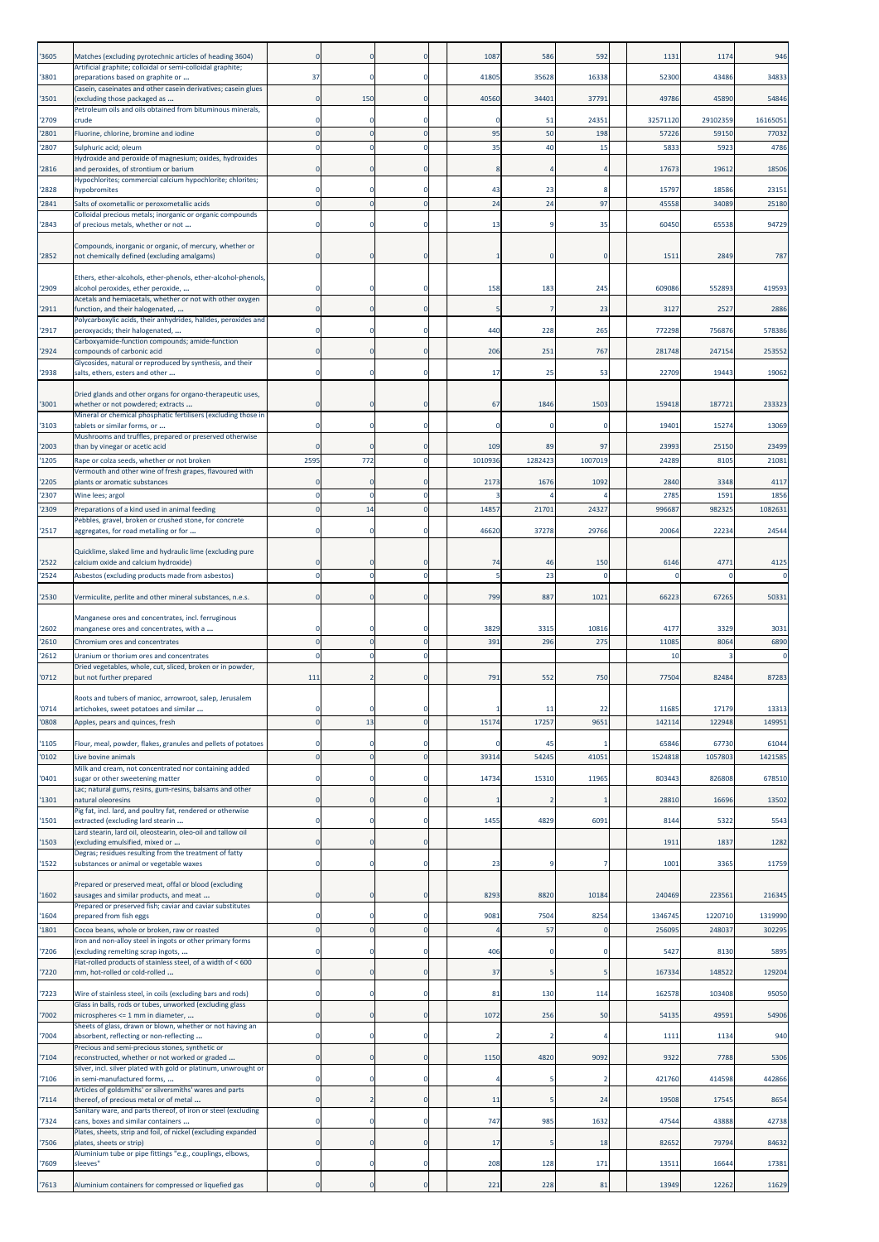| '3605         | Matches (excluding pyrotechnic articles of heading 3604)                                                          |             |                |                      | 1087           | 586            | 592           | 1131              | 1174              | 946               |
|---------------|-------------------------------------------------------------------------------------------------------------------|-------------|----------------|----------------------|----------------|----------------|---------------|-------------------|-------------------|-------------------|
| '3801         | Artificial graphite; colloidal or semi-colloidal graphite;<br>preparations based on graphite or                   | 37          | $\Omega$       | $\Omega$             | 41805          | 35628          | 16338         | 52300             | 43486             | 34833             |
| '3501         | Casein, caseinates and other casein derivatives; casein glues<br>(excluding those packaged as                     | 0           | 150            | $\Omega$             | 40560          | 34401          | 37791         | 49786             | 45890             | 54846             |
|               | Petroleum oils and oils obtained from bituminous minerals,                                                        |             |                |                      |                |                |               |                   |                   |                   |
| '2709<br>2801 | crude<br>Fluorine, chlorine, bromine and iodine                                                                   |             |                |                      | 95             | 51<br>50       | 24351<br>198  | 32571120<br>57226 | 29102359<br>59150 | 16165051<br>77032 |
| 2807          | Sulphuric acid; oleum                                                                                             |             |                | $\Omega$             | 35             | 40             | 15            | 5833              | 5923              | 4786              |
| 2816          | Hydroxide and peroxide of magnesium; oxides, hydroxides<br>and peroxides, of strontium or barium                  |             |                |                      |                |                |               | 17673             | 19612             | 18506             |
|               | Hypochlorites; commercial calcium hypochlorite; chlorites;                                                        |             |                | $\Omega$             | 43             |                |               |                   |                   |                   |
| 2828<br>2841  | <b>nypobromites</b><br>Salts of oxometallic or peroxometallic acids                                               |             | $\Omega$       | $\Omega$             | 24             | 23<br>24       | 97            | 15797<br>45558    | 18586<br>34089    | 23151<br>25180    |
|               | Colloidal precious metals; inorganic or organic compounds                                                         |             |                | $\Omega$             |                |                |               |                   | 65538             |                   |
| '2843         | of precious metals, whether or not                                                                                |             |                |                      | 13             | q              | 35            | 60450             |                   | 94729             |
| '2852         | Compounds, inorganic or organic, of mercury, whether or<br>not chemically defined (excluding amalgams)            | $\Omega$    | $\Omega$       | $\Omega$             |                | $\Omega$       | C             | 151               | 2849              | 787               |
|               | Ethers, ether-alcohols, ether-phenols, ether-alcohol-phenols,                                                     |             |                |                      |                |                |               |                   |                   |                   |
| '2909         | alcohol peroxides, ether peroxide,                                                                                |             |                | $\Omega$             | 158            | 183            | 245           | 609086            | 552893            | 419593            |
| '2911         | Acetals and hemiacetals, whether or not with other oxygen<br>function, and their halogenated,                     |             |                | $\Omega$             |                |                | 23            | 3127              | 2527              | 2886              |
| '2917         | Polycarboxylic acids, their anhydrides, halides, peroxides and<br>peroxyacids; their halogenated,                 | $\Omega$    | $\Omega$       | $\Omega$             | 440            | 228            | 265           | 772298            | 756876            | 578386            |
|               | Carboxyamide-function compounds; amide-function                                                                   |             |                |                      |                |                |               |                   |                   |                   |
| '2924         | compounds of carbonic acid<br>Glycosides, natural or reproduced by synthesis, and their                           | $\Omega$    | $\Omega$       | $\mathbf 0$          | 206            | 251            | 767           | 281748            | 247154            | 253552            |
| '2938         | salts, ethers, esters and other                                                                                   | $\Omega$    |                | $\Omega$             | 17             | 25             | 53            | 22709             | 19443             | 19062             |
| '3001         | Dried glands and other organs for organo-therapeutic uses,<br>whether or not powdered; extracts                   | $\Omega$    | 0              | $\Omega$             | 67             | 1846           | 1503          | 159418            | 187721            | 233323            |
| '3103         | Mineral or chemical phosphatic fertilisers (excluding those in<br>tablets or similar forms, or                    |             |                |                      |                |                |               | 19401             | 15274             | 13069             |
|               | Mushrooms and truffles, prepared or preserved otherwise                                                           |             |                |                      |                |                |               |                   |                   |                   |
| '2003<br>1205 | than by vinegar or acetic acid<br>Rape or colza seeds, whether or not broken                                      | 2595        | 772            | $\Omega$<br>$\Omega$ | 109<br>1010936 | 89<br>1282423  | 97<br>1007019 | 23993<br>24289    | 25150<br>8105     | 23499<br>21081    |
| '2205         | Vermouth and other wine of fresh grapes, flavoured with<br>plants or aromatic substances                          |             |                | $\Omega$             | 2173           | 1676           | 1092          | 2840              | 3348              | 4117              |
| '2307         | Wine lees; argol                                                                                                  |             |                | $\Omega$             |                |                |               | 2785              | 1591              | 1856              |
| 2309          | Preparations of a kind used in animal feeding                                                                     |             | 14             |                      | 1485           | 21701          | 24327         | 99668             | 982325            | 1082631           |
| '2517         | Pebbles, gravel, broken or crushed stone, for concrete<br>aggregates, for road metalling or for                   |             |                | $\Omega$             | 46620          | 37278          | 29766         | 20064             | 22234             | 24544             |
|               | Quicklime, slaked lime and hydraulic lime (excluding pure                                                         |             |                |                      |                |                |               |                   |                   |                   |
| '2522         | calcium oxide and calcium hydroxide)                                                                              |             |                | $\Omega$             | 74             | 46             | 150           | 6146              | 4771              | 4125              |
| 2524          | Asbestos (excluding products made from asbestos)                                                                  |             |                | $\Omega$             |                | 23             |               |                   |                   |                   |
| '2530         | Vermiculite, perlite and other mineral substances, n.e.s.                                                         |             |                | $\Omega$             | 799            | 887            | 1021          | 66223             | 67265             | 50331             |
|               | Manganese ores and concentrates, incl. ferruginous                                                                |             |                |                      |                |                |               |                   |                   |                   |
| '2602<br>2610 | manganese ores and concentrates, with a<br>Chromium ores and concentrates                                         |             |                | $\Omega$<br>$\Omega$ | 3829<br>391    | 3315<br>296    | 10816<br>275  | 4177<br>1108      | 3329<br>8064      | 3031<br>6890      |
| 2612          | Uranium or thorium ores and concentrates                                                                          | $\Omega$    |                |                      |                |                |               | 10                |                   |                   |
| '0712         | Dried vegetables, whole, cut, sliced, broken or in powder,<br>but not further prepared                            | 111         |                | $\Omega$             | 791            | 552            | 750           | 77504             | 82484             | 87283             |
|               | Roots and tubers of manioc, arrowroot, salep, Jerusalem                                                           |             |                |                      |                |                |               |                   |                   |                   |
| '0714         | artichokes, sweet potatoes and similar                                                                            |             |                |                      |                | 11             | 22            | 11685             | 17179             | 13313             |
| '0808         | Apples, pears and quinces, fresh                                                                                  |             | 13             |                      | 15174          | 17257          | 9651          | 142114            | 122948            | 149951            |
| 1105          | Flour, meal, powder, flakes, granules and pellets of potatoes                                                     |             |                |                      |                | 45             |               | 65846             | 67730             | 61044             |
| '0102         | Live bovine animals<br>Milk and cream, not concentrated nor containing added                                      |             |                | $\Omega$             | 39314          | 5424           | 41051         | 1524818           | 1057803           | 1421585           |
| 0401          | sugar or other sweetening matter<br>Lac; natural gums, resins, gum-resins, balsams and other                      | $\Omega$    | 0              | $\Omega$             | 14734          | 15310          | 11965         | 803443            | 826808            | 678510            |
| '1301         | natural oleoresins<br>Pig fat, incl. lard, and poultry fat, rendered or otherwise                                 | $\Omega$    | $\Omega$       | $\mathbf 0$          |                | $\overline{2}$ |               | 28810             | 16696             | 13502             |
| '1501         | extracted (excluding lard stearin                                                                                 | $\circ$     | 0              | $\mathbf 0$          | 1455           | 4829           | 6091          | 8144              | 5322              | 5543              |
| '1503         | Lard stearin, lard oil, oleostearin, oleo-oil and tallow oil<br>(excluding emulsified, mixed or                   | 0           | 0              | $\mathbf 0$          |                |                |               | 191               | 1837              | 1282              |
| '1522         | Degras; residues resulting from the treatment of fatty<br>substances or animal or vegetable waxes                 | 0           |                | $\Omega$             | 23             | 9              |               | 1001              | 3365              | 11759             |
|               |                                                                                                                   |             |                |                      |                |                |               |                   |                   |                   |
| 1602          | Prepared or preserved meat, offal or blood (excluding<br>sausages and similar products, and meat                  | 0           | 0              | $\mathbf 0$          | 8293           | 8820           | 10184         | 240469            | 223561            | 216345            |
| 1604          | Prepared or preserved fish; caviar and caviar substitutes<br>prepared from fish eggs                              |             |                | 0                    | 9081           | 7504           | 8254          | 1346745           | 1220710           | 1319990           |
| '1801         | Cocoa beans, whole or broken, raw or roasted                                                                      | 0           | $\Omega$       |                      |                | 57             |               | 256095            | 24803             | 302295            |
| 7206          | Iron and non-alloy steel in ingots or other primary forms<br>(excluding remelting scrap ingots,                   | $\Omega$    |                | $\Omega$             | 406            | $\Omega$       |               | 5427              | 8130              | 5895              |
| '7220         | Flat-rolled products of stainless steel, of a width of < 600<br>mm, hot-rolled or cold-rolled                     | $\Omega$    | $\Omega$       | $\Omega$             | 37             | 5              |               | 167334            | 148522            | 129204            |
| '7223         | Wire of stainless steel, in coils (excluding bars and rods)                                                       | 0           | 0              | $\mathbf 0$          | 81             | 130            | 114           | 162578            | 103408            | 95050             |
| 7002          | Glass in balls, rods or tubes, unworked (excluding glass<br>microspheres <= 1 mm in diameter,                     | 0           | 0              | $\mathbf 0$          | 1072           | 256            | 50            | 54135             | 49591             | 54906             |
|               | Sheets of glass, drawn or blown, whether or not having an                                                         |             |                |                      |                |                |               |                   |                   |                   |
| '7004         | absorbent, reflecting or non-reflecting<br>Precious and semi-precious stones, synthetic or                        | $\circ$     | 0              | $\Omega$             | $\overline{2}$ | 2              |               | 1111              | 1134              | 940               |
| '7104         | reconstructed, whether or not worked or graded<br>Silver, incl. silver plated with gold or platinum, unwrought or | $\Omega$    |                | $\Omega$             | 1150           | 4820           | 9092          | 9322              | 7788              | 5306              |
| '7106         | in semi-manufactured forms,                                                                                       | $\Omega$    | 0              | $\Omega$             |                |                |               | 421760            | 414598            | 442866            |
| 7114          | Articles of goldsmiths' or silversmiths' wares and parts<br>thereof, of precious metal or of metal                | 0           | $\overline{2}$ | $\mathbf 0$          | 11             |                | 24            | 19508             | 17545             | 8654              |
| '7324         | Sanitary ware, and parts thereof, of iron or steel (excluding<br>cans, boxes and similar containers               | 0           | 0              | $^{\circ}$           | 747            | 985            | 1632          | 47544             | 43888             | 42738             |
| '7506         | Plates, sheets, strip and foil, of nickel (excluding expanded<br>plates, sheets or strip)                         | $\mathbf 0$ | $\Omega$       | 0                    | 17             |                | 18            | 82652             | 79794             | 84632             |
| 7609          | Aluminium tube or pipe fittings "e.g., couplings, elbows,<br>sleeves"                                             | $\Omega$    |                | $^{\circ}$           | 208            | 128            | 171           | 1351              | 16644             | 17381             |
| 7613          | Aluminium containers for compressed or liquefied gas                                                              | $\mathbf 0$ | 0              | $\overline{0}$       | 221            | 228            | 81            | 13949             | 12262             | 11629             |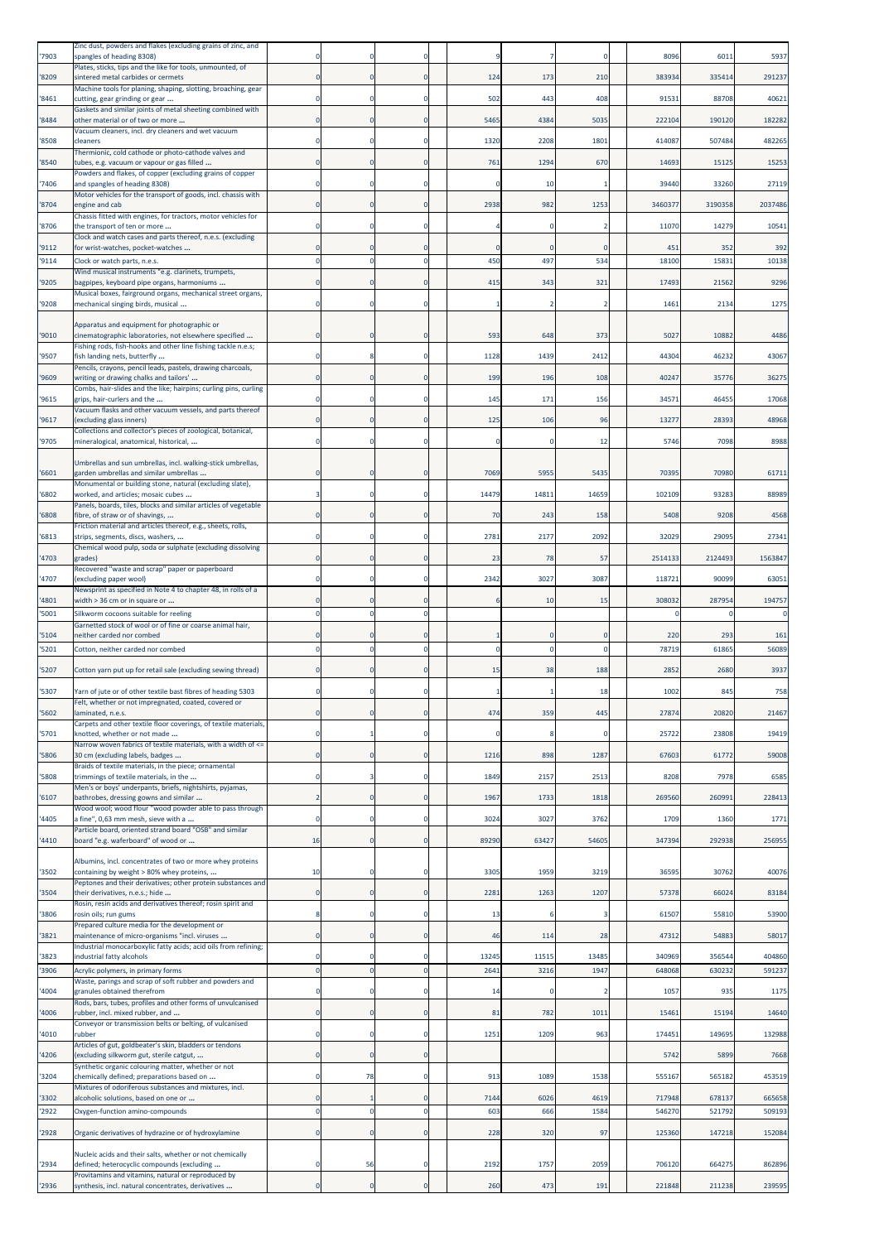| '7903          | Zinc dust, powders and flakes (excluding grains of zinc, and<br>spangles of heading 8308)                              |                |             |                            |                 |          |       | 8096         | 601         | 5937         |
|----------------|------------------------------------------------------------------------------------------------------------------------|----------------|-------------|----------------------------|-----------------|----------|-------|--------------|-------------|--------------|
| 8209           | Plates, sticks, tips and the like for tools, unmounted, of<br>sintered metal carbides or cermets                       |                |             | $\mathbf 0$                | 124             | 173      | 210   | 383934       | 335414      | 291237       |
| 8461           | Machine tools for planing, shaping, slotting, broaching, gear<br>cutting, gear grinding or gear                        |                |             | $\Omega$                   | 502             | 443      | 408   | 9153         | 88708       | 40621        |
| 8484           | Gaskets and similar joints of metal sheeting combined with<br>other material or of two or more                         |                |             | $\overline{0}$             | 5465            | 4384     | 5035  | 22210        | 190120      | 182282       |
| '8508          | Vacuum cleaners, incl. dry cleaners and wet vacuum<br>cleaners                                                         |                |             | $\Omega$                   | 1320            | 2208     | 1801  | 414087       | 507484      | 482265       |
| '8540          | Thermionic, cold cathode or photo-cathode valves and<br>tubes, e.g. vacuum or vapour or gas filled                     |                |             | $\Omega$                   | 761             | 1294     | 670   | 14693        | 15125       | 15253        |
| 7406           | Powders and flakes, of copper (excluding grains of copper<br>and spangles of heading 8308)                             |                |             | 0                          | 0               | 10       |       | 39440        | 33260       | 27119        |
|                | Motor vehicles for the transport of goods, incl. chassis with                                                          |                |             |                            |                 |          |       |              |             |              |
| '8704          | engine and cab<br>Chassis fitted with engines, for tractors, motor vehicles for                                        | C              |             | $\mathbf 0$                | 2938            | 982      | 1253  | 346037       | 3190358     | 2037486      |
| '8706          | the transport of ten or more<br>Clock and watch cases and parts thereof, n.e.s. (excluding                             |                |             | $\Omega$                   |                 |          |       | 1107         | 14279       | 10541        |
| '9112<br>'9114 | for wrist-watches, pocket-watches<br>Clock or watch parts, n.e.s.                                                      | C              |             | $\Omega$<br>$\overline{0}$ | 450             | 497      | 534   | 451<br>18100 | 352<br>1583 | 392<br>10138 |
| '9205          | Wind musical instruments "e.g. clarinets, trumpets,<br>bagpipes, keyboard pipe organs, harmoniums                      | $\epsilon$     |             | $\Omega$                   | 415             | 343      | 321   | 1749         | 21562       | 9296         |
| '9208          | Musical boxes, fairground organs, mechanical street organs,<br>mechanical singing birds, musical                       |                |             | 0                          |                 |          |       | 1461         | 2134        | 1275         |
|                | Apparatus and equipment for photographic or                                                                            |                |             |                            |                 |          |       |              |             |              |
| '9010          | cinematographic laboratories, not elsewhere specified<br>Fishing rods, fish-hooks and other line fishing tackle n.e.s; |                |             | $\Omega$                   | 593             | 648      | 373   | 5027         | 10882       | 4486         |
| '9507          | fish landing nets, butterfly<br>Pencils, crayons, pencil leads, pastels, drawing charcoals,                            |                |             | 0                          | 1128            | 1439     | 2412  | 4430         | 46232       | 43067        |
| '9609          | writing or drawing chalks and tailors'<br>Combs, hair-slides and the like; hairpins; curling pins, curling             | -C             | 0           | $\mathbf 0$                | 199             | 196      | 108   | 40247        | 35776       | 36275        |
| '9615          | grips, hair-curlers and the                                                                                            |                |             | $\Omega$                   | 145             | 171      | 156   | 3457         | 46455       | 17068        |
| '9617          | Vacuum flasks and other vacuum vessels, and parts thereof<br>excluding glass inners)                                   |                |             | 0                          | 125             | 106      | 96    | 13277        | 28393       | 48968        |
| '9705          | Collections and collector's pieces of zoological, botanical,<br>mineralogical, anatomical, historical,                 |                |             | $\Omega$                   | $\Omega$        |          | 12    | 5746         | 7098        | 8988         |
|                | Umbrellas and sun umbrellas, incl. walking-stick umbrellas,                                                            |                |             |                            |                 |          |       |              |             |              |
| '6601          | garden umbrellas and similar umbrellas<br>Monumental or building stone, natural (excluding slate),                     |                |             | $\mathbf 0$                | 7069            | 5955     | 5435  | 70395        | 70980       | 61711        |
| '6802          | worked, and articles; mosaic cubes<br>Panels, boards, tiles, blocks and similar articles of vegetable                  |                |             | $\Omega$                   | 14479           | 14811    | 14659 | 102109       | 93283       | 88989        |
| 6808           | fibre, of straw or of shavings,<br>Friction material and articles thereof, e.g., sheets, rolls,                        |                |             | $\mathbf{0}$               | 70              | 243      | 158   | 5408         | 9208        | 4568         |
| 6813           | strips, segments, discs, washers,<br>Chemical wood pulp, soda or sulphate (excluding dissolving                        |                |             | $\Omega$                   | 2781            | 2177     | 2092  | 32029        | 29095       | 27341        |
| 4703           | grades)<br>Recovered "waste and scrap" paper or paperboard                                                             |                |             | $\overline{0}$             | 23              | 78       | 57    | 2514133      | 2124493     | 1563847      |
| '4707          | (excluding paper wool)<br>Newsprint as specified in Note 4 to chapter 48, in rolls of a                                |                |             | $\mathbf 0$                | 2342            | 3027     | 3087  | 11872        | 90099       | 63051        |
| '4801          | width > 36 cm or in square or                                                                                          |                |             | $\Omega$                   | -6              | 10       | 15    | 308032       | 287954      | 194757       |
| 5001           | Silkworm cocoons suitable for reeling<br>Garnetted stock of wool or of fine or coarse animal hair,                     | $\mathfrak{c}$ |             | $\mathbf 0$                |                 |          |       |              |             |              |
| '5104          | neither carded nor combed                                                                                              |                |             | $\Omega$                   |                 |          |       | 220          | 293         | 161          |
| 5201           | Cotton, neither carded nor combed                                                                                      |                |             | $\Omega$                   | $\Omega$        | $\Omega$ |       | 78719        | 61865       | 56089        |
| 5207           | Cotton yarn put up for retail sale (excluding sewing thread)                                                           |                |             | $\mathbf 0$                | 15              | 38       | 188   | 2852         | 2680        | 3937         |
|                |                                                                                                                        |                |             |                            |                 |          | 18    |              |             |              |
| '5307          | Yarn of jute or of other textile bast fibres of heading 5303<br>Felt, whether or not impregnated, coated, covered      |                |             |                            |                 |          |       | 1002         | 845         | 758          |
| 5602           | laminated, n.e.s.<br>Carpets and other textile floor coverings, of textile materials,                                  | $\epsilon$     |             | $\Omega$                   | 474<br>$\Omega$ | 359      | 445   | 2787         | 20820       | 21467        |
| '5701          | knotted, whether or not made<br>Narrow woven fabrics of textile materials, with a width of <=                          |                |             |                            |                 |          |       | 25722        | 23808       | 19419        |
| '5806          | 30 cm (excluding labels, badges<br>Braids of textile materials, in the piece; ornamental                               | $\Omega$       |             | $\Omega$                   | 1216            | 898      | 1287  | 67603        | 61772       | 59008        |
| 5808           | trimmings of textile materials, in the<br>Men's or boys' underpants, briefs, nightshirts, pyjamas,                     |                |             | $\mathbf 0$                | 1849            | 2157     | 2513  | 8208         | 7978        | 6585         |
| 6107           | bathrobes, dressing gowns and similar<br>Wood wool; wood flour "wood powder able to pass through                       | -2             | O           | $\mathbf 0$                | 1967            | 1733     | 1818  | 269560       | 260991      | 228413       |
| 4405           | a fine", 0,63 mm mesh, sieve with a<br>Particle board, oriented strand board "OSB" and similar                         | -C             |             | $\Omega$                   | 3024            | 3027     | 3762  | 1709         | 1360        | 1771         |
| '4410          | board "e.g. waferboard" of wood or                                                                                     | 16             | $\Omega$    | $\Omega$                   | 89290           | 63427    | 54605 | 347394       | 292938      | 256955       |
| '3502          | Albumins, incl. concentrates of two or more whey proteins<br>containing by weight > 80% whey proteins,                 | 10             |             | 0                          | 3305            | 1959     | 3219  | 3659         | 30762       | 40076        |
| '3504          | Peptones and their derivatives; other protein substances and<br>their derivatives, n.e.s.; hide                        | $\mathbf 0$    | $\Omega$    | $\Omega$                   | 2281            | 1263     | 1207  | 57378        | 66024       | 83184        |
| '3806          | Rosin, resin acids and derivatives thereof; rosin spirit and<br>rosin oils; run gums                                   | 8              |             | 0                          | 13              |          |       | 61507        | 55810       | 53900        |
| 3821           | Prepared culture media for the development or<br>maintenance of micro-organisms "incl. viruses                         | 0              | $\mathbf 0$ | $\mathbf 0$                | 46              | 114      | 28    | 47312        | 5488        | 58017        |
| 3823           | Industrial monocarboxylic fatty acids; acid oils from refining;                                                        | -C             |             | $\Omega$                   | 13245           | 11515    | 13485 | 340969       | 356544      | 404860       |
| 3906           | industrial fatty alcohols<br>Acrylic polymers, in primary forms                                                        | $\overline{0}$ | $\Omega$    | $\mathbf 0$                | 2641            | 3216     | 1947  | 648068       | 630232      | 591237       |
| 4004           | Waste, parings and scrap of soft rubber and powders and<br>granules obtained therefrom                                 | C              |             | $\mathbf 0$                | 14              | 0        |       | 1057         | 935         | 1175         |
| 4006           | Rods, bars, tubes, profiles and other forms of unvulcanised<br>ubber, incl. mixed rubber, and                          | C              |             | $\bf{0}$                   | 81              | 782      | 1011  | 15461        | 15194       | 14640        |
| 4010           | Conveyor or transmission belts or belting, of vulcanised<br>rubber                                                     | $\mathfrak{c}$ |             | $\mathbf 0$                | 1251            | 1209     | 963   | 174451       | 149695      | 132988       |
| 4206           | Articles of gut, goldbeater's skin, bladders or tendons<br>(excluding silkworm gut, sterile catgut,                    | 0              | 0           | $\mathbf 0$                |                 |          |       | 5742         | 5899        | 7668         |
| 3204           | Synthetic organic colouring matter, whether or not<br>chemically defined; preparations based on                        | -C             | 78          | $\mathbf 0$                | 913             | 1089     | 1538  | 555167       | 565182      | 453519       |
| 3302           | Mixtures of odoriferous substances and mixtures, incl.<br>alcoholic solutions, based on one or                         | C              |             | $\mathbf 0$                | 7144            | 6026     | 4619  | 717948       | 678137      | 665658       |
| 2922           | Oxygen-function amino-compounds                                                                                        | $\overline{0}$ | $\Omega$    | $\mathbf 0$                | 603             | 666      | 1584  | 546270       | 521792      | 509193       |
| '2928          | Organic derivatives of hydrazine or of hydroxylamine                                                                   | C              |             | $\mathbf 0$                | 228             | 320      | 97    | 125360       | 147218      | 152084       |
| 2934           | Nucleic acids and their salts, whether or not chemically<br>defined; heterocyclic compounds (excluding                 | -C             | 56          | $\Omega$                   | 2192            | 1757     | 2059  | 706120       | 664275      | 862896       |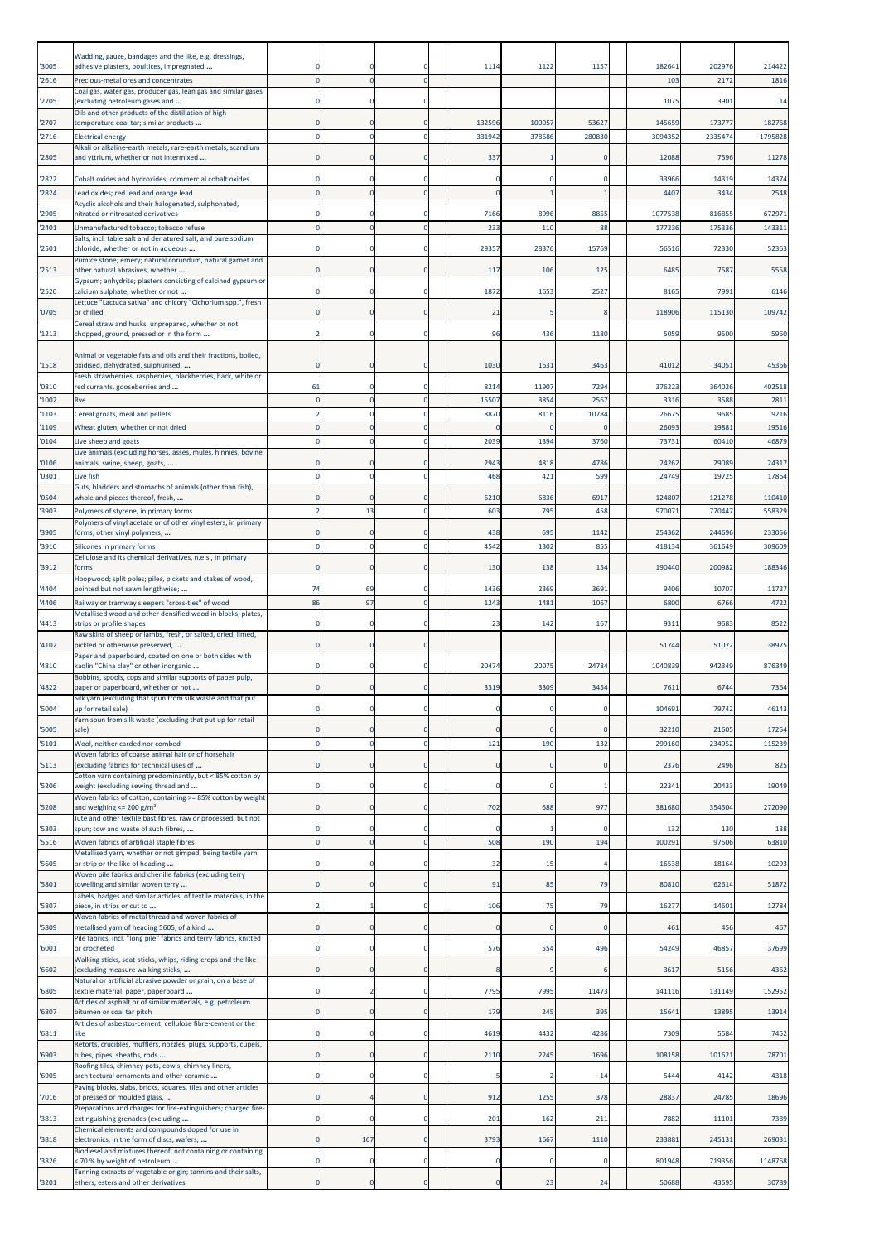|                | Wadding, gauze, bandages and the like, e.g. dressings,                                                   |                               |             |                          |                     |                     |                 |                          |                   |                   |
|----------------|----------------------------------------------------------------------------------------------------------|-------------------------------|-------------|--------------------------|---------------------|---------------------|-----------------|--------------------------|-------------------|-------------------|
| '3005<br>'2616 | adhesive plasters, poultices, impregnated<br>Precious-metal ores and concentrates                        | -C                            |             | $\Omega$<br>$\Omega$     | 1114                | 1122                | 115             | 18264<br>10 <sub>3</sub> | 202976<br>2172    | 214422<br>1816    |
|                | Coal gas, water gas, producer gas, lean gas and similar gases                                            |                               |             |                          |                     |                     |                 |                          |                   |                   |
| '2705          | (excluding petroleum gases and<br>Oils and other products of the distillation of high                    |                               |             | $\Omega$                 |                     |                     |                 | 1075                     | 3901              | 14                |
| '2707<br>2716  | temperature coal tar; similar products<br><b>Electrical energy</b>                                       | C                             |             | $\mathbf 0$<br>0         | 132596<br>331942    | 100057<br>378686    | 53627<br>280830 | 145659<br>3094352        | 173777<br>2335474 | 182768<br>1795828 |
| '2805          | Alkali or alkaline-earth metals; rare-earth metals, scandium<br>and yttrium, whether or not intermixed   | $\epsilon$                    |             | $\bf{0}$                 | 337                 |                     | 0               | 12088                    | 7596              | 11278             |
|                |                                                                                                          |                               |             |                          |                     |                     |                 |                          |                   |                   |
| 2822<br>2824   | Cobalt oxides and hydroxides; commercial cobalt oxides<br>Lead oxides; red lead and orange lead          | C<br>$\mathcal{C}$            |             | $\Omega$<br>$\mathbf{0}$ | 0<br>$\Omega$       | $\Omega$            | O               | 33966<br>440             | 14319<br>3434     | 14374<br>2548     |
| 2905           | Acyclic alcohols and their halogenated, sulphonated,<br>nitrated or nitrosated derivatives               |                               |             | $\Omega$                 | 7166                | 8996                | 885             | 1077538                  | 816855            | 672971            |
| 2401           | Unmanufactured tobacco; tobacco refuse                                                                   | $\mathfrak{c}$                |             | $\mathbf{0}$             | 233                 | 110                 | 88              | 177236                   | 175336            | 143311            |
| 2501           | Salts, incl. table salt and denatured salt, and pure sodium<br>chloride, whether or not in aqueous       |                               |             | 0                        | 29357               | 28376               | 15769           | 56516                    | 72330             | 52363             |
| '2513          | Pumice stone; emery; natural corundum, natural garnet and<br>other natural abrasives, whether            | $\epsilon$                    |             | $\Omega$                 | 117                 | 106                 | 125             | 648                      | 7587              | 5558              |
| 2520           | Gypsum; anhydrite; plasters consisting of calcined gypsum or<br>calcium sulphate, whether or not         | -C                            |             | $\Omega$                 | 1872                | 1653                | 2527            | 8165                     | 7991              | 6146              |
|                | Lettuce "Lactuca sativa" and chicory "Cichorium spp.", fresh                                             |                               |             |                          |                     |                     |                 |                          |                   |                   |
| '0705          | or chilled<br>Cereal straw and husks, unprepared, whether or not                                         | -C                            | 0           | $\mathbf 0$              | 21                  |                     |                 | 11890                    | 115130            | 109742            |
| '1213          | chopped, ground, pressed or in the form                                                                  |                               |             | $\Omega$                 | 96                  | 436                 | 1180            | 5059                     | 9500              | 5960              |
| '1518          | Animal or vegetable fats and oils and their fractions, boiled,<br>oxidised, dehydrated, sulphurised,     | -C                            |             | $\mathbf 0$              | 1030                | 1631                | 3463            | 4101                     | 3405              | 45366             |
| '0810          | Fresh strawberries, raspberries, blackberries, back, white or<br>red currants, gooseberries and          | 61                            |             | $\Omega$                 | 8214                | 11907               | 7294            | 37622                    | 364026            | 402518            |
| 1002           | Rye                                                                                                      | $\epsilon$                    |             | $\mathbf{0}$             | 15507               | 3854                | 2567            | 331                      | 3588              | 2811              |
| '1103<br>'1109 | Cereal groats, meal and pellets<br>Wheat gluten, whether or not dried                                    | $\mathcal{C}$                 | $\mathbf 0$ | $\Omega$<br>$\mathbf 0$  | 8870<br>$\mathbf 0$ | 8116<br>$\mathbf 0$ | 10784           | 26675<br>26093           | 9685<br>1988      | 9216<br>19516     |
| 0104           | Live sheep and goats                                                                                     | $\mathfrak{c}$                |             | 0                        | 2039                | 1394                | 3760            | 73731                    | 60410             | 46879             |
| '0106          | ive animals (excluding horses, asses, mules, hinnies, bovine.<br>animals, swine, sheep, goats,           | -C                            | O           | $\Omega$                 | 2943                | 4818                | 4786            | 24262                    | 29089             | 24317             |
| '0301          | Live fish                                                                                                | $\mathfrak{c}$                | $\Omega$    | $\mathbf 0$              | 468                 | 421                 | 599             | 24749                    | 19725             | 17864             |
| '0504          | Guts, bladders and stomachs of animals (other than fish),<br>whole and pieces thereof, fresh,            | -C                            |             | $\Omega$                 | 6210                | 6836                | 6917            | 124807                   | 121278            | 110410            |
| 3903           | Polymers of styrene, in primary forms                                                                    | -2                            | 13          | $\mathbf 0$              | 603                 | 795                 | 458             | 970071                   | 770447            | 558329            |
| '3905          | Polymers of vinyl acetate or of other vinyl esters, in primary<br>forms; other vinyl polymers,           | $\epsilon$                    |             | $\Omega$                 | 438                 | 695                 | 1142            | 254362                   | 244696            | 233056            |
| 3910           | Silicones in primary forms<br>Cellulose and its chemical derivatives, n.e.s., in primary                 | $\mathfrak{c}$                |             | $\mathbf 0$              | 4542                | 1302                | 855             | 418134                   | 361649            | 309609            |
| '3912          | forms                                                                                                    |                               |             | 0                        | 130                 | 138                 | 154             | 190440                   | 200982            | 188346            |
| 4404           | Hoopwood; split poles; piles, pickets and stakes of wood,<br>pointed but not sawn lengthwise;            | 74                            | 69          | $\Omega$                 | 1436                | 2369                | 3691            | 9406                     | 10707             | 11727             |
| 4406           | Railway or tramway sleepers "cross-ties" of wood                                                         | 86                            | 97          | $\mathbf 0$              | 1243                | 1481                | 1067            | 6800                     | 6766              | 4722              |
| 4413           | Metallised wood and other densified wood in blocks, plates,<br>strips or profile shapes                  | -C                            |             | $\Omega$                 | 23                  | 142                 | 167             | 931                      | 9683              | 8522              |
| 4102           | Raw skins of sheep or lambs, fresh, or salted, dried, limed,<br>pickled or otherwise preserved,          | $\epsilon$                    |             | $\bf{0}$                 |                     |                     |                 | 51744                    | 51072             | 38975             |
| 4810           | Paper and paperboard, coated on one or both sides with<br>kaolin "China clay" or other inorganic         | -C                            | 0           | $\mathbf 0$              | 20474               | 20075               | 24784           | 1040839                  | 942349            | 876349            |
|                | Bobbins, spools, cops and similar supports of paper pulp,                                                |                               |             |                          |                     |                     |                 |                          |                   |                   |
| 4822           | paper or paperboard, whether or not<br>Silk yarn (excluding that spun from silk waste and that put       |                               |             |                          | 3319                | 3309                | 3454            | 761                      | 6744              | 7364              |
| 5004           | up for retail sale)<br>Yarn spun from silk waste (excluding that put up for retail                       |                               |             | $\mathbf 0$              |                     |                     |                 | 104691                   | 79742             | 46143             |
| '5005          | sale)                                                                                                    | $\mathbf 0$<br>$\mathfrak{c}$ | $\Omega$    | $\Omega$                 | $\Omega$            | $\Omega$            | $\Omega$        | 32210                    | 21605             | 17254             |
| '5101          | Wool, neither carded nor combed<br>Woven fabrics of coarse animal hair or of horsehair                   |                               |             | $\mathbf 0$              | 121                 | 190                 | 132             | 299160                   | 234952            | 115239            |
| 5113           | (excluding fabrics for technical uses of<br>Cotton yarn containing predominantly, but < 85% cotton by    | $\mathbf 0$                   |             | $\bf{0}$                 | $\mathbf 0$         | $\Omega$            | $\mathbf 0$     | 2376                     | 2496              | 825               |
| 5206           | weight (excluding sewing thread and<br>Woven fabrics of cotton, containing >= 85% cotton by weight       | 0                             | $\mathbf 0$ | $\mathbf 0$              | $\mathbf 0$         | 0                   |                 | 22341                    | 20433             | 19049             |
| 5208           | and weighing <= 200 g/m <sup>2</sup>                                                                     | $\mathbf 0$                   | $\Omega$    | $\mathbf 0$              | 702                 | 688                 | 977             | 381680                   | 354504            | 272090            |
| 5303           | Jute and other textile bast fibres, raw or processed, but not<br>spun; tow and waste of such fibres,     |                               |             | 0                        |                     |                     |                 | 132                      | 130               | 138               |
| 5516           | Woven fabrics of artificial staple fibres<br>Metallised yarn, whether or not gimped, being textile yarn, | $\epsilon$                    |             | $\mathbf 0$              | 508                 | 190                 | 194             | 100291                   | 97506             | 63810             |
| 5605           | or strip or the like of heading                                                                          | C                             |             | 0                        | 32                  | 15                  |                 | 16538                    | 18164             | 10293             |
| 5801           | Woven pile fabrics and chenille fabrics (excluding terry<br>towelling and similar woven terry            | $\Omega$                      |             | $\mathbf{0}$             | 91                  | 85                  | 79              | 80810                    | 62614             | 51872             |
| '5807          | Labels, badges and similar articles, of textile materials, in the<br>piece, in strips or cut to          | -2                            |             | 0                        | 106                 | 75                  | 79              | 16277                    | 14601             | 12784             |
| 5809           | Woven fabrics of metal thread and woven fabrics of<br>metallised yarn of heading 5605, of a kind         | $\mathbf 0$                   | $\mathbf 0$ | $\mathbf 0$              | $\mathbf 0$         | $\bf{0}$            | $\mathbf 0$     | 461                      | 456               | 467               |
| 6001           | Pile fabrics, incl. "long pile" fabrics and terry fabrics, knitted<br>or crocheted                       | C                             |             | $\mathbf 0$              | 576                 | 554                 | 496             | 54249                    | 46857             | 37699             |
| 6602           | Walking sticks, seat-sticks, whips, riding-crops and the like<br>excluding measure walking sticks,       | C                             |             | $\bf{0}$                 | 8                   |                     |                 | 3617                     | 5156              | 4362              |
| 6805           | Natural or artificial abrasive powder or grain, on a base of<br>textile material, paper, paperboard      | $\Omega$                      |             | $\mathbf 0$              | 7795                | 7995                | 11473           | 141116                   | 131149            | 152952            |
| '6807          | Articles of asphalt or of similar materials, e.g. petroleum                                              | $\mathbf 0$                   | $\mathbf 0$ | $\mathbf 0$              | 179                 | 245                 | 395             | 15641                    | 13895             | 13914             |
|                | bitumen or coal tar pitch<br>Articles of asbestos-cement, cellulose fibre-cement or the                  |                               |             |                          |                     |                     |                 |                          |                   |                   |
| '6811          | like<br>Retorts, crucibles, mufflers, nozzles, plugs, supports, cupels,                                  | 0                             | $\mathbf 0$ | 0                        | 4619                | 4432                | 4286            | 7309                     | 5584              | 7452              |
| 6903           | tubes, pipes, sheaths, rods<br>Roofing tiles, chimney pots, cowls, chimney liners,                       | $\mathbf 0$                   |             | $\mathbf 0$              | 2110                | 2245                | 1696            | 108158                   | 101621            | 78701             |
| 6905           | architectural ornaments and other ceramic                                                                | C                             |             | 0                        |                     |                     | 14              | 5444                     | 4142              | 4318              |
| 7016           | Paving blocks, slabs, bricks, squares, tiles and other articles<br>of pressed or moulded glass,          | $\Omega$                      |             | $\mathbf{0}$             | 912                 | 1255                | 378             | 28837                    | 24785             | 18696             |
| '3813          | Preparations and charges for fire-extinguishers; charged fire-<br>extinguishing grenades (excluding      | C                             | $\Omega$    | 0                        | 201                 | 162                 | 211             | 7882                     | 11101             | 7389              |
| '3818          | Chemical elements and compounds doped for use in<br>electronics, in the form of discs, wafers,           | 0                             | 167         | $\mathbf 0$              | 3793                | 1667                | 1110            | 233881                   | 245131            | 269031            |
| 3826           | Biodiesel and mixtures thereof, not containing or containing<br>< 70 % by weight of petroleum            | C                             |             | $\mathbf 0$              | 0                   | 0                   | $\Omega$        | 801948                   | 719356            | 1148768           |
|                | Tanning extracts of vegetable origin; tannins and their salts,                                           |                               |             |                          |                     |                     |                 |                          |                   |                   |
| 3201           | ethers, esters and other derivatives                                                                     | $\mathbf 0$                   |             | $\mathbf 0$              | $\mathbf 0$         | 23                  | 24              | 50688                    | 43595             | 30789             |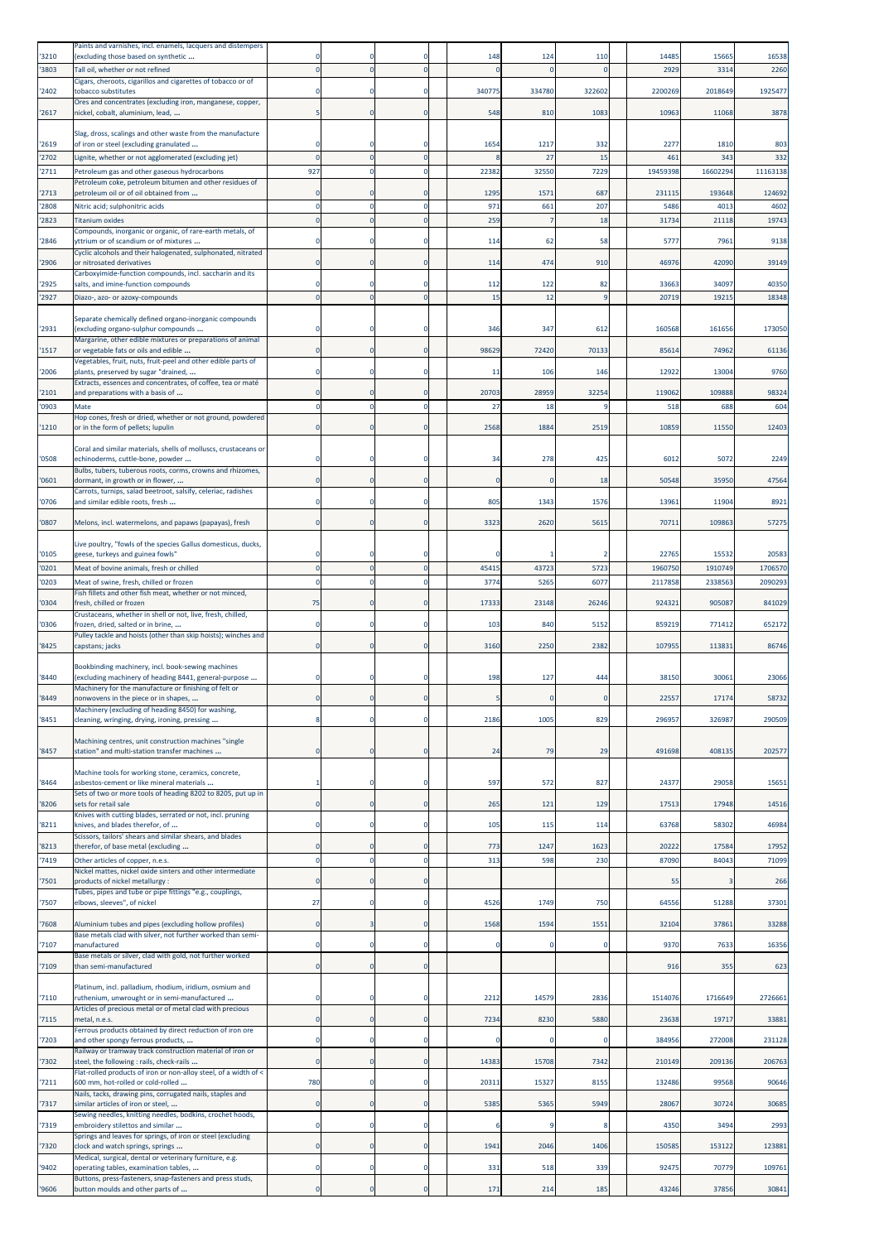| '3210          | Paints and varnishes, incl. enamels, lacquers and distempers<br>(excluding those based on synthetic                                                                  |                       |                  | O                          | 148         | 124         | 110         | 1448             | 15665            | 16538            |
|----------------|----------------------------------------------------------------------------------------------------------------------------------------------------------------------|-----------------------|------------------|----------------------------|-------------|-------------|-------------|------------------|------------------|------------------|
| 3803           | Tall oil, whether or not refined                                                                                                                                     |                       |                  | $\mathbf 0$                |             |             |             | 2929             | 3314             | 2260             |
| '2402          | Cigars, cheroots, cigarillos and cigarettes of tobacco or of<br>tobacco substitutes                                                                                  |                       |                  | $\Omega$                   | 340775      | 334780      | 322602      | 2200269          | 2018649          | 1925477          |
|                | Ores and concentrates (excluding iron, manganese, copper,                                                                                                            |                       |                  |                            |             |             |             |                  |                  |                  |
| '2617          | nickel, cobalt, aluminium, lead,                                                                                                                                     |                       | $\mathbf 0$      | $\mathbf 0$                | 548         | 810         | 1083        | 10963            | 11068            | 3878             |
| '2619          | Slag, dross, scalings and other waste from the manufacture<br>of iron or steel (excluding granulated                                                                 |                       |                  | $\mathbf 0$                | 1654        | 1217        | 332         | 2277             | 1810             | 803              |
| '2702          | Lignite, whether or not agglomerated (excluding jet)                                                                                                                 | $\sqrt{ }$            |                  | $\mathbf{0}$               |             | 27          | 15          | 461              | 343              | 332              |
| '2711          | Petroleum gas and other gaseous hydrocarbons<br>Petroleum coke, petroleum bitumen and other residues of                                                              | 927                   |                  | $\mathbf 0$                | 22382       | 32550       | 7229        | 19459398         | 16602294         | 11163138         |
| '2713          | petroleum oil or of oil obtained from                                                                                                                                |                       |                  | $\mathbf 0$                | 1295        | 1571        | 687         | 231115           | 193648           | 124692           |
| 2808<br>2823   | Nitric acid; sulphonitric acids<br><b>Titanium oxides</b>                                                                                                            |                       |                  | $\mathbf 0$<br>$\mathbf 0$ | 971<br>259  | 661         | 207<br>18   | 5486<br>31734    | 4013<br>21118    | 4602<br>19743    |
|                | Compounds, inorganic or organic, of rare-earth metals, of                                                                                                            |                       |                  |                            |             |             |             |                  |                  |                  |
| '2846          | yttrium or of scandium or of mixtures<br>Cyclic alcohols and their halogenated, sulphonated, nitrated                                                                |                       |                  | $\mathbf 0$                | 114         | 62          | 58          | 5777             | 7961             | 9138             |
| '2906          | or nitrosated derivatives<br>Carboxyimide-function compounds, incl. saccharin and its                                                                                |                       | $\mathbf 0$      | $\mathbf 0$                | 114         | 474         | 910         | 46976            | 42090            | 39149            |
| 2925           | salts, and imine-function compounds                                                                                                                                  | -C                    | 0                | $\mathbf 0$                | 112         | 122         | 82          | 33663            | 34097            | 40350            |
| '2927          | Diazo-, azo- or azoxy-compounds                                                                                                                                      | $\sqrt{ }$            |                  | $\mathbf{0}$               | 15          | 12          | q           | 20719            | 19215            | 18348            |
| '2931          | Separate chemically defined organo-inorganic compounds<br>(excluding organo-sulphur compounds                                                                        |                       |                  | $\mathbf 0$                | 346         | 347         | 612         | 160568           | 161656           | 173050           |
| 1517           | Margarine, other edible mixtures or preparations of animal<br>or vegetable fats or oils and edible                                                                   | $\Omega$              | $\mathbf 0$      | $\mathbf 0$                | 98629       | 72420       | 70133       | 85614            | 74962            | 61136            |
| 2006           | Vegetables, fruit, nuts, fruit-peel and other edible parts of<br>plants, preserved by sugar "drained,                                                                | C                     | $\mathbf 0$      | $\mathbf 0$                | 11          | 106         | 146         | 12922            | 13004            | 9760             |
| '2101          | Extracts, essences and concentrates, of coffee, tea or maté<br>and preparations with a basis of                                                                      |                       |                  | $\Omega$                   | 20703       | 28959       | 32254       | 119062           | 109888           | 98324            |
| '0903          | Mate                                                                                                                                                                 |                       |                  | $\mathbf 0$                | 27          | 18          |             | 518              | 688              | 604              |
| '1210          | Hop cones, fresh or dried, whether or not ground, powdered<br>or in the form of pellets; lupulin                                                                     | $\Omega$              | $\mathbf 0$      | $\mathbf{0}$               | 2568        | 1884        | 2519        | 10859            | 11550            | 12403            |
| '0508          | Coral and similar materials, shells of molluscs, crustaceans or<br>echinoderms, cuttle-bone, powder                                                                  |                       |                  | $\mathbf 0$                | 34          | 278         | 425         | 6012             | 5072             | 2249             |
|                | Bulbs, tubers, tuberous roots, corms, crowns and rhizomes,                                                                                                           | $\epsilon$            |                  | $\mathbf 0$                | $\Omega$    |             |             |                  |                  |                  |
| '0601          | dormant, in growth or in flower,<br>Carrots, turnips, salad beetroot, salsify, celeriac, radishes                                                                    |                       | $\mathbf 0$      |                            |             | 0           | 18          | 50548            | 35950            | 47564            |
| '0706          | and similar edible roots, fresh                                                                                                                                      |                       |                  | $\mathbf 0$                | 805         | 1343        | 1576        | 13961            | 11904            | 8921             |
| '0807          | Melons, incl. watermelons, and papaws (papayas), fresh                                                                                                               | $\epsilon$            | $\mathbf 0$      | $\mathbf 0$                | 3323        | 2620        | 5615        | 70711            | 109863           | 57275            |
|                | Live poultry, "fowls of the species Gallus domesticus, ducks,                                                                                                        |                       |                  |                            |             |             |             |                  |                  |                  |
| '0105<br>0201  | geese, turkeys and guinea fowls"<br>Meat of bovine animals, fresh or chilled                                                                                         | $\epsilon$            | $\mathbf 0$      | 0<br>$\mathbf 0$           | 45415       | 43723       | 5723        | 22765<br>1960750 | 15532<br>1910749 | 20583<br>1706570 |
| '0203          | Meat of swine, fresh, chilled or frozen                                                                                                                              | $\mathfrak{c}$        |                  | $\mathbf 0$                | 3774        | 5265        | 6077        | 2117858          | 2338563          | 2090293          |
| '0304          | Fish fillets and other fish meat, whether or not minced,<br>fresh, chilled or frozen                                                                                 | 75                    | $\mathbf 0$      | $\mathbf 0$                | 17333       | 23148       | 26246       | 924321           | 905087           | 841029           |
| '0306          | Crustaceans, whether in shell or not, live, fresh, chilled,<br>frozen, dried, salted or in brine,                                                                    | -C                    |                  | $\mathbf 0$                | 103         | 840         | 5152        | 859219           | 771412           | 652172           |
| 8425           | Pulley tackle and hoists (other than skip hoists); winches and<br>capstans; jacks                                                                                    | C                     | $\mathbf 0$      | $\mathbf 0$                | 3160        | 2250        | 2382        | 107955           | 113831           | 86746            |
|                |                                                                                                                                                                      |                       |                  |                            |             |             |             |                  |                  |                  |
| 8440           | Bookbinding machinery, incl. book-sewing machines<br>(excluding machinery of heading 8441, general-purpose                                                           |                       |                  | $\Omega$                   | 198         | 127         | 444         | 38150            | 30061            | 23066            |
| 8449           | Machinery for the manufacture or finishing of felt or<br>nonwovens in the piece or in shapes,                                                                        | 0                     | $\mathbf 0$      | $\mathbf 0$                |             | 0           |             | 22557            | 17174            | 58732            |
| '8451          | Machinery (excluding of heading 8450) for washing,<br>cleaning, wringing, drying, ironing, pressing                                                                  | Я                     | $\mathbf 0$      | $\mathbf 0$                | 2186        | 1005        | 829         | 296957           | 326987           | 290509           |
|                |                                                                                                                                                                      |                       |                  |                            |             |             |             |                  |                  |                  |
| '8457          | Machining centres, unit construction machines "single<br>station" and multi-station transfer machines                                                                | $\epsilon$            | $\mathbf 0$      | $\mathbf 0$                | 24          | 79          | 29          | 491698           | 408135           | 202577           |
| '8464          | Machine tools for working stone, ceramics, concrete,<br>asbestos-cement or like mineral materials                                                                    |                       |                  | 0                          | 597         | 572         | 827         | 24377            | 29058            | 15651            |
| '8206          | Sets of two or more tools of heading 8202 to 8205, put up in<br>sets for retail sale                                                                                 | $\epsilon$            | $\mathbf 0$      | $\mathbf 0$                | 265         | 121         | 129         | 17513            | 17948            | 14516            |
| '8211          | Knives with cutting blades, serrated or not, incl. pruning<br>knives, and blades therefor, of                                                                        | $\Omega$              | $\mathbf 0$      | $\mathbf 0$                | 105         | 115         | 114         | 63768            | 58302            | 46984            |
|                | Scissors, tailors' shears and similar shears, and blades                                                                                                             |                       |                  |                            |             |             |             |                  |                  |                  |
| '8213<br>'7419 | therefor, of base metal (excluding<br>Other articles of copper, n.e.s.                                                                                               | $\epsilon$<br>$\circ$ | 0<br>$\mathbf 0$ | $\mathbf 0$<br>$\mathbf 0$ | 773<br>313  | 1247<br>598 | 1623<br>230 | 20222<br>87090   | 17584<br>84043   | 17952<br>71099   |
| 7501           | Nickel mattes, nickel oxide sinters and other intermediate<br>products of nickel metallurgy :                                                                        | $\Omega$              | $\mathbf 0$      | $\mathbf 0$                |             |             |             | 55               |                  | 266              |
| 7507           | Tubes, pipes and tube or pipe fittings "e.g., couplings,<br>elbows, sleeves", of nickel                                                                              | 27                    | $\mathbf 0$      | $\mathbf 0$                | 4526        | 1749        | 750         | 64556            | 51288            | 37301            |
| '7608          | Aluminium tubes and pipes (excluding hollow profiles)                                                                                                                | C                     |                  | $\mathbf 0$                | 1568        | 1594        | 1551        | 32104            | 37861            | 33288            |
| '7107          | Base metals clad with silver, not further worked than semi-<br>manufactured                                                                                          | $\mathfrak{c}$        | $\Omega$         | $\mathbf 0$                |             | Ō           | $\Omega$    | 9370             | 7633             | 16356            |
|                | Base metals or silver, clad with gold, not further worked                                                                                                            |                       |                  |                            |             |             |             |                  |                  |                  |
| '7109          | than semi-manufactured                                                                                                                                               | $\mathbf 0$           | $\mathbf 0$      | $\mathbf 0$                |             |             |             | 916              | 355              | 623              |
| '7110          | Platinum, incl. palladium, rhodium, iridium, osmium and<br>ruthenium, unwrought or in semi-manufactured<br>Articles of precious metal or of metal clad with precious | $\Omega$              | $\mathbf 0$      | $\mathbf 0$                | 2212        | 14579       | 2836        | 1514076          | 1716649          | 2726661          |
| 7115           | metal, n.e.s.                                                                                                                                                        | 0                     | $\mathbf 0$      | $\mathbf 0$                | 7234        | 8230        | 5880        | 23638            | 19717            | 33881            |
| 7203           | Ferrous products obtained by direct reduction of iron ore<br>and other spongy ferrous products,                                                                      | $\Omega$              | 0                | $\mathbf 0$                | $\mathbf 0$ | $\mathbf 0$ | $\Omega$    | 384956           | 272008           | 231128           |
| 7302           | Railway or tramway track construction material of iron or<br>steel, the following : rails, check-rails                                                               | C                     | $\mathbf 0$      | $\mathbf 0$                | 14383       | 15708       | 7342        | 210149           | 209136           | 206763           |
| '7211          | Flat-rolled products of iron or non-alloy steel, of a width of <<br>600 mm, hot-rolled or cold-rolled                                                                | 780                   | $\mathbf 0$      | $\mathbf 0$                | 20311       | 15327       | 8155        | 132486           | 99568            | 90646            |
| 7317           | Nails, tacks, drawing pins, corrugated nails, staples and<br>similar articles of iron or steel,                                                                      | $\mathbf 0$           | $\mathbf 0$      | $\mathbf 0$                | 5385        | 5365        | 5949        | 28067            | 30724            | 30685            |
|                | Sewing needles, knitting needles, bodkins, crochet hoods,                                                                                                            |                       |                  |                            |             |             |             |                  |                  |                  |
| '7319          | embroidery stilettos and similar<br>Springs and leaves for springs, of iron or steel (excluding                                                                      | 0<br>$\Omega$         | 0                | $\mathbf 0$<br>$\mathbf 0$ | 1941        | 9<br>2046   | 1406        | 4350             | 3494<br>153122   | 2993<br>123881   |
| 7320           | clock and watch springs, springs<br>Medical, surgical, dental or veterinary furniture, e.g.                                                                          |                       | $\mathbf 0$      |                            |             |             |             | 150585           |                  |                  |
| 9402           | operating tables, examination tables,<br>Buttons, press-fasteners, snap-fasteners and press studs,                                                                   | C                     | $\mathbf 0$      | $\mathbf 0$                | 331         | 518         | 339         | 92475            | 70779            | 109761           |
| '9606          | button moulds and other parts of                                                                                                                                     | 0                     | $\mathbf 0$      | $\mathbf 0$                | 171         | 214         | 185         | 43246            | 37856            | 30841            |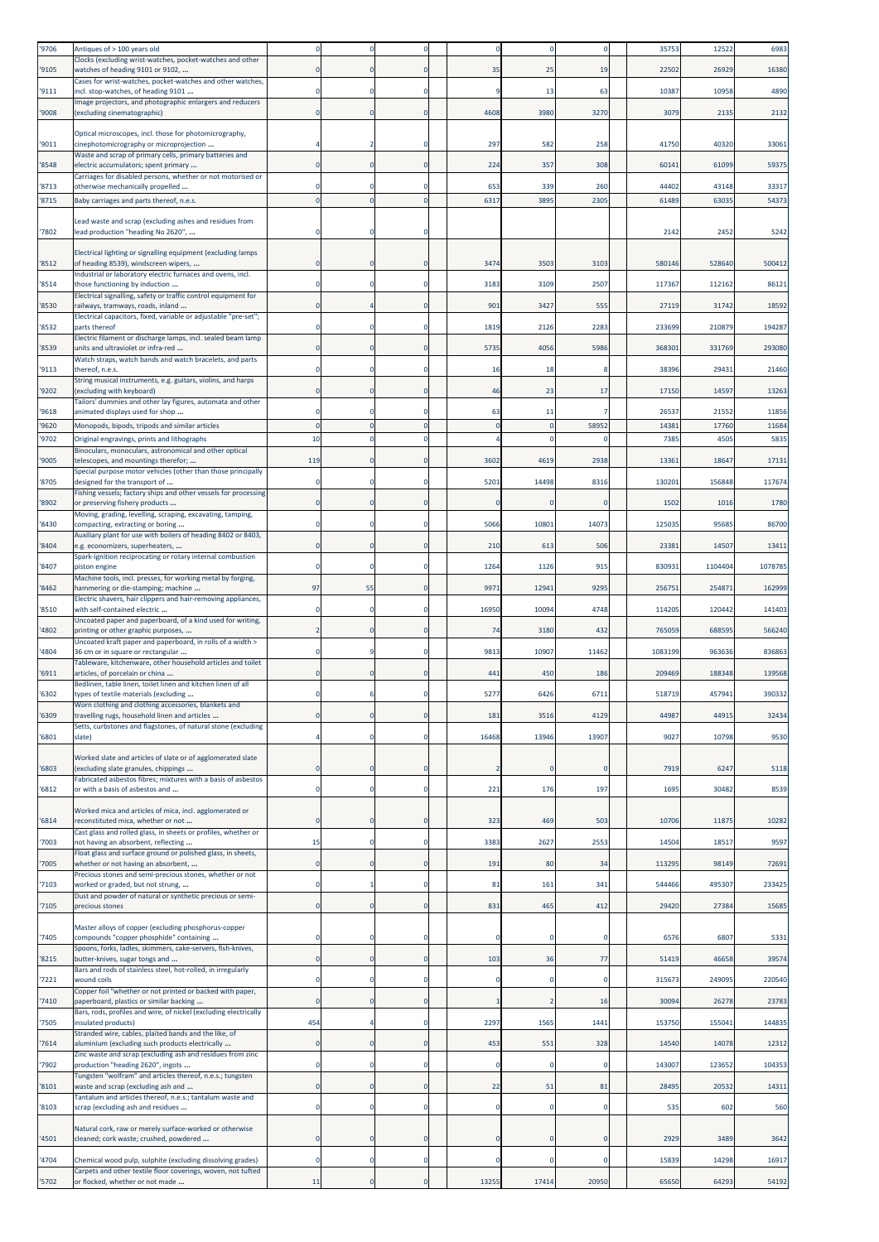| '9706         | Antiques of > 100 years old                                                                           |                |             | $\mathbf 0$                |             |             |             | 3575           | 12522          | 6983           |
|---------------|-------------------------------------------------------------------------------------------------------|----------------|-------------|----------------------------|-------------|-------------|-------------|----------------|----------------|----------------|
| '9105         | Clocks (excluding wrist-watches, pocket-watches and other<br>watches of heading 9101 or 9102,         |                |             | $\mathbf 0$                | 35          | 25          | 19          | 22502          | 26929          | 16380          |
|               | Cases for wrist-watches, pocket-watches and other watches,                                            |                |             |                            |             |             |             |                |                |                |
| '9111         | incl. stop-watches, of heading 9101<br>mage projectors, and photographic enlargers and reducers       |                |             | $\mathbf{0}$               |             | 13          | 63          | 10387          | 10958          | 4890           |
| '9008         | (excluding cinematographic)                                                                           | $\epsilon$     | 0           | $\mathbf 0$                | 4608        | 3980        | 3270        | 3079           | 2135           | 2132           |
|               | Optical microscopes, incl. those for photomicrography,                                                |                |             |                            |             |             |             |                |                |                |
| '9011         | cinephotomicrography or microprojection                                                               |                |             | $\mathbf 0$                | 297         | 582         | 258         | 41750          | 40320          | 33061          |
| '8548         | Waste and scrap of primary cells, primary batteries and<br>electric accumulators; spent primary       |                | 0           | $\mathbf 0$                | 224         | 357         | 308         | 60141          | 61099          | 59375          |
|               | Carriages for disabled persons, whether or not motorised or                                           |                |             |                            |             |             |             |                |                |                |
| '8713<br>8715 | otherwise mechanically propelled<br>Baby carriages and parts thereof, n.e.s.                          |                |             | $\Omega$<br>$\overline{0}$ | 653<br>6317 | 339<br>3895 | 260<br>2305 | 44402<br>61489 | 43148<br>63035 | 33317<br>54373 |
|               |                                                                                                       |                |             |                            |             |             |             |                |                |                |
| '7802         | Lead waste and scrap (excluding ashes and residues from                                               |                |             | 0                          |             |             |             | 2142           | 2452           | 5242           |
|               | lead production "heading No 2620",                                                                    |                |             |                            |             |             |             |                |                |                |
|               | Electrical lighting or signalling equipment (excluding lamps                                          |                |             |                            |             |             |             |                |                |                |
| '8512         | of heading 8539), windscreen wipers,<br>Industrial or laboratory electric furnaces and ovens, incl.   |                |             | $\mathbf 0$                | 3474        | 3503        | 3103        | 580146         | 528640         | 500412         |
| '8514         | those functioning by induction                                                                        |                | $\mathbf 0$ | $\mathbf 0$                | 3183        | 3109        | 2507        | 117367         | 112162         | 86121          |
| '8530         | Electrical signalling, safety or traffic control equipment for<br>railways, tramways, roads, inland   |                |             | $\mathbf 0$                | 901         | 3427        | 555         | 27119          | 31742          | 18592          |
|               | Electrical capacitors, fixed, variable or adjustable "pre-set";                                       |                |             |                            |             |             |             |                |                |                |
| '8532         | parts thereof<br>Electric filament or discharge lamps, incl. sealed beam lamp                         |                |             | $\mathbf 0$                | 1819        | 2126        | 2283        | 233699         | 210879         | 194287         |
| '8539         | units and ultraviolet or infra-red                                                                    |                |             | $\mathbf 0$                | 5735        | 4056        | 5986        | 368301         | 331769         | 293080         |
| '9113         | Watch straps, watch bands and watch bracelets, and parts<br>thereof, n.e.s.                           |                | 0           | $\mathbf 0$                | 16          | 18          | -8          | 38396          | 29431          | 21460          |
|               | String musical instruments, e.g. guitars, violins, and harps                                          |                |             |                            |             |             |             |                |                |                |
| '9202         | excluding with keyboard)<br>Tailors' dummies and other lay figures, automata and other                |                |             | $\mathbf 0$                | 46          | 23          | 17          | 17150          | 14597          | 13263          |
| '9618         | animated displays used for shop                                                                       |                |             | $\Omega$                   | 63          | 11          |             | 26537          | 21552          | 11856          |
| '9620         | Monopods, bipods, tripods and similar articles                                                        |                |             | $\overline{0}$             |             | 0           | 58952       | 14381          | 17760          | 11684          |
| 9702          | Original engravings, prints and lithographs<br>Binoculars, monoculars, astronomical and other optical | 10             |             | $\mathbf 0$                |             |             |             | 7385           | 4505           | 5835           |
| '9005         | telescopes, and mountings therefor;                                                                   | 119            |             | $\mathbf 0$                | 3602        | 4619        | 2938        | 13361          | 18647          | 17131          |
|               | Special purpose motor vehicles (other than those principally                                          |                |             | $\mathbf 0$                | 5201        |             |             |                |                |                |
| '8705         | designed for the transport of<br>Fishing vessels; factory ships and other vessels for processing      |                |             |                            |             | 14498       | 8316        | 130201         | 156848         | 117674         |
| 8902          | or preserving fishery products                                                                        |                |             | $\mathbf 0$                |             | 0           | $\Omega$    | 1502           | 1016           | 1780           |
| 8430          | Moving, grading, levelling, scraping, excavating, tamping,<br>compacting, extracting or boring        |                | 0           | $\mathbf 0$                | 5066        | 10801       | 14073       | 125035         | 95685          | 86700          |
|               | Auxiliary plant for use with boilers of heading 8402 or 8403,                                         |                |             |                            |             |             |             |                |                |                |
| 8404          | e.g. economizers, superheaters,<br>Spark-ignition reciprocating or rotary internal combustion         |                |             | $\mathbf{0}$               | 210         | 613         | 506         | 23381          | 14507          | 13411          |
| '8407         | piston engine                                                                                         |                | $\Omega$    | $\mathbf 0$                | 1264        | 1126        | 915         | 830931         | 1104404        | 1078785        |
| '8462         | Machine tools, incl. presses, for working metal by forging,<br>hammering or die-stamping; machine     | 97             | 55          | $\mathbf 0$                | 9971        | 12941       | 9295        | 256751         | 254871         | 162999         |
|               | Electric shavers, hair clippers and hair-removing appliances,                                         |                |             |                            |             |             |             |                |                |                |
| '8510         | with self-contained electric<br>Uncoated paper and paperboard, of a kind used for writing,            |                |             | $\mathbf 0$                | 16950       | 10094       | 4748        | 114205         | 120442         | 141403         |
| 4802          | printing or other graphic purposes,                                                                   |                | 0           | $\mathbf 0$                | 74          | 3180        | 432         | 765059         | 688595         | 566240         |
| 4804          | Uncoated kraft paper and paperboard, in rolls of a width ><br>36 cm or in square or rectangular       |                |             | $\mathbf 0$                | 9813        | 10907       | 11462       | 1083199        | 963636         | 836863         |
|               | Tableware, kitchenware, other household articles and toilet                                           |                |             | $\mathbf 0$                |             |             |             |                |                |                |
| '6911         | articles, of porcelain or china<br>Bedlinen, table linen, toilet linen and kitchen linen of all       |                |             |                            | 441         | 450         | 186         | 209469         | 188348         | 139568         |
| '6302         | types of textile materials (excluding                                                                 |                |             | $\mathbf 0$                | 5277        | 6426        | 6711        | 518719         | 457941         | 390332         |
| '6309         | Worn clothing and clothing accessories, blankets and<br>travelling rugs, household linen and articles |                |             | $\overline{0}$             | 181         | 3516        | 4129        | 44987          | 44915          | 32434          |
|               | Setts, curbstones and flagstones, of natural stone (excluding                                         |                |             |                            |             |             |             |                |                |                |
| 6801          | slate)                                                                                                |                | 0           | $\mathbf 0$                | 16468       | 13946       | 13907       | 9027           | 10798          | 9530           |
|               | Worked slate and articles of slate or of agglomerated slate                                           |                |             |                            |             |             |             |                |                |                |
| 6803          | (excluding slate granules, chippings<br>Fabricated asbestos fibres; mixtures with a basis of asbestos | C              | 0           | $\mathbf 0$                |             | $\mathbf 0$ |             | 7919           | 6247           | 5118           |
| 6812          | or with a basis of asbestos and                                                                       | $\Omega$       | 0           | $\mathbf 0$                | 221         | 176         | 197         | 1695           | 30482          | 8539           |
|               | Worked mica and articles of mica, incl. agglomerated or                                               |                |             |                            |             |             |             |                |                |                |
| 6814          | reconstituted mica, whether or not                                                                    | $\epsilon$     | $\mathbf 0$ | $\mathbf 0$                | 323         | 469         | 503         | 10706          | 11875          | 10282          |
| 7003          | Cast glass and rolled glass, in sheets or profiles, whether or<br>not having an absorbent, reflecting | 15             | $\mathbf 0$ | $\mathbf 0$                | 3383        | 2627        | 2553        | 14504          | 18517          | 9597           |
|               | Float glass and surface ground or polished glass, in sheets,                                          |                |             |                            |             |             |             |                |                |                |
| '7005         | whether or not having an absorbent,<br>Precious stones and semi-precious stones, whether or not       | $\epsilon$     |             | $\mathbf 0$                | 191         | 80          | 34          | 113295         | 98149          | 72691          |
| 7103          | worked or graded, but not strung,                                                                     | $\mathfrak{c}$ |             | $\mathbf 0$                | 81          | 161         | 341         | 544466         | 495307         | 233425         |
| 7105          | Dust and powder of natural or synthetic precious or semi-<br>precious stones                          | 0              | $\mathbf 0$ | $\mathbf 0$                | 831         | 465         | 412         | 29420          | 27384          | 15685          |
|               |                                                                                                       |                |             |                            |             |             |             |                |                |                |
| '7405         | Master alloys of copper (excluding phosphorus-copper<br>compounds "copper phosphide" containing       | C              | $\mathbf 0$ | $\mathbf 0$                |             | 0           | $\Omega$    | 6576           | 6807           | 5331           |
|               | Spoons, forks, ladles, skimmers, cake-servers, fish-knives,                                           |                |             |                            |             |             |             |                |                |                |
| 8215          | butter-knives, sugar tongs and<br>Bars and rods of stainless steel, hot-rolled, in irregularly        | 0              | $\mathbf 0$ | $\mathbf 0$                | 103         | 36          | 77          | 51419          | 46658          | 39574          |
| 7221          | wound coils                                                                                           | $\Omega$       | $\mathbf 0$ | $\mathbf 0$                | $\Omega$    | $\mathbf 0$ | $\Omega$    | 315673         | 249095         | 220540         |
| 7410          | Copper foil "whether or not printed or backed with paper,<br>paperboard, plastics or similar backing  |                | 0           | $\bf{0}$                   |             |             | 16          | 30094          | 26278          | 23783          |
|               | Bars, rods, profiles and wire, of nickel (excluding electrically                                      |                |             |                            |             |             |             |                |                |                |
| '7505         | insulated products)<br>Stranded wire, cables, plaited bands and the like, of                          | 454            |             | $\mathbf 0$                | 2297        | 1565        | 1441        | 153750         | 155041         | 144835         |
| 7614          | aluminium (excluding such products electrically                                                       | $\mathbf 0$    | $\mathbf 0$ | $\mathbf 0$                | 453         | 551         | 328         | 14540          | 14078          | 12312          |
| '7902         | Zinc waste and scrap (excluding ash and residues from zinc<br>production "heading 2620", ingots       | C              | 0           | $\mathbf 0$                | 0           | 0           | $\mathbf 0$ | 143007         | 123652         | 104353         |
|               | Fungsten "wolfram" and articles thereof, n.e.s.; tungsten                                             |                |             |                            |             |             |             |                |                |                |
| 8101          | waste and scrap (excluding ash and<br>Tantalum and articles thereof, n.e.s.; tantalum waste and       | $\Omega$       | $\mathbf 0$ | $\mathbf 0$                | 22          | 51          | 81          | 28495          | 20532          | 14311          |
| '8103         | scrap (excluding ash and residues                                                                     | C              | 0           | $\bf{0}$                   | 0           | 0           | 0           | 535            | 602            | 560            |
|               | Natural cork, raw or merely surface-worked or otherwise                                               |                |             |                            |             |             |             |                |                |                |
| 4501          | cleaned; cork waste; crushed, powdered                                                                | C              |             | $\mathbf 0$                |             | O           |             | 2929           | 3489           | 3642           |
| 4704          | Chemical wood pulp, sulphite (excluding dissolving grades)                                            | C              | $\mathbf 0$ | $\pmb{0}$                  |             |             |             | 15839          | 14298          | 16917          |
|               | Carpets and other textile floor coverings, woven, not tufted                                          |                |             |                            |             |             |             |                |                |                |
| '5702         | or flocked, whether or not made                                                                       | 11             | $\mathbf 0$ | $\mathbf 0$                | 13255       | 17414       | 20950       | 65650          | 64293          | 54192          |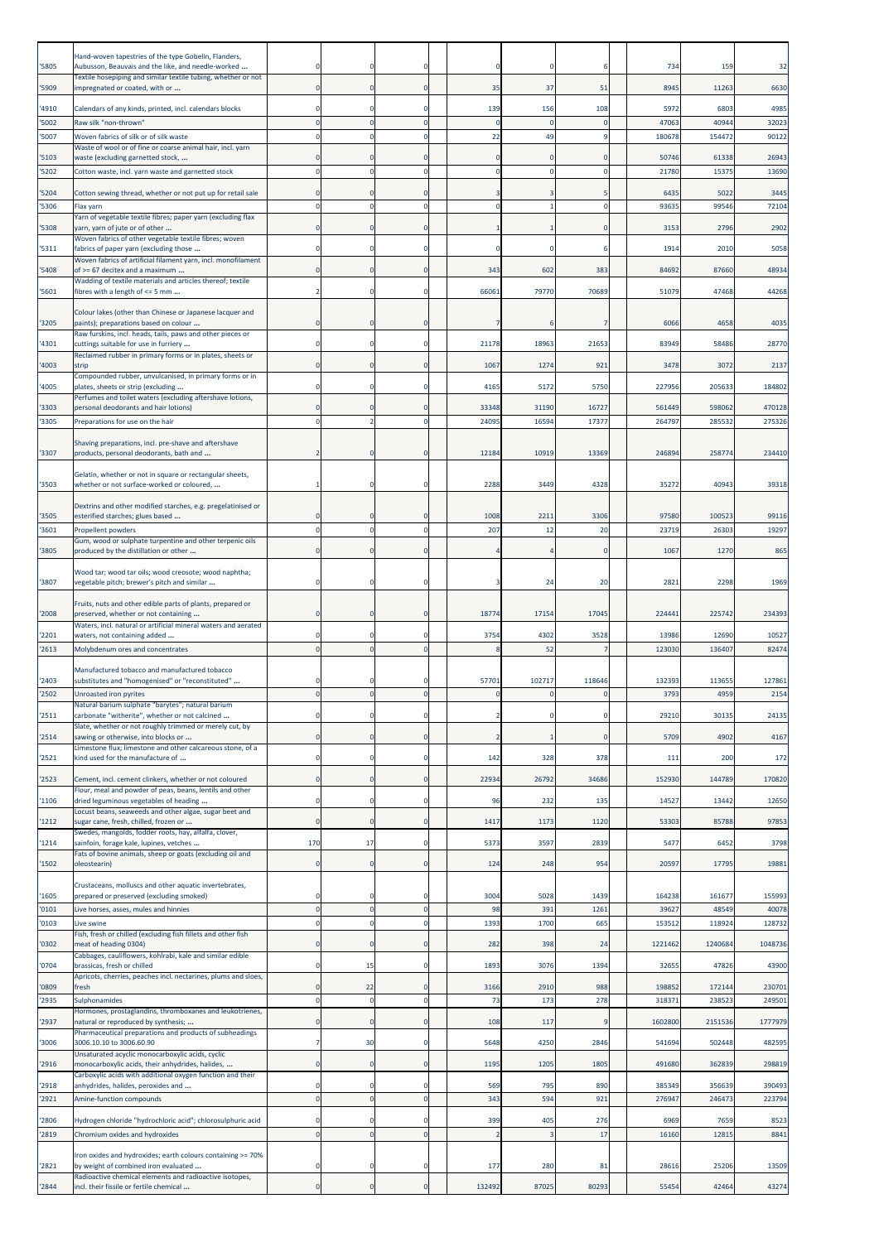| '5805          | Hand-woven tapestries of the type Gobelin, Flanders,<br>Aubusson, Beauvais and the like, and needle-worked | $\Omega$               |                            | $\Omega$                    |                | $\Omega$                      |             | 734              | 159              | 32               |
|----------------|------------------------------------------------------------------------------------------------------------|------------------------|----------------------------|-----------------------------|----------------|-------------------------------|-------------|------------------|------------------|------------------|
| '5909          | Textile hosepiping and similar textile tubing, whether or not<br>impregnated or coated, with or            | $\Omega$               | $\Omega$                   | $\mathbf{0}$                | 35             | 37                            | 51          | 8945             | 11263            | 6630             |
| '4910          | Calendars of any kinds, printed, incl. calendars blocks                                                    | $\Omega$               | 0                          | $\mathbf 0$                 | 139            | 156                           | 108         | 597              | 6803             | 4985             |
| '5002          | Raw silk "non-thrown"                                                                                      |                        |                            | $\Omega$                    | $\Omega$       | $\Omega$                      |             | 47063            | 40944            | 32023            |
| '5007          | Woven fabrics of silk or of silk waste<br>Waste of wool or of fine or coarse animal hair, incl. yarn       |                        | $\Omega$                   | $\Omega$                    | 22             | 49                            |             | 180678           | 154472           | 90122            |
| '5103<br>'5202 | waste (excluding garnetted stock,<br>Cotton waste, incl. yarn waste and garnetted stock                    |                        | $\Omega$                   | $\Omega$<br>$\mathbf 0$     |                | $\mathbf 0$<br>$\overline{0}$ |             | 50746<br>21780   | 61338<br>15375   | 26943<br>13690   |
| '5204          | Cotton sewing thread, whether or not put up for retail sale                                                | $\Omega$               | $\Omega$                   | $\Omega$                    |                |                               |             | 6435             | 5022             | 3445             |
| '5306          | Flax yarn                                                                                                  | $\circ$                | $\mathbf 0$                | $\mathbf 0$                 | $\mathbf 0$    |                               | $\Omega$    | 9363             | 99546            | 72104            |
| '5308          | Yarn of vegetable textile fibres; paper yarn (excluding flax<br>yarn, yarn of jute or of other             | $\Omega$               | $\Omega$                   | $\Omega$                    |                |                               |             | 3153             | 2796             | 2902             |
| '5311          | Woven fabrics of other vegetable textile fibres; woven<br>fabrics of paper yarn (excluding those           |                        |                            |                             | $\mathbf 0$    | $\Omega$                      |             | 191              | 2010             | 5058             |
| 5408           | Woven fabrics of artificial filament yarn, incl. monofilament<br>of >= 67 decitex and a maximum            | $\Omega$               |                            | $\Omega$                    | 343            | 602                           | 383         | 84692            | 87660            | 48934            |
| '5601          | Wadding of textile materials and articles thereof; textile<br>fibres with a length of <= 5 mm              |                        |                            | $\Omega$                    | 66061          | 79770                         | 70689       | 51079            | 47468            | 44268            |
|                | Colour lakes (other than Chinese or Japanese lacquer and                                                   |                        |                            |                             |                |                               |             |                  |                  |                  |
| '3205          | paints); preparations based on colour                                                                      |                        |                            | $\Omega$                    |                |                               |             | 6066             | 4658             | 4035             |
| '4301          | Raw furskins, incl. heads, tails, paws and other pieces or<br>cuttings suitable for use in furriery        | $\Omega$               | $\Omega$                   | $\Omega$                    | 21178          | 18963                         | 21653       | 83949            | 58486            | 28770            |
| 4003           | Reclaimed rubber in primary forms or in plates, sheets or<br>strip                                         | $\Omega$               |                            | $\mathbf 0$                 | 1067           | 1274                          | 921         | 3478             | 3072             | 2137             |
| 4005           | Compounded rubber, unvulcanised, in primary forms or in<br>plates, sheets or strip (excluding              | $\Omega$               | 0                          | $\Omega$                    | 4165           | 5172                          | 5750        | 227956           | 205633           | 184802           |
| '3303          | Perfumes and toilet waters (excluding aftershave lotions,<br>personal deodorants and hair lotions)         |                        |                            |                             | 33348          | 31190                         | 16727       | 561449           | 598062           | 470128           |
| '3305          | Preparations for use on the hair                                                                           |                        |                            |                             | 24095          | 16594                         | 17377       | 26479            | 285532           | 275326           |
| '3307          | Shaving preparations, incl. pre-shave and aftershave<br>products, personal deodorants, bath and            |                        |                            | $\Omega$                    | 12184          | 10919                         | 13369       | 24689            | 258774           | 234410           |
|                | Gelatin, whether or not in square or rectangular sheets,                                                   |                        |                            |                             |                |                               |             |                  |                  |                  |
| '3503          | whether or not surface-worked or coloured,                                                                 |                        | 0                          | $\Omega$                    | 2288           | 3449                          | 4328        | 35272            | 40943            | 39318            |
| '3505          | Dextrins and other modified starches, e.g. pregelatinised or<br>esterified starches; glues based           |                        | $\Omega$                   | $\mathbf 0$                 | 1008           | 2211                          | 3306        | 97580            | 100523           | 99116            |
| '3601          | Propellent powders<br>Gum, wood or sulphate turpentine and other terpenic oils                             | $\Omega$               | 0                          | $\Omega$                    | 207            | 12                            | 20          | 23719            | 26303            | 19297            |
| '3805          | produced by the distillation or other                                                                      | 0                      | $\Omega$                   | $\mathbf 0$                 |                |                               | 0           | 1067             | 1270             | 865              |
| '3807          | Wood tar; wood tar oils; wood creosote; wood naphtha;<br>vegetable pitch; brewer's pitch and similar       | $\Omega$               |                            | $\mathbf 0$                 |                | 24                            | 20          | 282              | 2298             | 1969             |
| '2008          | Fruits, nuts and other edible parts of plants, prepared or<br>preserved, whether or not containing         |                        |                            | $\mathbf 0$                 | 18774          | 17154                         | 17045       | 224441           | 225742           | 234393           |
| '2201          | Waters, incl. natural or artificial mineral waters and aerated<br>waters, not containing added             | $\Omega$               | 0                          | $\mathbf 0$                 | 3754           | 4302                          | 3528        | 13986            | 12690            | 10527            |
| '2613          | Molybdenum ores and concentrates                                                                           |                        | $\Omega$                   | $\Omega$                    |                | 52                            |             | 123030           | 136407           | 82474            |
| 2403           | Manufactured tobacco and manufactured tobacco<br>substitutes and "homogenised" or "reconstituted"          |                        |                            |                             | 57701          | 102717                        | 118646      | 132393           | 113655           | 127861           |
| 2502           | Unroasted iron pyrites                                                                                     |                        |                            |                             |                |                               |             | 3793             | 4959             | 2154             |
| 2511           | Natural barium sulphate "barytes"; natural barium<br>carbonate "witherite", whether or not calcined        |                        |                            | $\Omega$                    |                |                               |             | 29210            | 30135            | 24135            |
| 2514           | Slate, whether or not roughly trimmed or merely cut, by<br>sawing or otherwise, into blocks or             | 0                      | 0                          | $\mathbf 0$                 | $\overline{2}$ | $\mathbf{1}$                  | $\Omega$    | 5709             | 4902             | 4167             |
| '2521          | Limestone flux; limestone and other calcareous stone, of a<br>kind used for the manufacture of             | $\circ$                | 0                          | $\mathbf 0$                 | 142            | 328                           | 378         | 111              | 200              | 172              |
| '2523          | Cement, incl. cement clinkers, whether or not coloured                                                     | 0                      |                            |                             | 22934          | 26792                         | 34686       | 152930           | 144789           | 170820           |
| '1106          | Flour, meal and powder of peas, beans, lentils and other<br>dried leguminous vegetables of heading         | $\Omega$               | $\Omega$                   | $\Omega$                    | 96             | 232                           | 135         | 14527            | 13442            | 12650            |
| '1212          | Locust beans, seaweeds and other algae, sugar beet and<br>sugar cane, fresh, chilled, frozen or            | $\Omega$               | $\Omega$                   | $\mathbf 0$                 | 1417           | 1173                          | 1120        | 53303            | 85788            | 97853            |
|                | Swedes, mangolds, fodder roots, hay, alfalfa, clover,                                                      | 170                    | 17                         | $^{\circ}$                  | 5373           | 3597                          | 2839        | 5477             | 6452             | 3798             |
| '1214          | sainfoin, forage kale, lupines, vetches<br>Fats of bovine animals, sheep or goats (excluding oil and       | $\mathbf 0$            |                            |                             |                |                               |             |                  | 17795            |                  |
| '1502          | oleostearin)                                                                                               |                        | 0                          | $\mathbf 0$                 | 124            | 248                           | 954         | 20597            |                  | 19881            |
| '1605          | Crustaceans, molluscs and other aquatic invertebrates,<br>prepared or preserved (excluding smoked)         | 0                      | 0                          | $^{\circ}$                  | 3004           | 5028                          | 1439        | 164238           | 161677           | 155993           |
| '0101<br>'0103 | Live horses, asses, mules and hinnies<br>Live swine                                                        | $\mathbf 0$<br>$\circ$ | $\mathbf 0$<br>$\mathbf 0$ | $\mathbf 0$<br>$\mathbf{0}$ | 98<br>1393     | 391<br>1700                   | 1261<br>665 | 39627<br>15351   | 48549<br>118924  | 40078<br>128732  |
| '0302          | Fish, fresh or chilled (excluding fish fillets and other fish<br>meat of heading 0304)                     | 0                      | $\Omega$                   | $\mathbf 0$                 | 282            | 398                           | 24          | 1221462          | 1240684          | 1048736          |
|                | Cabbages, cauliflowers, kohlrabi, kale and similar edible                                                  |                        |                            |                             |                |                               |             |                  |                  |                  |
| '0704          | brassicas, fresh or chilled<br>Apricots, cherries, peaches incl. nectarines, plums and sloes,              | 0                      | 15                         | $\Omega$                    | 1893           | 3076                          | 1394        | 32655            | 47826            | 43900            |
| '0809<br>'2935 | fresh<br>Sulphonamides                                                                                     | $\Omega$<br>$\circ$    | 22<br>0                    | $\Omega$<br>0               | 3166<br>73     | 2910<br>173                   | 988<br>278  | 198852<br>31837  | 172144<br>238523 | 230701<br>249501 |
| '2937          | Hormones, prostaglandins, thromboxanes and leukotrienes,<br>natural or reproduced by synthesis;            | $\Omega$               |                            | $\Omega$                    | 108            | 117                           |             | 1602800          | 2151536          | 1777979          |
| '3006          | Pharmaceutical preparations and products of subheadings<br>3006.10.10 to 3006.60.90                        |                        | 30                         | $\mathbf 0$                 | 5648           | 4250                          | 2846        | 541694           | 502448           | 482595           |
| '2916          | Unsaturated acyclic monocarboxylic acids, cyclic<br>monocarboxylic acids, their anhydrides, halides,       | $\mathbf 0$            | 0                          | $\mathbf 0$                 | 1195           | 1205                          | 1805        | 491680           | 362839           | 298819           |
|                | Carboxylic acids with additional oxygen function and their                                                 |                        |                            |                             |                |                               |             |                  |                  |                  |
| '2918<br>'2921 | anhydrides, halides, peroxides and<br>Amine-function compounds                                             | $\Omega$<br>$\Omega$   | 0<br>$\mathbf 0$           | $\Omega$<br>$\mathbf{0}$    | 569<br>343     | 795<br>594                    | 890<br>921  | 385349<br>276947 | 356639<br>246473 | 390493<br>223794 |
| '2806          | Hydrogen chloride "hydrochloric acid"; chlorosulphuric acid                                                |                        |                            |                             | 399            | 405                           | 276         | 6969             | 7659             | 8523             |
| 2819           | Chromium oxides and hydroxides                                                                             | $\Omega$               | 0                          | $\Omega$                    |                | в                             | 17          | 16160            | 12815            | 8841             |
| '2821          | ron oxides and hydroxides; earth colours containing >= 70%<br>by weight of combined iron evaluated         | $\Omega$               | 0                          | $^{\circ}$                  | 177            | 280                           | 81          | 28616            | 25206            | 13509            |
| 2844           | Radioactive chemical elements and radioactive isotopes,<br>incl. their fissile or fertile chemical         |                        |                            |                             | 132492         | 87025                         | 80293       | 55454            | 42464            | 43274            |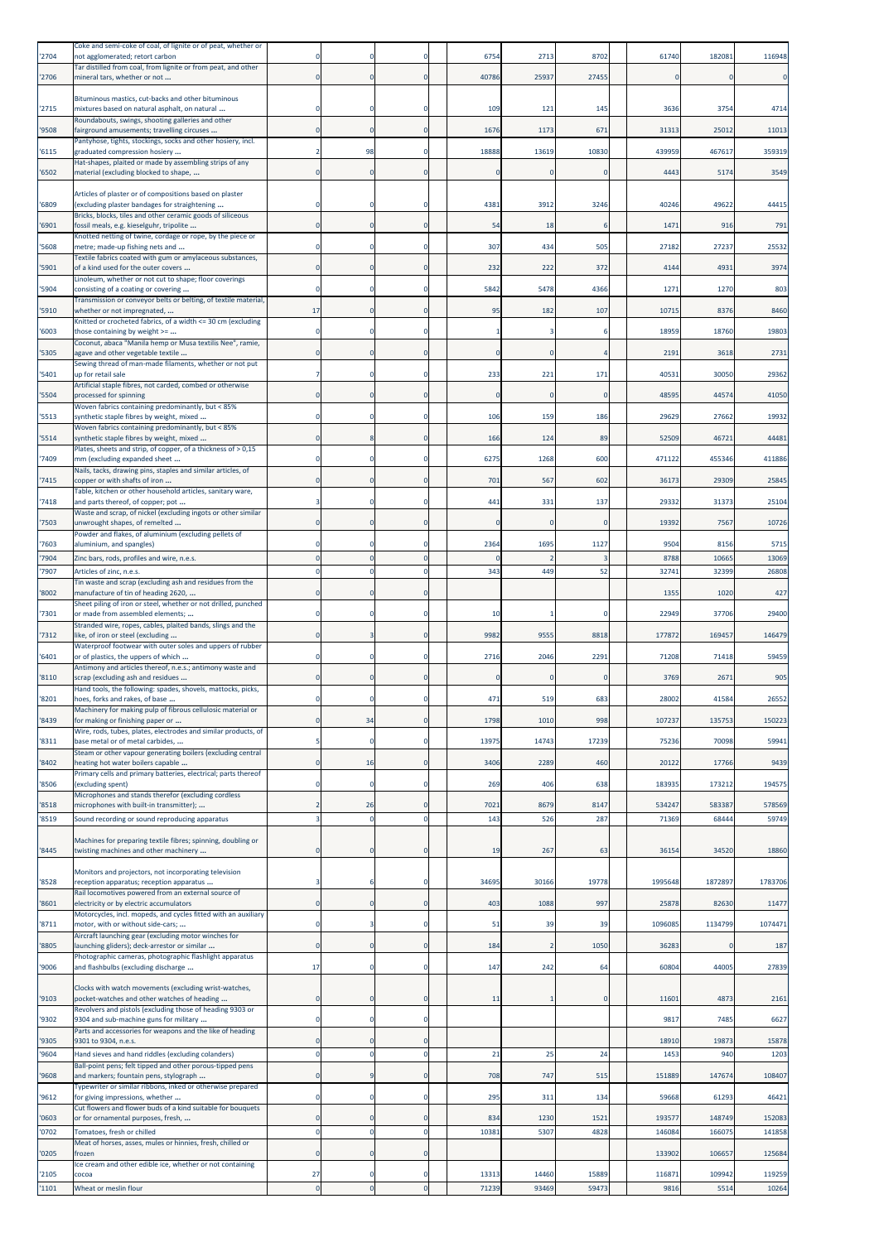| 2704           | Coke and semi-coke of coal, of lignite or of peat, whether or<br>not agglomerated; retort carbon                                                               |                |                            | 0                             | 6754           | 2713           | 8702           | 61740          | 182081         | 116948          |
|----------------|----------------------------------------------------------------------------------------------------------------------------------------------------------------|----------------|----------------------------|-------------------------------|----------------|----------------|----------------|----------------|----------------|-----------------|
| 2706           | Tar distilled from coal, from lignite or from peat, and other<br>mineral tars, whether or not                                                                  | $\Omega$       | 0                          | $\mathbf 0$                   | 40786          | 25937          | 27455          | 0              |                |                 |
|                | Bituminous mastics, cut-backs and other bituminous                                                                                                             |                |                            |                               |                |                |                |                |                |                 |
| '2715          | mixtures based on natural asphalt, on natural<br>Roundabouts, swings, shooting galleries and other                                                             |                |                            | $\mathbf 0$                   | 109            | 121            | 145            | 3636           | 3754           | 4714            |
| '9508          | fairground amusements; travelling circuses                                                                                                                     |                | $\mathbf 0$                | $\mathbf 0$                   | 1676           | 1173           | 671            | 31313          | 25012          | 11013           |
| 6115           | Pantyhose, tights, stockings, socks and other hosiery, incl.<br>graduated compression hosiery                                                                  |                | 98                         | $\mathbf 0$                   | 18888          | 13619          | 10830          | 439959         | 467617         | 359319          |
| '6502          | Hat-shapes, plaited or made by assembling strips of any<br>material (excluding blocked to shape,                                                               |                |                            | $\mathbf 0$                   |                | O              |                | 4443           | 5174           | 3549            |
|                | Articles of plaster or of compositions based on plaster                                                                                                        |                |                            |                               |                |                |                |                |                |                 |
| '6809          | (excluding plaster bandages for straightening<br>Bricks, blocks, tiles and other ceramic goods of siliceous                                                    |                |                            | 0                             | 4381           | 3912           | 3246           | 40246          | 49622          | 44415           |
| '6901          | fossil meals, e.g. kieselguhr, tripolite<br>Knotted netting of twine, cordage or rope, by the piece or                                                         |                |                            | $\mathbf 0$                   | 54             | 18             |                | 1471           | 916            | 791             |
| '5608          | metre; made-up fishing nets and<br>Textile fabrics coated with gum or amylaceous substances,                                                                   |                |                            | $\mathbf 0$                   | 307            | 434            | 505            | 27182          | 27237          | 25532           |
| '5901          | of a kind used for the outer covers<br>Linoleum, whether or not cut to shape; floor coverings                                                                  |                | $\mathbf 0$                | $\mathbf 0$                   | 232            | 222            | 372            | 4144           | 4931           | 3974            |
| 5904           | consisting of a coating or covering<br>Transmission or conveyor belts or belting, of textile material,                                                         | -C             | 0                          | $\mathbf 0$                   | 5842           | 5478           | 4366           | 1271           | 1270           | 803             |
| 5910           | whether or not impregnated,<br>Knitted or crocheted fabrics, of a width <= 30 cm (excluding                                                                    | 17             |                            | $\mathbf 0$                   | 95             | 182            | 107            | 10715          | 8376           | 8460            |
| '6003          | those containing by weight >=                                                                                                                                  |                |                            | $\mathbf{0}$                  |                |                |                | 18959          | 18760          | 19803           |
| '5305          | Coconut, abaca "Manila hemp or Musa textilis Nee", ramie,<br>agave and other vegetable textile                                                                 | $\epsilon$     |                            | $\mathbf 0$                   |                | $\mathbf{0}$   |                | 2191           | 3618           | 2731            |
| 5401           | Sewing thread of man-made filaments, whether or not put<br>up for retail sale                                                                                  |                | $\mathbf 0$                | $\mathbf 0$                   | 233            | 221            | 171            | 40531          | 30050          | 29362           |
| 5504           | Artificial staple fibres, not carded, combed or otherwise<br>processed for spinning                                                                            | $\Omega$       | 0                          | $\mathbf 0$                   | $\mathbf 0$    | $\mathbf{0}$   | $\Omega$       | 48595          | 44574          | 41050           |
| '5513          | Woven fabrics containing predominantly, but < 85%<br>synthetic staple fibres by weight, mixed                                                                  |                |                            | $\mathbf 0$                   | 106            | 159            | 186            | 29629          | 27662          | 19932           |
| '5514          | Woven fabrics containing predominantly, but < 85%<br>synthetic staple fibres by weight, mixed                                                                  |                |                            | $\mathbf 0$                   | 166            | 124            | 89             | 52509          | 46721          | 44481           |
| '7409          | Plates, sheets and strip, of copper, of a thickness of > 0,15<br>mm (excluding expanded sheet                                                                  |                |                            | $\mathbf 0$                   | 6275           | 1268           | 600            | 471122         | 455346         | 411886          |
| 7415           | Nails, tacks, drawing pins, staples and similar articles, of<br>copper or with shafts of iron                                                                  |                | $\mathbf 0$                | $\mathbf 0$                   | 701            | 567            | 602            | 36173          | 29309          | 25845           |
| 7418           | Table, kitchen or other household articles, sanitary ware,<br>and parts thereof, of copper; pot                                                                |                |                            | $\mathbf 0$                   | 441            | 331            | 137            | 29332          | 31373          | 25104           |
| '7503          | Waste and scrap, of nickel (excluding ingots or other similar<br>unwrought shapes, of remelted                                                                 |                |                            | $\mathbf 0$                   |                | C              |                | 19392          | 7567           | 10726           |
|                | Powder and flakes, of aluminium (excluding pellets of                                                                                                          |                |                            |                               |                |                |                |                |                |                 |
| '7603<br>'7904 | aluminium, and spangles)<br>Zinc bars, rods, profiles and wire, n.e.s.                                                                                         |                |                            | $\mathbf 0$<br>$\overline{0}$ | 2364           | 1695           | 1127           | 9504<br>8788   | 8156<br>10665  | 5715<br>13069   |
| 7907           | Articles of zinc, n.e.s.<br>Tin waste and scrap (excluding ash and residues from the                                                                           |                |                            | $\mathbf 0$                   | 343            | 449            | 52             | 32741          | 32399          | 26808           |
| '8002          | manufacture of tin of heading 2620,<br>Sheet piling of iron or steel, whether or not drilled, punched                                                          |                |                            | $\mathbf 0$                   |                |                |                | 1355           | 1020           | 427             |
| '7301          | or made from assembled elements;<br>Stranded wire, ropes, cables, plaited bands, slings and the                                                                |                |                            | $\mathbf 0$                   | 10             |                | $\Omega$       | 22949          | 37706          | 29400           |
| 7312           | like, of iron or steel (excluding<br>Waterproof footwear with outer soles and uppers of rubber                                                                 |                |                            | $\mathbf 0$                   | 9982           | 9555           | 8818           | 177872         | 169457         | 146479          |
| 6401           | or of plastics, the uppers of which                                                                                                                            | C              | 0                          | $\mathbf 0$                   | 2716           | 2046           | 2291           | 71208          | 71418          | 59459           |
| 8110           | Antimony and articles thereof, n.e.s.; antimony waste and<br>scrap (excluding ash and residues<br>Hand tools, the following: spades, shovels, mattocks, picks, |                | 0                          | $\mathbf 0$                   |                |                |                | 3769           | 2671           | 905             |
| '8201          | hoes, forks and rakes, of base                                                                                                                                 |                |                            | $\Omega$                      | 471            | 519            | 683            | 28002          | 41584          | 26552           |
| 8439           | Machinery for making pulp of fibrous cellulosic material or<br>for making or finishing paper or                                                                | $\mathbf 0$    | 34                         | $\mathbf 0$                   | 1798           | 1010           | 998            | 107237         | 135753         | 150223          |
| 8311           | Wire, rods, tubes, plates, electrodes and similar products, of<br>base metal or of metal carbides,                                                             |                | 0                          | $\mathbf 0$                   | 13975          | 14743          | 17239          | 75236          | 70098          | 59941           |
| 8402           | Steam or other vapour generating boilers (excluding central<br>neating hot water boilers capable                                                               | $\Omega$       | 16                         | $\mathbf 0$                   | 3406           | 2289           | 460            | 20122          | 17766          | 9439            |
| 8506           | Primary cells and primary batteries, electrical; parts thereof<br>(excluding spent)                                                                            | C              | $\mathbf 0$                | $\mathbf 0$                   | 269            | 406            | 638            | 183935         | 173212         | 194575          |
| '8518          | Microphones and stands therefor (excluding cordless<br>microphones with built-in transmitter);                                                                 | 2              | 26                         | $\mathbf 0$                   | 7021           | 8679           | 8147           | 534247         | 583387         | 578569          |
| 8519           | Sound recording or sound reproducing apparatus                                                                                                                 |                |                            | $\mathbf 0$                   | 143            | 526            | 287            | 71369          | 68444          | 59749           |
| 8445           | Machines for preparing textile fibres; spinning, doubling or<br>twisting machines and other machinery                                                          | $\mathbf 0$    | $\mathbf 0$                | $\mathbf 0$                   | 19             | 267            | 63             | 36154          | 34520          | 18860           |
| 8528           | Monitors and projectors, not incorporating television<br>reception apparatus; reception apparatus                                                              | в              |                            | $\mathbf 0$                   | 34695          | 30166          | 19778          | 1995648        | 1872897        | 1783706         |
| 8601           | Rail locomotives powered from an external source of<br>electricity or by electric accumulators                                                                 |                | 0                          | $\mathbf 0$                   | 403            | 1088           | 997            | 25878          | 82630          | 11477           |
| '8711          | Motorcycles, incl. mopeds, and cycles fitted with an auxiliary<br>motor, with or without side-cars;                                                            | C              | 3                          | $\mathbf 0$                   | 51             | 39             | 39             | 1096085        | 1134799        | 1074471         |
| '8805          | Aircraft launching gear (excluding motor winches for<br>launching gliders); deck-arrestor or similar                                                           | $\mathbf 0$    | $\mathbf 0$                | $\mathbf 0$                   | 184            | $\overline{2}$ | 1050           | 36283          |                | 187             |
| '9006          | Photographic cameras, photographic flashlight apparatus<br>and flashbulbs (excluding discharge                                                                 | 17             | 0                          | $\mathbf 0$                   | 147            | 242            | 64             | 60804          | 44005          | 27839           |
| '9103          | Clocks with watch movements (excluding wrist-watches,<br>pocket-watches and other watches of heading                                                           | $\mathbf 0$    | $\mathbf 0$                | $\mathbf 0$                   | 11             |                | $\mathbf 0$    | 11601          | 4873           | 2161            |
| '9302          | Revolvers and pistols (excluding those of heading 9303 or<br>9304 and sub-machine guns for military                                                            | 0              | 0                          | $\mathbf 0$                   |                |                |                | 9817           | 7485           | 6627            |
| '9305          | Parts and accessories for weapons and the like of heading<br>9301 to 9304, n.e.s.                                                                              | $\epsilon$     | $\mathbf 0$                | $\mathbf 0$                   |                |                |                | 18910          | 19873          | 15878           |
| 9604           | Hand sieves and hand riddles (excluding colanders)<br>Ball-point pens; felt tipped and other porous-tipped pens                                                | $\Omega$       | $\mathbf 0$                | $\mathbf 0$                   | 21             | 25             | 24             | 145            | 940            | 1203            |
| 9608           | and markers; fountain pens, stylograph<br>Typewriter or similar ribbons, inked or otherwise prepared                                                           |                |                            | $\mathbf 0$                   | 708            | 747            | 515            | 151889         | 147674         | 108407          |
| '9612          | for giving impressions, whether<br>Cut flowers and flower buds of a kind suitable for bouquets                                                                 | -C             | $\mathbf 0$                | $\mathbf 0$                   | 295            | 311            | 134            | 59668          | 61293          | 46421           |
| 0603           | or for ornamental purposes, fresh,                                                                                                                             | $\Omega$       | $\mathbf 0$                | $\mathbf 0$                   | 834            | 1230           | 1521           | 193577         | 148749         | 152083          |
| '0702          | Tomatoes, fresh or chilled<br>Meat of horses, asses, mules or hinnies, fresh, chilled or                                                                       | $\epsilon$     | $\Omega$                   | $\mathbf 0$                   | 10381          | 5307           | 4828           | 146084         | 16607          | 141858          |
| '0205          | frozen<br>Ice cream and other edible ice, whether or not containing                                                                                            | $\mathbf 0$    | $\mathbf 0$                | $\mathbf 0$                   |                |                |                | 133902         | 106657         | 125684          |
| 2105<br>1101   | cocoa<br>Wheat or meslin flour                                                                                                                                 | 27<br>$\Omega$ | $\mathbf 0$<br>$\mathbf 0$ | $\circ$<br>$\mathbf 0$        | 13313<br>71239 | 14460<br>93469 | 15889<br>59473 | 116871<br>9816 | 109942<br>5514 | 119259<br>10264 |
|                |                                                                                                                                                                |                |                            |                               |                |                |                |                |                |                 |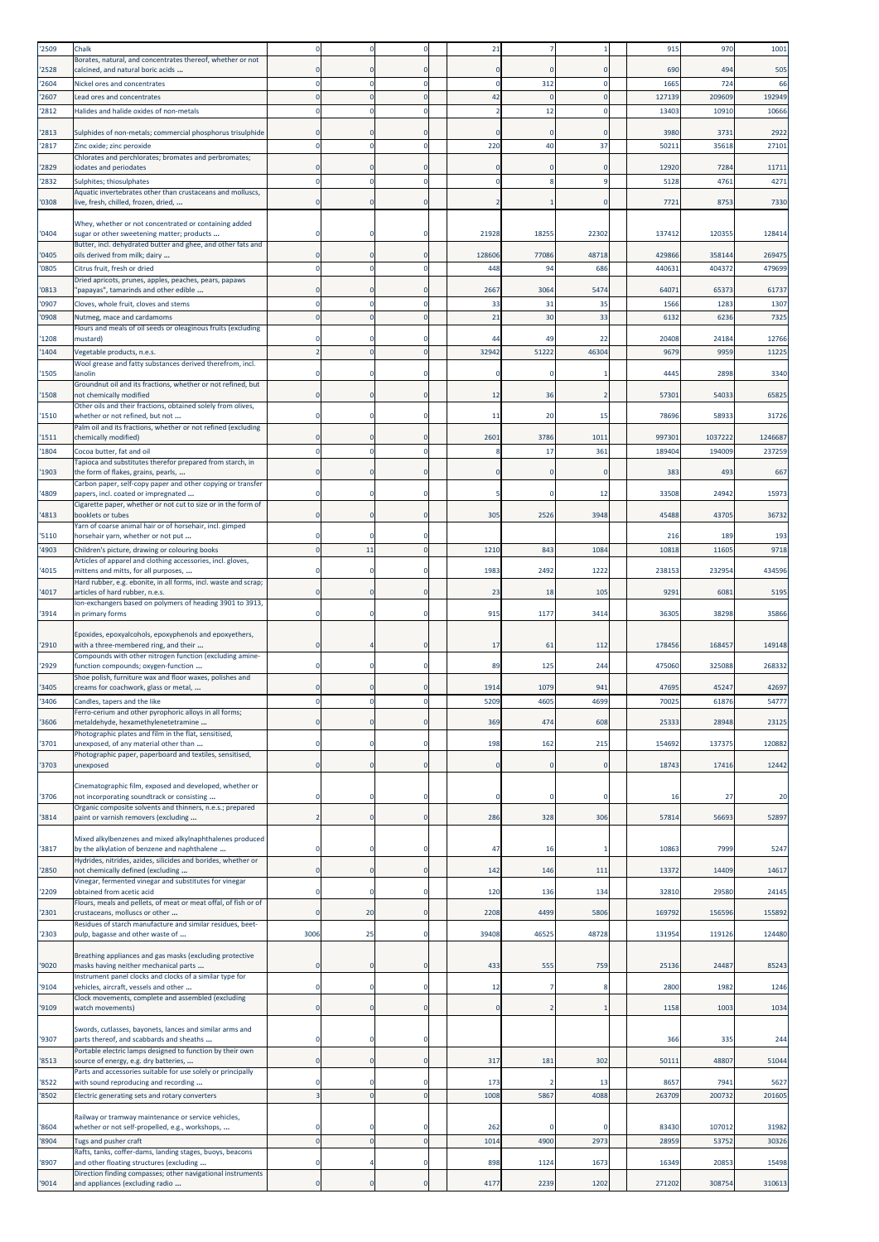| '2509          | Chalk                                                                                                         |                      |                            | $\mathbf 0$                | 21          |                |             | 915            | 970            | 1001           |
|----------------|---------------------------------------------------------------------------------------------------------------|----------------------|----------------------------|----------------------------|-------------|----------------|-------------|----------------|----------------|----------------|
| '2528          | Borates, natural, and concentrates thereof, whether or not<br>calcined, and natural boric acids               |                      |                            | $\Omega$                   |             | 0              | $\Omega$    | 690            | 494            | 505            |
| '2604          | Nickel ores and concentrates                                                                                  |                      |                            | $\mathbf 0$                |             | 312            | $\Omega$    | 1665           | 724            | 66             |
| '2607          | Lead ores and concentrates                                                                                    |                      |                            | $\mathbf{0}$               | 42          | $\Omega$       | $\Omega$    | 127139         | 209609         | 192949         |
| '2812          | Halides and halide oxides of non-metals                                                                       |                      |                            | $\mathbf 0$                |             | 12             |             | 13403          | 10910          | 10666          |
| '2813          | Sulphides of non-metals; commercial phosphorus trisulphide                                                    |                      |                            | $\mathbf 0$                |             |                | $\Omega$    | 3980           | 3731           | 2922           |
| '2817          | Zinc oxide; zinc peroxide                                                                                     | $\Omega$             |                            | $\mathbf 0$                | 220         | 40             | 37          | 5021           | 35618          | 27101          |
|                | Chlorates and perchlorates; bromates and perbromates;                                                         |                      |                            |                            |             |                |             |                |                |                |
| '2829          | iodates and periodates                                                                                        |                      |                            | $\Omega$                   |             | 0              | $\Omega$    | 12920          | 7284           | 11711          |
| '2832          | Sulphites; thiosulphates<br>Aquatic invertebrates other than crustaceans and molluscs,                        |                      | $\Omega$                   | $\mathbf 0$                | $\Omega$    | 8              | -9          | 5128           | 4761           | 4271           |
| '0308          | live, fresh, chilled, frozen, dried,                                                                          | 0                    |                            | $\mathbf 0$                |             |                | $\mathbf 0$ | 7721           | 8753           | 7330           |
|                | Whey, whether or not concentrated or containing added                                                         |                      |                            |                            |             |                |             |                |                |                |
| '0404          | sugar or other sweetening matter; products                                                                    |                      |                            | $\mathbf 0$                | 21928       | 18255          | 22302       | 137412         | 120355         | 128414         |
| '0405          | Butter, incl. dehydrated butter and ghee, and other fats and<br>oils derived from milk; dairy                 | O                    | $\mathbf 0$                | $\mathbf{0}$               | 128606      | 77086          | 48718       | 429866         | 358144         | 269475         |
| '0805          | Citrus fruit, fresh or dried                                                                                  | $\Omega$             | $\mathbf 0$                | $\mathbf 0$                | 448         | 94             | 686         | 44063          | 404372         | 479699         |
|                | Dried apricots, prunes, apples, peaches, pears, papaws                                                        |                      |                            |                            |             |                |             |                |                |                |
| '0813          | "papayas", tamarinds and other edible                                                                         |                      |                            | $\Omega$                   | 2667        | 3064           | 5474        | 64071          | 65373          | 61737          |
| '0907<br>'0908 | Cloves, whole fruit, cloves and stems<br>Nutmeg, mace and cardamoms                                           | $\Omega$<br>$\Omega$ | $\mathbf 0$<br>$\mathbf 0$ | $\mathbf 0$<br>$\mathbf 0$ | 33<br>21    | 31<br>30       | 35<br>33    | 1566<br>6132   | 1283<br>6236   | 1307<br>7325   |
|                | Flours and meals of oil seeds or oleaginous fruits (excluding                                                 |                      |                            |                            |             |                |             |                |                |                |
| '1208          | mustard)                                                                                                      |                      | 0                          | $\Omega$                   | 44          | 49             | 22          | 20408          | 24184          | 12766          |
| '1404          | Vegetable products, n.e.s.<br>Wool grease and fatty substances derived therefrom, incl.                       |                      | $\Omega$                   | $\mathbf{0}$               | 32942       | 51222          | 46304       | 9679           | 9959           | 11225          |
| '1505          | anolin                                                                                                        |                      | 0                          | $\Omega$                   | 0           | $\Omega$       | -1          | 4445           | 2898           | 3340           |
|                | Groundnut oil and its fractions, whether or not refined, but                                                  |                      |                            |                            |             |                |             |                |                |                |
| '1508          | not chemically modified<br>Other oils and their fractions, obtained solely from olives,                       |                      |                            | $\mathbf{0}$               | 12          | 36             |             | 57301          | 54033          | 65825          |
| '1510          | whether or not refined, but not                                                                               |                      | $\Omega$                   | $\mathbf 0$                | 11          | 20             | 15          | 78696          | 58933          | 31726          |
| '1511          | Palm oil and its fractions, whether or not refined (excluding<br>chemically modified)                         |                      |                            | $\mathbf 0$                | 2601        | 3786           | 1011        | 997301         | 1037222        | 1246687        |
| '1804          | Cocoa butter, fat and oil                                                                                     |                      |                            | $\mathbf 0$                |             | 17             | 361         | 189404         | 194009         | 237259         |
|                | Tapioca and substitutes therefor prepared from starch, in                                                     |                      |                            |                            |             |                |             |                |                |                |
| '1903          | the form of flakes, grains, pearls,<br>Carbon paper, self-copy paper and other copying or transfer            |                      | $\mathbf 0$                | $\mathbf 0$                |             | $\mathbf{0}$   | $\mathbf 0$ | 383            | 493            | 667            |
| '4809          | papers, incl. coated or impregnated                                                                           |                      | $\mathbf 0$                | $\mathbf 0$                |             | 0              | 12          | 33508          | 24942          | 15973          |
| '4813          | Cigarette paper, whether or not cut to size or in the form of<br>booklets or tubes                            |                      | $\mathbf 0$                | $\mathbf 0$                | 305         | 2526           | 3948        | 45488          | 43705          | 36732          |
|                | Yarn of coarse animal hair or of horsehair, incl. gimped                                                      |                      |                            |                            |             |                |             |                |                |                |
| '5110          | horsehair yarn, whether or not put                                                                            |                      |                            | $\Omega$                   |             |                |             | 216            | 189            | 193            |
| '4903          | Children's picture, drawing or colouring books<br>Articles of apparel and clothing accessories, incl. gloves, |                      | 11                         | $\mathbf 0$                | 1210        | 843            | 1084        | 10818          | 11605          | 9718           |
| '4015          | mittens and mitts, for all purposes,                                                                          |                      |                            | $^{\circ}$                 | 1983        | 2492           | 1222        | 23815          | 232954         | 434596         |
|                | Hard rubber, e.g. ebonite, in all forms, incl. waste and scrap;                                               |                      |                            | $\mathbf 0$                | 23          | 18             | 105         | 9291           | 6081           | 5195           |
| '4017          | articles of hard rubber, n.e.s.<br>Ion-exchangers based on polymers of heading 3901 to 3913,                  |                      |                            |                            |             |                |             |                |                |                |
| '3914          | in primary forms                                                                                              |                      |                            | $^{\circ}$                 | 915         | 1177           | 3414        | 3630           | 38298          | 35866          |
|                | Epoxides, epoxyalcohols, epoxyphenols and epoxyethers,                                                        |                      |                            |                            |             |                |             |                |                |                |
| '2910          | with a three-membered ring, and their                                                                         |                      |                            | $\mathbf 0$                | 17          | 61             | 112         | 178456         | 168457         | 149148         |
| '2929          | Compounds with other nitrogen function (excluding amine-<br>function compounds; oxygen-function               | O                    | $\mathbf 0$                | $\mathbf{0}$               | 89          | 125            | 244         | 475060         | 325088         | 268332         |
|                | Shoe polish, furniture wax and floor waxes, polishes and                                                      |                      |                            |                            |             |                |             |                |                |                |
| '3405          | creams for coachwork, glass or metal,                                                                         |                      |                            |                            | 1914        | 1079           | 941         | 47695          | 4524           | 42697          |
| '3406          | Candles, tapers and the like<br>Ferro-cerium and other pyrophoric alloys in all forms;                        |                      |                            | $\Omega$                   | 5209        | 4605           | 4699        | 70025          | 61876          | 54777          |
| '3606          | metaldehyde, hexamethylenetetramine                                                                           |                      | $\mathbf 0$                | $\mathbf 0$                | 369         | 474            | 608         | 25333          | 28948          | 23125          |
| '3701          | Photographic plates and film in the flat, sensitised,<br>unexposed, of any material other than                |                      | $\mathbf 0$                | $\mathbf 0$                | 198         | 162            | 215         | 154692         | 137375         | 120882         |
|                | Photographic paper, paperboard and textiles, sensitised,                                                      |                      |                            |                            |             |                |             |                |                |                |
| '3703          | unexposed                                                                                                     | $\Omega$             | $\mathbf 0$                | $\mathbf 0$                | $\Omega$    | $\mathbf{0}$   | $\mathbf 0$ | 18743          | 17416          | 12442          |
|                | Cinematographic film, exposed and developed, whether or                                                       |                      |                            |                            |             |                |             |                |                |                |
| '3706          | not incorporating soundtrack or consisting                                                                    | $\Omega$             | $\Omega$                   | $\mathbf 0$                |             | 0              | $\Omega$    | 16             | 27             | 20             |
| '3814          | Organic composite solvents and thinners, n.e.s.; prepared<br>paint or varnish removers (excluding             | $\overline{2}$       | $\mathbf 0$                | $\mathbf 0$                | 286         | 328            | 306         | 57814          | 56693          | 52897          |
|                |                                                                                                               |                      |                            |                            |             |                |             |                |                |                |
| '3817          | Mixed alkylbenzenes and mixed alkylnaphthalenes produced<br>by the alkylation of benzene and naphthalene      | $\Omega$             | $\Omega$                   | $\mathbf 0$                | 47          | 16             |             | 10863          | 7999           | 5247           |
|                | Hydrides, nitrides, azides, silicides and borides, whether or                                                 |                      |                            |                            |             |                |             |                |                |                |
| '2850          | not chemically defined (excluding                                                                             | 0                    | $\mathbf 0$                | $\mathbf 0$                | 142         | 146            | 111         | 13372          | 14409          | 14617          |
| '2209          | Vinegar, fermented vinegar and substitutes for vinegar<br>obtained from acetic acid                           | $\Omega$             | 0                          | $\mathbf 0$                | 120         | 136            | 134         | 32810          | 29580          | 24145          |
|                | Flours, meals and pellets, of meat or meat offal, of fish or of                                               |                      |                            |                            |             |                |             |                |                |                |
| '2301          | crustaceans, molluscs or other<br>Residues of starch manufacture and similar residues, beet-                  | $\epsilon$           | 20                         | $\mathbf 0$                | 2208        | 4499           | 5806        | 169792         | 156596         | 155892         |
| '2303          | pulp, bagasse and other waste of                                                                              | 3006                 | 25                         | $\mathbf 0$                | 39408       | 46525          | 48728       | 131954         | 119126         | 124480         |
|                | Breathing appliances and gas masks (excluding protective                                                      |                      |                            |                            |             |                |             |                |                |                |
| '9020          | masks having neither mechanical parts                                                                         |                      | 0                          | $\mathbf 0$                | 433         | 555            | 759         | 25136          | 24487          | 85243          |
| '9104          | Instrument panel clocks and clocks of a similar type for<br>vehicles, aircraft, vessels and other             | O                    | 0                          | $\mathbf 0$                | 12          | 7              | 8           | 2800           | 1982           | 1246           |
|                | Clock movements, complete and assembled (excluding                                                            |                      |                            |                            |             |                |             |                |                |                |
| '9109          | watch movements)                                                                                              | $\mathbf 0$          | $\mathbf 0$                | $\mathbf 0$                | $\mathbf 0$ | $\overline{2}$ |             | 1158           | 1003           | 1034           |
|                | Swords, cutlasses, bayonets, lances and similar arms and                                                      |                      |                            |                            |             |                |             |                |                |                |
| '9307          | parts thereof, and scabbards and sheaths<br>Portable electric lamps designed to function by their own         | $\Omega$             | $\mathbf 0$                | $\mathbf 0$                |             |                |             | 366            | 335            | 244            |
| '8513          | source of energy, e.g. dry batteries,                                                                         | $\mathbf 0$          | $\mathbf 0$                | $\mathbf 0$                | 317         | 181            | 302         | 50111          | 48807          | 51044          |
|                | Parts and accessories suitable for use solely or principally                                                  |                      |                            |                            |             |                |             |                |                |                |
| '8522<br>'8502 | with sound reproducing and recording<br>Electric generating sets and rotary converters                        | O                    | 0<br>$\overline{0}$        | $\mathbf 0$<br>$\mathbf 0$ | 173<br>1008 | 2<br>5867      | 13<br>4088  | 8657<br>263709 | 7941<br>200732 | 5627<br>201605 |
|                |                                                                                                               |                      |                            |                            |             |                |             |                |                |                |
| '8604          | Railway or tramway maintenance or service vehicles,<br>whether or not self-propelled, e.g., workshops,        | $\Omega$             | $\mathbf 0$                | $\mathbf 0$                | 262         |                | $\Omega$    | 83430          | 107012         | 31982          |
| '8904          | Tugs and pusher craft                                                                                         | $\Omega$             | $\overline{0}$             | $\mathbf 0$                | 1014        | 4900           | 2973        | 28959          | 53752          | 30326          |
|                | Rafts, tanks, coffer-dams, landing stages, buoys, beacons                                                     |                      |                            |                            |             |                |             |                |                |                |
| '8907          | and other floating structures (excluding<br>Direction finding compasses; other navigational instruments       | 0                    |                            | $\mathbf 0$                | 898         | 1124           | 1673        | 16349          | 20853          | 15498          |
| '9014          | and appliances (excluding radio                                                                               | $\mathbf 0$          | $\pmb{\mathsf{O}}$         | $\mathbf 0$                | 4177        | 2239           | 1202        | 271202         | 308754         | 310613         |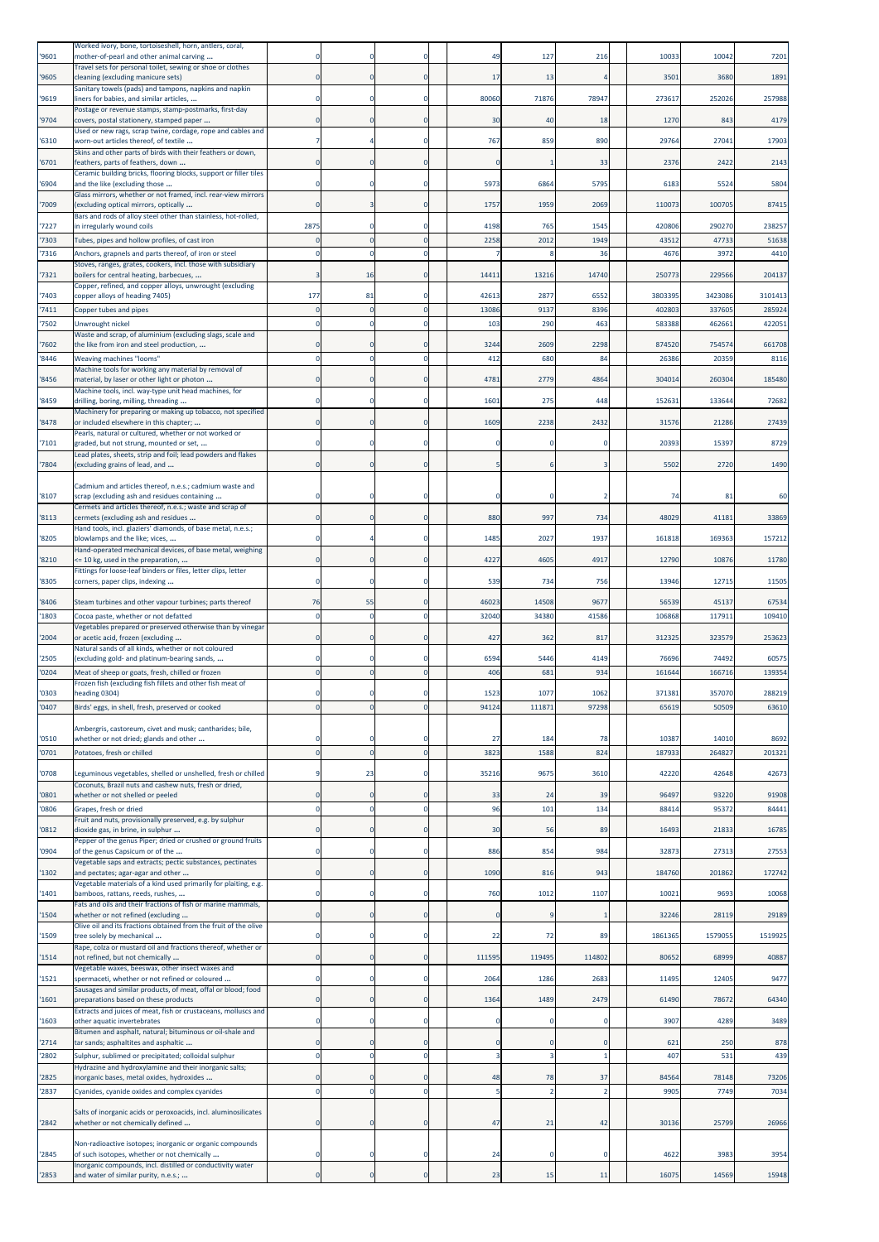| 9601           | Worked ivory, bone, tortoiseshell, horn, antlers, coral,<br>mother-of-pearl and other animal carving                    |                                 |                            |                          | 49             | 127            | 216            | 1003           | 10042           | 7201            |
|----------------|-------------------------------------------------------------------------------------------------------------------------|---------------------------------|----------------------------|--------------------------|----------------|----------------|----------------|----------------|-----------------|-----------------|
| 9605           | Travel sets for personal toilet, sewing or shoe or clothes<br>cleaning (excluding manicure sets)                        | -C                              |                            | $\Omega$                 | 17             | 13             |                | 3501           | 3680            | 1891            |
| '9619          | Sanitary towels (pads) and tampons, napkins and napkin<br>liners for babies, and similar articles,                      | C                               |                            | $\Omega$                 | 80060          | 71876          | 78947          | 273617         | 252026          | 257988          |
| '9704          | Postage or revenue stamps, stamp-postmarks, first-day<br>covers, postal stationery, stamped paper                       |                                 |                            | $\Omega$                 | 30             | 40             | 18             | 1270           | 843             | 4179            |
|                | Used or new rags, scrap twine, cordage, rope and cables and                                                             |                                 |                            |                          |                |                |                |                |                 | 17903           |
| '6310          | worn-out articles thereof, of textile<br>Skins and other parts of birds with their feathers or down,                    |                                 |                            | 0                        | 767            | 859            | 890            | 29764          | 27041           |                 |
| 6701           | feathers, parts of feathers, down<br>Ceramic building bricks, flooring blocks, support or filler tiles                  |                                 |                            | $\mathbf{0}$             | $\mathbf 0$    |                | 33             | 237            | 2422            | 2143            |
| 6904           | and the like (excluding those<br>Glass mirrors, whether or not framed, incl. rear-view mirrors                          |                                 |                            | $\Omega$                 | 5973           | 6864           | 5795           | 618            | 5524            | 5804            |
| '7009          | (excluding optical mirrors, optically<br>Bars and rods of alloy steel other than stainless, hot-rolled,                 | C                               |                            | $\mathbf 0$              | 1757           | 1959           | 2069           | 110073         | 100705          | 87415           |
| '7227          | in irregularly wound coils                                                                                              | 2875                            |                            | $\Omega$                 | 4198           | 765            | 1545           | 420806         | 290270          | 238257          |
| 7303<br>7316   | Tubes, pipes and hollow profiles, of cast iron<br>Anchors, grapnels and parts thereof, of iron or steel                 |                                 |                            | $\Omega$                 | 2258           | 2012           | 1949<br>36     | 4351<br>4676   | 47733<br>3972   | 51638<br>4410   |
| '7321          | Stoves, ranges, grates, cookers, incl. those with subsidiary<br>boilers for central heating, barbecues,                 |                                 | 16                         | $\Omega$                 | 14411          | 13216          | 14740          | 25077          | 229566          | 204137          |
| 7403           | Copper, refined, and copper alloys, unwrought (excluding<br>copper alloys of heading 7405)                              | 177                             | 81                         | $\Omega$                 | 42613          | 2877           | 6552           | 3803395        | 3423086         | 3101413         |
| '7411          | Copper tubes and pipes                                                                                                  | $\sqrt{ }$                      |                            | $\mathbf{0}$             | 13086          | 9137           | 8396           | 40280          | 337605          | 285924          |
| '7502          | Unwrought nickel<br>Waste and scrap, of aluminium (excluding slags, scale and                                           | -C                              |                            | $\mathbf 0$              | 103            | 290            | 463            | 583388         | 462661          | 422051          |
| '7602          | the like from iron and steel production,                                                                                |                                 |                            | $\Omega$                 | 3244           | 2609           | 2298           | 874520         | 754574          | 661708          |
| 8446           | <b>Weaving machines "looms"</b><br>Machine tools for working any material by removal of                                 | $\mathfrak{c}$                  |                            | $\Omega$                 | 412            | 680            | 84             | 26386          | 20359           | 8116            |
| 8456           | material, by laser or other light or photon<br>Machine tools, incl. way-type unit head machines, for                    |                                 |                            | $\Omega$                 | 4781           | 2779           | 4864           | 304014         | 260304          | 185480          |
| '8459          | drilling, boring, milling, threading<br>Machinery for preparing or making up tobacco, not specified                     |                                 |                            | $\Omega$                 | 1601           | 275            | 448            | 15263          | 133644          | 72682           |
| '8478          | or included elsewhere in this chapter;<br>Pearls, natural or cultured, whether or not worked or                         | -C                              |                            | $\Omega$                 | 1609           | 2238           | 2432           | 31576          | 21286           | 27439           |
| '7101          | graded, but not strung, mounted or set,<br>Lead plates, sheets, strip and foil; lead powders and flakes                 |                                 |                            | 0                        |                |                |                | 20393          | 15397           | 8729            |
| '7804          | (excluding grains of lead, and                                                                                          | $\epsilon$                      |                            | $\Omega$                 |                |                |                | 5502           | 2720            | 1490            |
|                | Cadmium and articles thereof, n.e.s.; cadmium waste and                                                                 |                                 |                            |                          |                |                |                |                |                 |                 |
| '8107          | scrap (excluding ash and residues containing<br>Cermets and articles thereof, n.e.s.; waste and scrap of                |                                 |                            | $\Omega$                 | 0              |                |                | 74             | 81              | 60              |
| '8113          | cermets (excluding ash and residues<br>Hand tools, incl. glaziers' diamonds, of base metal, n.e.s.;                     |                                 |                            | $\Omega$                 | 880            | 997            | 734            | 48029          | 41181           | 33869           |
| 8205           | blowlamps and the like; vices,<br>Hand-operated mechanical devices, of base metal, weighing                             |                                 |                            | 0                        | 1485           | 2027           | 1937           | 161818         | 169363          | 157212          |
| '8210          | <= 10 kg, used in the preparation,<br>Fittings for loose-leaf binders or files, letter clips, letter                    | 0                               | 0                          | $\mathbf 0$              | 4227           | 4605           | 4917           | 12790          | 10876           | 11780           |
| '8305          | corners, paper clips, indexing                                                                                          |                                 |                            | $\Omega$                 | 539            | 734            | 756            | 13946          | 1271            | 11505           |
| '8406          | Steam turbines and other vapour turbines; parts thereof                                                                 | 76                              | 55                         | $\Omega$                 | 46023          | 14508          | 9677           | 56539          | 45137           | 67534           |
| 1803           | Cocoa paste, whether or not defatted<br>Vegetables prepared or preserved otherwise than by vinegar                      | C                               |                            | $\mathbf 0$              | 32040          | 34380          | 41586          | 10686          | 11791:          | 109410          |
| '2004          | or acetic acid, frozen (excluding<br>Natural sands of all kinds, whether or not coloured                                | $\epsilon$                      |                            | $\mathbf 0$              | 427            | 362            | 817            | 312325         | 323579          | 253623          |
| '2505<br>'0204 | (excluding gold- and platinum-bearing sands,                                                                            |                                 |                            | $\Omega$<br>$\mathbf{0}$ | 6594<br>406    | 5446<br>681    | 4149<br>934    | 76696          | 74492           | 60575<br>139354 |
|                | Meat of sheep or goats, fresh, chilled or frozen<br>Frozen fish (excluding fish fillets and other fish meat of          |                                 |                            |                          |                |                |                | 161644         | 166716          |                 |
| '0303<br>'0407 | heading 0304)<br>Birds' eggs, in shell, fresh, preserved or cooked                                                      | $\mathbf 0$                     |                            | 0                        | 1523<br>94124  | 1077<br>111871 | 1062<br>97298  | 37138<br>65619 | 357070<br>50509 | 288219<br>63610 |
|                | Ambergris, castoreum, civet and musk; cantharides; bile,                                                                |                                 |                            |                          |                |                |                |                |                 |                 |
| '0510          | whether or not dried; glands and other                                                                                  | $\mathfrak{c}$<br>$\mathcal{C}$ | $\sqrt{2}$                 | $\Omega$<br>$\Omega$     | 27             | 184            | 78             | 10387          | 14010           | 8692<br>201321  |
| '0701          | Potatoes, fresh or chilled                                                                                              |                                 |                            |                          | 3823           | 1588           | 824            | 187933         | 264827          |                 |
| '0708          | Leguminous vegetables, shelled or unshelled, fresh or chilled<br>Coconuts, Brazil nuts and cashew nuts, fresh or dried, | S                               | 23                         | 0                        | 35216          | 9675           | 3610           | 42220          | 42648           | 42673           |
| '0801<br>0806  | whether or not shelled or peeled<br>Grapes, fresh or dried                                                              | 0<br>C                          | $\mathbf 0$<br>$\mathbf 0$ | $\bf{0}$<br>$\mathbf 0$  | 33<br>96       | 24<br>101      | 39<br>134      | 96497<br>88414 | 93220<br>95372  | 91908<br>84441  |
| 0812           | Fruit and nuts, provisionally preserved, e.g. by sulphur<br>dioxide gas, in brine, in sulphur                           | 0                               | $\Omega$                   | $\Omega$                 | 30             | 56             | 89             | 16493          | 21833           | 16785           |
| 0904           | Pepper of the genus Piper; dried or crushed or ground fruits<br>of the genus Capsicum or of the                         | $\circ$                         |                            | $\mathbf 0$              | 886            | 854            | 984            | 32873          | 27313           | 27553           |
|                | Vegetable saps and extracts; pectic substances, pectinates                                                              |                                 |                            |                          |                |                |                |                |                 |                 |
| 1302           | and pectates; agar-agar and other<br>Vegetable materials of a kind used primarily for plaiting, e.g.                    | C                               |                            | $\mathbf 0$              | 1090           | 816            | 943            | 184760         | 201862          | 172742          |
| 1401           | bamboos, rattans, reeds, rushes,<br>Fats and oils and their fractions of fish or marine mammals,                        | $\Omega$                        |                            | $\mathbf 0$              | 760            | 1012           | 1107           | 10021          | 9693            | 10068           |
| 1504           | whether or not refined (excluding<br>Olive oil and its fractions obtained from the fruit of the olive                   | $\mathbf 0$                     |                            | $\mathbf 0$              | $\mathbf 0$    | q              |                | 32246          | 28119           | 29189           |
| '1509          | tree solely by mechanical<br>Rape, colza or mustard oil and fractions thereof, whether or                               | $\Omega$                        | $\Omega$                   | $\Omega$                 | 22             | 72             | 89             | 1861365        | 1579055         | 1519925         |
| 1514           | not refined, but not chemically<br>Vegetable waxes, beeswax, other insect waxes and                                     | $\mathbf 0$                     |                            | $\mathbf 0$              | 111595         | 119495         | 114802         | 80652          | 68999           | 40887           |
| 1521           | spermaceti, whether or not refined or coloured                                                                          | C                               |                            | 0                        | 2064           | 1286           | 2683           | 11495          | 12405           | 9477            |
| 1601           | Sausages and similar products, of meat, offal or blood; food<br>preparations based on these products                    | $\Omega$                        |                            | $\mathbf{0}$             | 1364           | 1489           | 2479           | 61490          | 78672           | 64340           |
| '1603          | Extracts and juices of meat, fish or crustaceans, molluscs and<br>other aquatic invertebrates                           | $\epsilon$                      |                            | 0                        | $\mathbf 0$    | $\Omega$       | $\Omega$       | 3907           | 4289            | 3489            |
| 2714           | Bitumen and asphalt, natural; bituminous or oil-shale and<br>tar sands; asphaltites and asphaltic                       | 0                               | 0                          | $\Omega$                 | $\mathbf 0$    | $\mathbf{0}$   | $\Omega$       | 621            | 250             | 878             |
| 2802           | Sulphur, sublimed or precipitated; colloidal sulphur<br>Hydrazine and hydroxylamine and their inorganic salts;          | $\mathbf 0$                     | $\Omega$                   | $\mathbf 0$              | $\overline{3}$ | $\overline{3}$ |                | 407            | 531             | 439             |
| 2825           | inorganic bases, metal oxides, hydroxides                                                                               | $\epsilon$                      |                            | $\Omega$                 | 48             | 78             | 37             | 84564          | 78148           | 73206           |
| 2837           | Cyanides, cyanide oxides and complex cyanides                                                                           | $\overline{0}$                  | $\mathbf 0$                | $\mathbf{0}$             | 5              | $\overline{2}$ | $\overline{2}$ | 990            | 7749            | 7034            |
| '2842          | Salts of inorganic acids or peroxoacids, incl. aluminosilicates<br>whether or not chemically defined                    | 0                               | 0                          | $\bf{0}$                 | 47             | 21             | 42             | 30136          | 25799           | 26966           |
| '2845          | Non-radioactive isotopes; inorganic or organic compounds<br>of such isotopes, whether or not chemically                 | C                               |                            | 0                        | 24             | $\Omega$       | $\Omega$       | 4622           | 3983            | 3954            |
|                | Inorganic compounds, incl. distilled or conductivity water                                                              | $\mathbf 0$                     | $\mathbf 0$                | $\mathbf{0}$             | 23             |                |                |                | 14569           | 15948           |
| '2853          | and water of similar purity, n.e.s.;                                                                                    |                                 |                            |                          |                | 15             | 11             | 16075          |                 |                 |